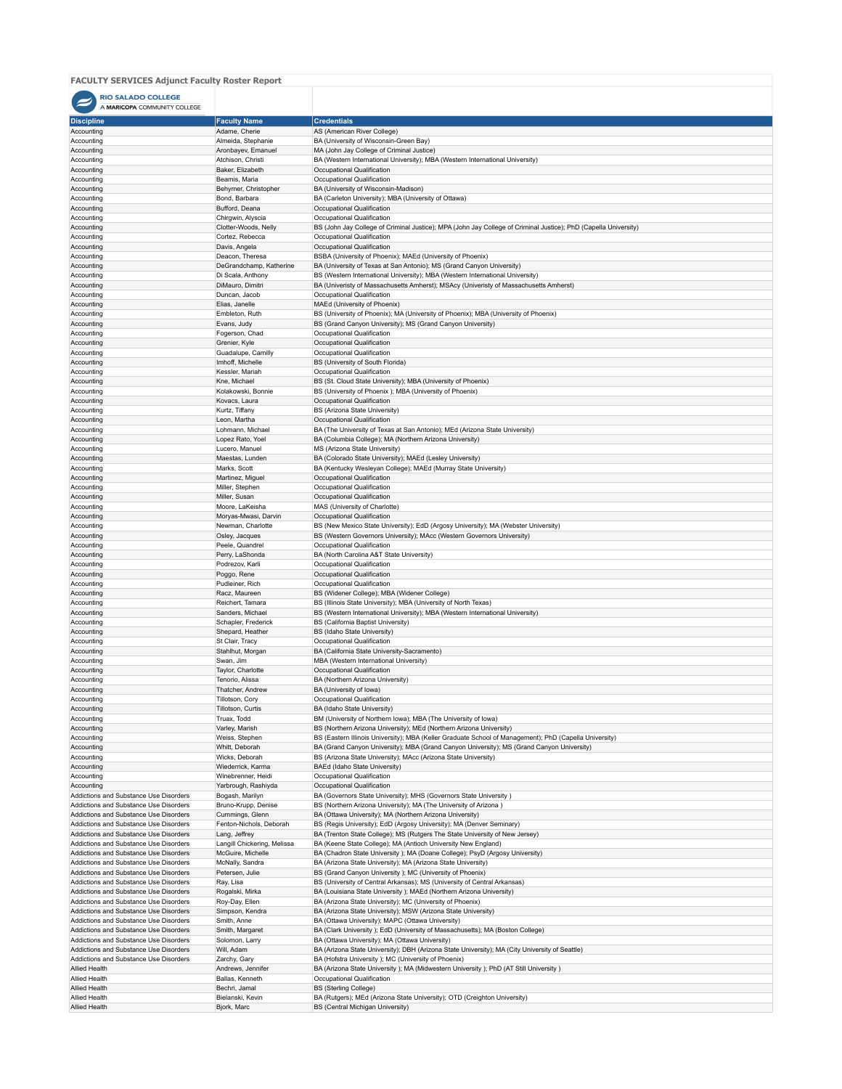## **FACULTY SERVICES Adjunct Faculty Roster Report**

## RIO SALADO COLLEGE

| A MARICOPA COMMUNITY COLLEGE                                                     |                                                  |                                                                                                                                                        |
|----------------------------------------------------------------------------------|--------------------------------------------------|--------------------------------------------------------------------------------------------------------------------------------------------------------|
| <b>Discipline</b>                                                                | <b>Faculty Name</b>                              | <b>Credentials</b>                                                                                                                                     |
| Accounting                                                                       | Adame, Cherie                                    | AS (American River College)                                                                                                                            |
| Accounting                                                                       | Almeida, Stephanie                               | BA (University of Wisconsin-Green Bay)                                                                                                                 |
| Accounting<br>Accounting                                                         | Aronbayev, Emanuel<br>Atchison, Christi          | MA (John Jay College of Criminal Justice)<br>BA (Western International University); MBA (Western International University)                             |
| Accounting                                                                       | Baker, Elizabeth                                 | Occupational Qualification                                                                                                                             |
| Accounting                                                                       | Beamis, Maria                                    | Occupational Qualification                                                                                                                             |
| Accounting                                                                       | Behymer, Christopher                             | BA (University of Wisconsin-Madison)                                                                                                                   |
| Accounting<br>Accounting                                                         | Bond, Barbara<br>Bufford, Deana                  | BA (Carleton University); MBA (University of Ottawa)<br>Occupational Qualification                                                                     |
| Accounting                                                                       | Chirgwin, Alyscia                                | Occupational Qualification                                                                                                                             |
| Accounting                                                                       | Clotter-Woods, Nelly                             | BS (John Jay College of Criminal Justice); MPA (John Jay College of Criminal Justice); PhD (Capella University)                                        |
| Accounting                                                                       | Cortez, Rebecca                                  | Occupational Qualification                                                                                                                             |
| Accounting                                                                       | Davis, Angela                                    | Occupational Qualification                                                                                                                             |
| Accounting                                                                       | Deacon, Theresa<br>DeGrandchamp, Katherine       | BSBA (University of Phoenix); MAEd (University of Phoenix)                                                                                             |
| Accounting<br>Accounting                                                         | Di Scala, Anthony                                | BA (University of Texas at San Antonio); MS (Grand Canyon University)<br>BS (Western International University); MBA (Western International University) |
| Accounting                                                                       | DiMauro, Dimitri                                 | BA (Univeristy of Massachusetts Amherst); MSAcy (Univeristy of Massachusetts Amherst)                                                                  |
| Accounting                                                                       | Duncan, Jacob                                    | Occupational Qualification                                                                                                                             |
| Accounting                                                                       | Elias, Janelle                                   | MAEd (University of Phoenix)                                                                                                                           |
| Accounting                                                                       | Embleton, Ruth                                   | BS (University of Phoenix); MA (University of Phoenix); MBA (University of Phoenix)                                                                    |
| Accounting<br>Accounting                                                         | Evans, Judy<br>Fogerson, Chad                    | BS (Grand Canyon University); MS (Grand Canyon University)<br>Occupational Qualification                                                               |
| Accounting                                                                       | Grenier, Kyle                                    | Occupational Qualification                                                                                                                             |
| Accounting                                                                       | Guadalupe, Camilly                               | Occupational Qualification                                                                                                                             |
| Accounting                                                                       | Imhoff, Michelle                                 | BS (University of South Florida)                                                                                                                       |
| Accounting                                                                       | Kessler, Mariah                                  | Occupational Qualification                                                                                                                             |
| Accounting<br>Accounting                                                         | Kne, Michael<br>Kolakowski, Bonnie               | BS (St. Cloud State University); MBA (University of Phoenix)<br>BS (University of Phoenix ); MBA (University of Phoenix)                               |
| Accounting                                                                       | Kovacs, Laura                                    | Occupational Qualification                                                                                                                             |
| Accounting                                                                       | Kurtz, Tiffany                                   | BS (Arizona State University)                                                                                                                          |
| Accounting                                                                       | Leon, Martha                                     | Occupational Qualification                                                                                                                             |
| Accounting                                                                       | Lohmann, Michael                                 | BA (The University of Texas at San Antonio); MEd (Arizona State University)                                                                            |
| Accounting                                                                       | Lopez Rato, Yoel                                 | BA (Columbia College); MA (Northern Arizona University)                                                                                                |
| Accounting<br>Accounting                                                         | Lucero, Manuel<br>Maestas, Lunden                | MS (Arizona State University)<br>BA (Colorado State University); MAEd (Lesley University)                                                              |
| Accounting                                                                       | Marks, Scott                                     | BA (Kentucky Wesleyan College); MAEd (Murray State University)                                                                                         |
| Accounting                                                                       | Martinez, Miguel                                 | Occupational Qualification                                                                                                                             |
| Accounting                                                                       | Miller, Stephen                                  | Occupational Qualification                                                                                                                             |
| Accounting                                                                       | Miller, Susan                                    | Occupational Qualification                                                                                                                             |
| Accounting                                                                       | Moore, LaKeisha                                  | MAS (University of Charlotte)                                                                                                                          |
| Accounting<br>Accounting                                                         | Moryas-Mwasi, Darvin<br>Newman, Charlotte        | Occupational Qualification<br>BS (New Mexico State University); EdD (Argosy University); MA (Webster University)                                       |
| Accounting                                                                       | Osley, Jacques                                   | BS (Western Governors University); MAcc (Western Governors University)                                                                                 |
| Accounting                                                                       | Peele, Quandrel                                  | Occupational Qualification                                                                                                                             |
| Accounting                                                                       | Perry, LaShonda                                  | BA (North Carolina A&T State University)                                                                                                               |
| Accounting                                                                       | Podrezov, Karli                                  | Occupational Qualification                                                                                                                             |
| Accounting                                                                       | Poggo, Rene                                      | Occupational Qualification                                                                                                                             |
| Accounting<br>Accounting                                                         | Pudleiner, Rich<br>Racz, Maureen                 | Occupational Qualification<br>BS (Widener College); MBA (Widener College)                                                                              |
| Accounting                                                                       | Reichert, Tamara                                 | BS (Illinois State University); MBA (University of North Texas)                                                                                        |
| Accounting                                                                       | Sanders, Michael                                 | BS (Western International University); MBA (Western International University)                                                                          |
| Accounting                                                                       | Schapler, Frederick                              | BS (California Baptist University)                                                                                                                     |
| Accounting                                                                       | Shepard, Heather                                 | BS (Idaho State University)                                                                                                                            |
| Accounting                                                                       | St Clair, Tracy                                  | Occupational Qualification                                                                                                                             |
| Accounting<br>Accounting                                                         | Stahlhut, Morgan<br>Swan, Jim                    | BA (California State University-Sacramento)<br>MBA (Western International University)                                                                  |
| Accounting                                                                       | Taylor, Charlotte                                | Occupational Qualification                                                                                                                             |
| Accounting                                                                       | Tenorio, Alissa                                  | BA (Northern Arizona University)                                                                                                                       |
| Accounting                                                                       | Thatcher, Andrew                                 | BA (University of lowa)                                                                                                                                |
| Accounting                                                                       | Tillotson, Cory                                  | Occupational Qualification                                                                                                                             |
| Accounting                                                                       | Tillotson, Curtis                                | BA (Idaho State University)                                                                                                                            |
| Accounting<br>Accounting                                                         | Truax, Todd<br>Varley, Marish                    | BM (University of Northern Iowa); MBA (The University of Iowa)<br>BS (Northern Arizona University); MEd (Northern Arizona University)                  |
| Accounting                                                                       | Weiss, Stephen                                   | BS (Eastern Illinois University); MBA (Keller Graduate School of Management); PhD (Capella University)                                                 |
| Accounting                                                                       | Whitt, Deborah                                   | BA (Grand Canyon University); MBA (Grand Canyon University); MS (Grand Canyon University)                                                              |
| Accounting                                                                       | Wicks, Deborah                                   | BS (Arizona State University); MAcc (Arizona State University)                                                                                         |
| Accounting                                                                       | Wiederrick, Karma                                | BAEd (Idaho State University)                                                                                                                          |
| Accounting<br>Accounting                                                         | Winebrenner, Heidi<br>Yarbrough, Rashiyda        | Occupational Qualification<br>Occupational Qualification                                                                                               |
| Addictions and Substance Use Disorders                                           | Bogash, Marilyn                                  | BA (Governors State University); MHS (Governors State University)                                                                                      |
| Addictions and Substance Use Disorders                                           | Bruno-Krupp, Denise                              | BS (Northern Arizona University); MA (The University of Arizona)                                                                                       |
| Addictions and Substance Use Disorders                                           | Cummings, Glenn                                  | BA (Ottawa University); MA (Northern Arizona University)                                                                                               |
| Addictions and Substance Use Disorders                                           | Fenton-Nichols, Deborah                          | BS (Regis University); EdD (Argosy University); MA (Denver Seminary)                                                                                   |
| Addictions and Substance Use Disorders                                           | Lang, Jeffrey                                    | BA (Trenton State College); MS (Rutgers The State University of New Jersey)                                                                            |
| Addictions and Substance Use Disorders<br>Addictions and Substance Use Disorders | Langill Chickering, Melissa<br>McGuire, Michelle | BA (Keene State College); MA (Antioch University New England)<br>BA (Chadron State University); MA (Doane College); PsyD (Argosy University)           |
| Addictions and Substance Use Disorders                                           | McNally, Sandra                                  | BA (Arizona State University); MA (Arizona State University)                                                                                           |
| Addictions and Substance Use Disorders                                           | Petersen, Julie                                  | BS (Grand Canyon University ); MC (University of Phoenix)                                                                                              |
| Addictions and Substance Use Disorders                                           | Ray, Lisa                                        | BS (University of Central Arkansas); MS (University of Central Arkansas)                                                                               |
| Addictions and Substance Use Disorders                                           | Rogalski, Mirka                                  | BA (Louisiana State University ); MAEd (Northern Arizona University)                                                                                   |
| Addictions and Substance Use Disorders                                           | Roy-Day, Ellen                                   | BA (Arizona State University); MC (University of Phoenix)                                                                                              |
| Addictions and Substance Use Disorders<br>Addictions and Substance Use Disorders | Simpson, Kendra<br>Smith, Anne                   | BA (Arizona State University); MSW (Arizona State University)<br>BA (Ottawa University); MAPC (Ottawa University)                                      |
| Addictions and Substance Use Disorders                                           | Smith, Margaret                                  | BA (Clark University); EdD (University of Massachusetts); MA (Boston College)                                                                          |
| Addictions and Substance Use Disorders                                           | Solomon, Larry                                   | BA (Ottawa University); MA (Ottawa University)                                                                                                         |
| Addictions and Substance Use Disorders                                           | Will, Adam                                       | BA (Arizona State University); DBH (Arizona State University); MA (City University of Seattle)                                                         |
| Addictions and Substance Use Disorders                                           | Zarchy, Gary                                     | BA (Hofstra University ); MC (University of Phoenix)                                                                                                   |
| Allied Health<br>Allied Health                                                   | Andrews, Jennifer<br>Ballas, Kenneth             | BA (Arizona State University ); MA (Midwestern University ); PhD (AT Still University )<br>Occupational Qualification                                  |
| Allied Health                                                                    | Bechri, Jamal                                    | <b>BS (Sterling College)</b>                                                                                                                           |
| Allied Health                                                                    | Bielanski, Kevin                                 | BA (Rutgers); MEd (Arizona State University); OTD (Creighton University)                                                                               |
| Allied Health                                                                    | Bjork, Marc                                      | BS (Central Michigan University)                                                                                                                       |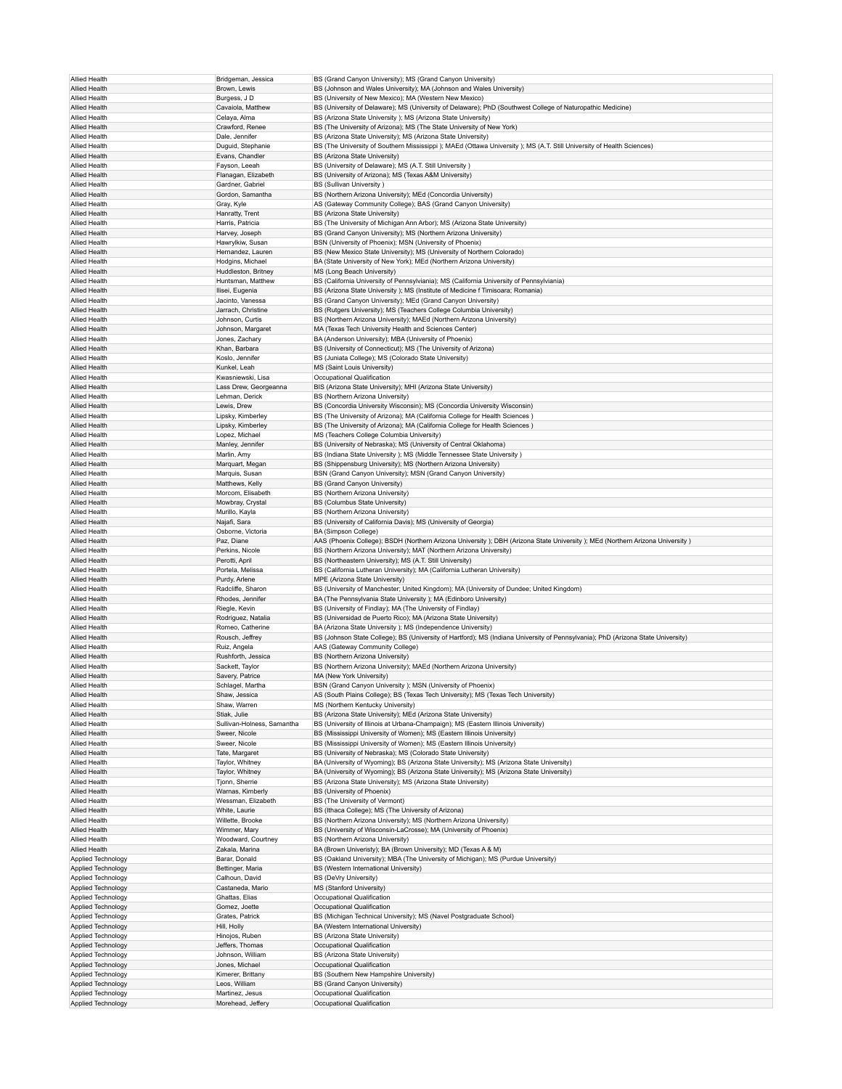| Allied Health                            | Bridgeman, Jessica                   | BS (Grand Canyon University); MS (Grand Canyon University)                                                                       |
|------------------------------------------|--------------------------------------|----------------------------------------------------------------------------------------------------------------------------------|
| Allied Health                            | Brown, Lewis                         | BS (Johnson and Wales University); MA (Johnson and Wales University)                                                             |
| Allied Health                            | Burgess, J D                         | BS (University of New Mexico); MA (Western New Mexico)                                                                           |
|                                          |                                      |                                                                                                                                  |
| Allied Health                            | Cavaiola, Matthew                    | BS (University of Delaware); MS (University of Delaware); PhD (Southwest College of Naturopathic Medicine)                       |
| Allied Health                            | Celaya, Alma                         | BS (Arizona State University ); MS (Arizona State University)                                                                    |
| Allied Health                            | Crawford, Renee                      | BS (The University of Arizona); MS (The State University of New York)                                                            |
| Allied Health                            | Dale, Jennifer                       | BS (Arizona State University); MS (Arizona State University)                                                                     |
| Allied Health                            | Duguid, Stephanie                    | BS (The University of Southern Mississippi); MAEd (Ottawa University); MS (A.T. Still University of Health Sciences)             |
| Allied Health                            | Evans, Chandler                      | BS (Arizona State University)                                                                                                    |
| Allied Health                            | Fayson, Leeah                        | BS (University of Delaware); MS (A.T. Still University)                                                                          |
| Allied Health                            | Flanagan, Elizabeth                  | BS (University of Arizona); MS (Texas A&M University)                                                                            |
| Allied Health                            | Gardner, Gabriel                     | <b>BS (Sullivan University)</b>                                                                                                  |
| Allied Health                            | Gordon, Samantha                     | BS (Northern Arizona University); MEd (Concordia University)                                                                     |
| Allied Health                            | Gray, Kyle                           | AS (Gateway Community College); BAS (Grand Canyon University)                                                                    |
| Allied Health                            | Hanratty, Trent                      | BS (Arizona State University)                                                                                                    |
| Allied Health                            | Harris, Patricia                     | BS (The University of Michigan Ann Arbor); MS (Arizona State University)                                                         |
| Allied Health                            | Harvey, Joseph                       | BS (Grand Canyon University); MS (Northern Arizona University)                                                                   |
| Allied Health                            | Hawrylkiw, Susan                     | BSN (University of Phoenix); MSN (University of Phoenix)                                                                         |
| Allied Health                            | Hernandez, Lauren                    | BS (New Mexico State University); MS (University of Northern Colorado)                                                           |
|                                          | Hodgins, Michael                     |                                                                                                                                  |
| Allied Health                            |                                      | BA (State University of New York); MEd (Northern Arizona University)<br>MS (Long Beach University)                               |
| Allied Health                            | Huddleston, Britney                  |                                                                                                                                  |
| Allied Health                            | Huntsman, Matthew                    | BS (California University of Pennsylviania); MS (California University of Pennsylviania)                                         |
| <b>Allied Health</b>                     | Ilisei, Eugenia                      | BS (Arizona State University ); MS (Institute of Medicine f Timisoara; Romania)                                                  |
| Allied Health                            | Jacinto, Vanessa                     | BS (Grand Canyon University); MEd (Grand Canyon University)                                                                      |
| Allied Health                            | Jarrach, Christine                   | BS (Rutgers University); MS (Teachers College Columbia University)                                                               |
| Allied Health                            | Johnson, Curtis                      | BS (Northern Arizona University); MAEd (Northern Arizona University)                                                             |
| Allied Health                            | Johnson, Margaret                    | MA (Texas Tech University Health and Sciences Center)                                                                            |
| Allied Health                            | Jones, Zachary                       | BA (Anderson University); MBA (University of Phoenix)                                                                            |
| <b>Allied Health</b>                     | Khan, Barbara                        | BS (University of Connecticut); MS (The University of Arizona)                                                                   |
| Allied Health                            | Koslo, Jennifer                      | BS (Juniata College); MS (Colorado State University)                                                                             |
| Allied Health                            | Kunkel, Leah                         | MS (Saint Louis University)                                                                                                      |
| Allied Health                            | Kwasniewski, Lisa                    | Occupational Qualification                                                                                                       |
| Allied Health                            | Lass Drew, Georgeanna                | BIS (Arizona State University); MHI (Arizona State University)                                                                   |
| Allied Health                            | Lehman, Derick                       | BS (Northern Arizona University)                                                                                                 |
| <b>Allied Health</b>                     | Lewis, Drew                          | BS (Concordia University Wisconsin); MS (Concordia University Wisconsin)                                                         |
| Allied Health                            | Lipsky, Kimberley                    | BS (The University of Arizona); MA (California College for Health Sciences)                                                      |
| Allied Health                            | Lipsky, Kimberley                    | BS (The University of Arizona); MA (California College for Health Sciences)                                                      |
| Allied Health                            | Lopez, Michael                       | MS (Teachers College Columbia University)                                                                                        |
| Allied Health                            | Manley, Jennifer                     | BS (University of Nebraska); MS (University of Central Oklahoma)                                                                 |
| Allied Health                            | Marlin, Amy                          | BS (Indiana State University ); MS (Middle Tennessee State University )                                                          |
| <b>Allied Health</b>                     | Marquart, Megan                      | BS (Shippensburg University); MS (Northern Arizona University)                                                                   |
| Allied Health                            | Marquis, Susan                       | BSN (Grand Canyon University); MSN (Grand Canyon University)                                                                     |
|                                          |                                      |                                                                                                                                  |
| Allied Health                            | Matthews, Kelly                      | BS (Grand Canyon University)                                                                                                     |
| Allied Health                            | Morcom, Elisabeth                    | BS (Northern Arizona University)                                                                                                 |
| Allied Health                            | Mowbray, Crystal                     | BS (Columbus State University)                                                                                                   |
| Allied Health                            | Murillo, Kayla                       | BS (Northern Arizona University)                                                                                                 |
| <b>Allied Health</b>                     | Najafi, Sara                         | BS (University of California Davis); MS (University of Georgia)                                                                  |
| Allied Health                            | Osborne, Victoria                    | BA (Simpson College)                                                                                                             |
| Allied Health                            | Paz, Diane                           | AAS (Phoenix College); BSDH (Northern Arizona University); DBH (Arizona State University); MEd (Northern Arizona University)     |
| Allied Health                            | Perkins, Nicole                      | BS (Northern Arizona University); MAT (Northern Arizona University)                                                              |
| Allied Health                            | Perotti, April                       | BS (Northeastern University); MS (A.T. Still University)                                                                         |
| Allied Health                            | Portela, Melissa                     | BS (California Lutheran University); MA (California Lutheran University)                                                         |
| <b>Allied Health</b>                     | Purdy, Arlene                        | MPE (Arizona State University)                                                                                                   |
| Allied Health                            | Radcliffe, Sharon                    | BS (University of Manchester; United Kingdom); MA (University of Dundee; United Kingdom)                                         |
| Allied Health                            | Rhodes, Jennifer                     | BA (The Pennsylvania State University ); MA (Edinboro University)                                                                |
| Allied Health                            | Riegle, Kevin                        | BS (University of Findlay); MA (The University of Findlay)                                                                       |
| Allied Health                            | Rodriguez, Natalia                   | BS (Universidad de Puerto Rico); MA (Arizona State University)                                                                   |
| Allied Health                            | Romeo, Catherine                     | BA (Arizona State University ); MS (Independence University)                                                                     |
| <b>Allied Health</b>                     | Rousch, Jeffrey                      | BS (Johnson State College); BS (University of Hartford); MS (Indiana University of Pennsylvania); PhD (Arizona State University) |
| Allied Health                            | Ruiz, Angela                         | AAS (Gateway Community College)                                                                                                  |
| Allied Health                            | Rushforth, Jessica                   | BS (Northern Arizona University)                                                                                                 |
| Allied Health                            |                                      | BS (Northern Arizona University); MAEd (Northern Arizona University)                                                             |
| Allied Health                            | Sackett, Taylor<br>Savery, Patrice   | MA (New York University)                                                                                                         |
| Allied Health                            | Schlagel, Martha                     | BSN (Grand Canyon University ); MSN (University of Phoenix)                                                                      |
|                                          |                                      |                                                                                                                                  |
| Allied Health                            | Shaw, Jessica                        | AS (South Plains College); BS (Texas Tech University); MS (Texas Tech University)                                                |
| Allied Health                            | Shaw, Warren                         | MS (Northern Kentucky University)                                                                                                |
| Allied Health                            | Stiak, Julie                         | BS (Arizona State University); MEd (Arizona State University)                                                                    |
| Allied Health                            | Sullivan-Holness, Samantha           | BS (University of Illinois at Urbana-Champaign); MS (Eastern Illinois University)                                                |
| Allied Health                            | Sweer, Nicole                        | BS (Mississippi University of Women); MS (Eastern Illinois University)                                                           |
| Allied Health                            | Sweer, Nicole                        | BS (Mississippi University of Women); MS (Eastern Illinois University)                                                           |
| Allied Health                            | Tate, Margaret                       | BS (University of Nebraska); MS (Colorado State University)                                                                      |
| Allied Health                            | Taylor, Whitney                      | BA (University of Wyoming); BS (Arizona State University); MS (Arizona State University)                                         |
| Allied Health                            | Taylor, Whitney                      | BA (University of Wyoming); BS (Arizona State University); MS (Arizona State University)                                         |
| Allied Health                            | Tjonn, Sherrie                       | BS (Arizona State University); MS (Arizona State University)                                                                     |
| Allied Health                            | Warnas, Kimberly                     | BS (University of Phoenix)                                                                                                       |
| Allied Health                            | Wessman, Elizabeth                   | BS (The University of Vermont)                                                                                                   |
| Allied Health                            | White, Laurie                        | BS (Ithaca College); MS (The University of Arizona)                                                                              |
| Allied Health                            | Willette, Brooke                     | BS (Northern Arizona University); MS (Northern Arizona University)                                                               |
| Allied Health                            | Wimmer, Mary                         | BS (University of Wisconsin-LaCrosse); MA (University of Phoenix)                                                                |
| Allied Health                            | Woodward, Courtney                   | BS (Northern Arizona University)                                                                                                 |
| Allied Health                            | Zakala, Marina                       | BA (Brown Univeristy); BA (Brown University); MD (Texas A & M)                                                                   |
| Applied Technology                       | Barar, Donald                        | BS (Oakland University); MBA (The University of Michigan); MS (Purdue University)                                                |
| Applied Technology                       | Bettinger, Maria                     | BS (Western International University)                                                                                            |
| Applied Technology                       | Calhoun, David                       | BS (DeVry University)                                                                                                            |
| Applied Technology                       | Castaneda, Mario                     | MS (Stanford University)                                                                                                         |
| Applied Technology                       | Ghattas, Elias                       | Occupational Qualification                                                                                                       |
| Applied Technology                       | Gomez, Joette                        | Occupational Qualification                                                                                                       |
| Applied Technology                       | Grates, Patrick                      | BS (Michigan Technical University); MS (Navel Postgraduate School)                                                               |
| Applied Technology                       | Hill, Holly                          | BA (Western International University)                                                                                            |
| Applied Technology                       | Hinojos, Ruben                       | BS (Arizona State University)                                                                                                    |
| Applied Technology                       | Jeffers, Thomas                      | Occupational Qualification                                                                                                       |
| Applied Technology                       | Johnson, William                     | BS (Arizona State University)                                                                                                    |
| Applied Technology                       | Jones, Michael                       | Occupational Qualification                                                                                                       |
|                                          | Kimerer, Brittany                    | BS (Southern New Hampshire University)                                                                                           |
| Applied Technology                       | Leos, William                        | BS (Grand Canyon University)                                                                                                     |
| Applied Technology                       |                                      |                                                                                                                                  |
| Applied Technology<br>Applied Technology | Martinez, Jesus<br>Morehead, Jeffery | Occupational Qualification                                                                                                       |
|                                          |                                      | Occupational Qualification                                                                                                       |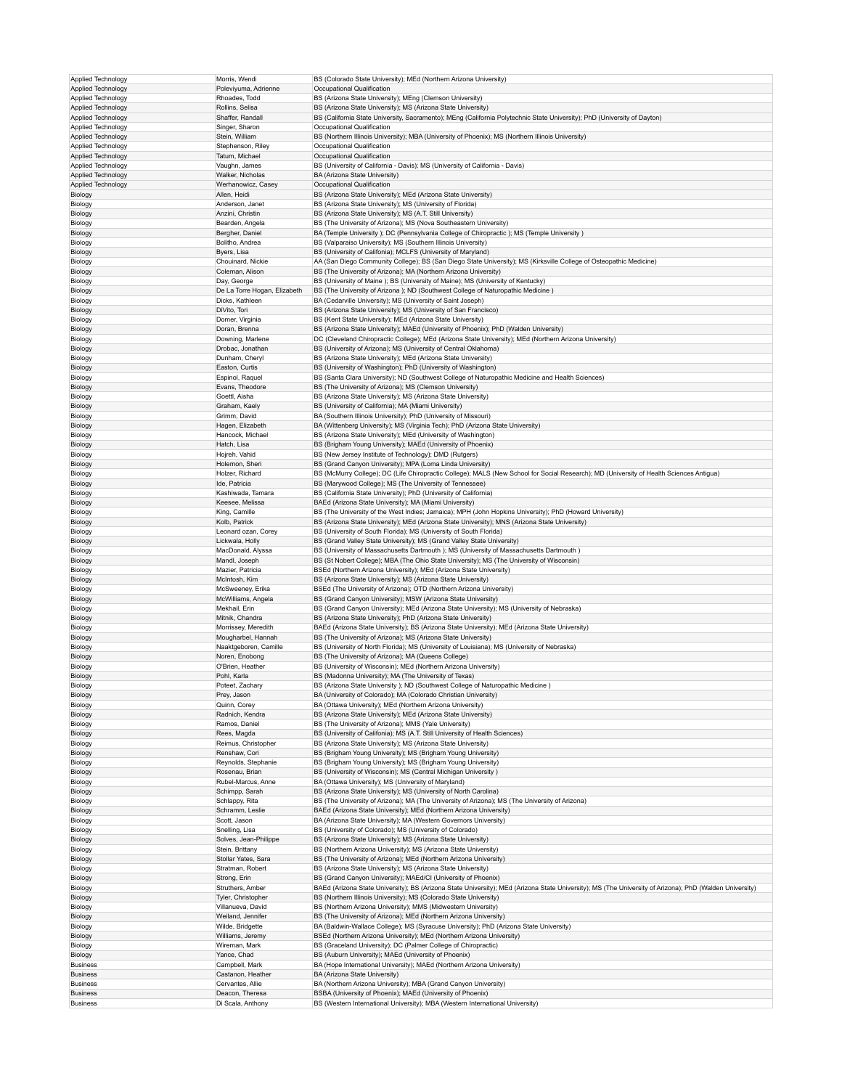| Applied Technology | Morris, Wendi                | BS (Colorado State University); MEd (Northern Arizona University)                                                                                       |
|--------------------|------------------------------|---------------------------------------------------------------------------------------------------------------------------------------------------------|
| Applied Technology | Poleviyuma, Adrienne         | Occupational Qualification                                                                                                                              |
| Applied Technology | Rhoades, Todd                | BS (Arizona State University); MEng (Clemson University)                                                                                                |
|                    |                              |                                                                                                                                                         |
| Applied Technology | Rollins, Selisa              | BS (Arizona State University); MS (Arizona State University)                                                                                            |
| Applied Technology | Shaffer, Randall             | BS (California State University, Sacramento); MEng (California Polytechnic State University); PhD (University of Dayton)                                |
| Applied Technology | Singer, Sharon               | Occupational Qualification                                                                                                                              |
| Applied Technology | Stein, William               | BS (Northern Illinois University); MBA (University of Phoenix); MS (Northern Illinois University)                                                       |
| Applied Technology | Stephenson, Riley            | Occupational Qualification                                                                                                                              |
| Applied Technology | Tatum, Michael               | Occupational Qualification                                                                                                                              |
| Applied Technology | Vaughn, James                | BS (University of California - Davis); MS (University of California - Davis)                                                                            |
| Applied Technology | Walker, Nicholas             | BA (Arizona State University)                                                                                                                           |
|                    |                              |                                                                                                                                                         |
| Applied Technology | Werhanowicz, Casey           | Occupational Qualification                                                                                                                              |
| Biology            | Allen, Heidi                 | BS (Arizona State University); MEd (Arizona State University)                                                                                           |
| Biology            | Anderson, Janet              | BS (Arizona State University); MS (University of Florida)                                                                                               |
| Biology            | Anzini, Christin             | BS (Arizona State University); MS (A.T. Still University)                                                                                               |
| Biology            | Bearden, Angela              | BS (The University of Arizona); MS (Nova Southeastern University)                                                                                       |
| Biology            | Bergher, Daniel              | BA (Temple University ); DC (Pennsylvania College of Chiropractic ); MS (Temple University )                                                            |
| Biology            | Bolitho, Andrea              | BS (Valparaiso University); MS (Southern Illinois University)                                                                                           |
| Biology            | Byers, Lisa                  | BS (University of Califonia); MCLFS (University of Maryland)                                                                                            |
|                    |                              |                                                                                                                                                         |
| Biology            | Chouinard, Nickie            | AA (San Diego Community College); BS (San Diego State University); MS (Kirksville College of Osteopathic Medicine)                                      |
| Biology            | Coleman, Alison              | BS (The University of Arizona); MA (Northern Arizona University)                                                                                        |
| Biology            | Day, George                  | BS (University of Maine ); BS (University of Maine); MS (University of Kentucky)                                                                        |
| Biology            | De La Torre Hogan, Elizabeth | BS (The University of Arizona ); ND (Southwest College of Naturopathic Medicine)                                                                        |
| Biology            | Dicks, Kathleen              | BA (Cedarville University); MS (University of Saint Joseph)                                                                                             |
| Biology            | DiVito, Tori                 | BS (Arizona State University); MS (University of San Francisco)                                                                                         |
| Biology            | Domer, Virginia              | BS (Kent State University); MEd (Arizona State University)                                                                                              |
|                    |                              |                                                                                                                                                         |
| Biology            | Doran, Brenna                | BS (Arizona State University); MAEd (University of Phoenix); PhD (Walden University)                                                                    |
| Biology            | Downing, Marlene             | DC (Cleveland Chiropractic College); MEd (Arizona State University); MEd (Northern Arizona University)                                                  |
| Biology            | Drobac, Jonathan             | BS (University of Arizona); MS (University of Central Oklahoma)                                                                                         |
| Biology            | Dunham, Cheryl               | BS (Arizona State University); MEd (Arizona State University)                                                                                           |
| Biology            | Easton, Curtis               | BS (University of Washington); PhD (University of Washington)                                                                                           |
| Biology            | Espinol, Raquel              | BS (Santa Clara University); ND (Southwest College of Naturopathic Medicine and Health Sciences)                                                        |
| Biology            | Evans, Theodore              | BS (The University of Arizona); MS (Clemson University)                                                                                                 |
|                    |                              |                                                                                                                                                         |
| Biology            | Goettl, Aisha                | BS (Arizona State University); MS (Arizona State University)                                                                                            |
| Biology            | Graham, Kaely                | BS (University of California); MA (Miami University)                                                                                                    |
| Biology            | Grimm, David                 | BA (Southern Illinois University); PhD (University of Missouri)                                                                                         |
| Biology            | Hagen, Elizabeth             | BA (Wittenberg University); MS (Virginia Tech); PhD (Arizona State University)                                                                          |
| Biology            | Hancock, Michael             | BS (Arizona State University); MEd (University of Washington)                                                                                           |
| Biology            | Hatch, Lisa                  | BS (Brigham Young University); MAEd (University of Phoenix)                                                                                             |
| Biology            | Hojreh, Vahid                | BS (New Jersey Institute of Technology); DMD (Rutgers)                                                                                                  |
|                    |                              |                                                                                                                                                         |
| Biology            | Holemon, Sheri               | BS (Grand Canyon University); MPA (Loma Linda University)                                                                                               |
| Biology            | Holzer, Richard              | BS (McMurry College); DC (Life Chiropractic College); MALS (New School for Social Research); MD (University of Health Sciences Antigua)                 |
| Biology            | Ide, Patricia                | BS (Marywood College); MS (The University of Tennessee)                                                                                                 |
| Biology            | Kashiwada, Tamara            | BS (California State University); PhD (University of California)                                                                                        |
| Biology            | Keesee, Melissa              | BAEd (Arizona State University); MA (Miami University)                                                                                                  |
| Biology            | King, Camille                | BS (The University of the West Indies; Jamaica); MPH (John Hopkins University); PhD (Howard University)                                                 |
|                    |                              |                                                                                                                                                         |
| Biology            | Kolb, Patrick                | BS (Arizona State University); MEd (Arizona State University); MNS (Arizona State University)                                                           |
| Biology            | Leonard ozan, Corey          | BS (University of South Florida); MS (University of South Florida)                                                                                      |
| Biology            | Lickwala, Holly              | BS (Grand Valley State University); MS (Grand Valley State University)                                                                                  |
| Biology            | MacDonald, Alyssa            | BS (University of Massachusetts Dartmouth ); MS (University of Massachusetts Dartmouth )                                                                |
| Biology            | Mandl, Joseph                | BS (St Nobert College); MBA (The Ohio State University); MS (The University of Wisconsin)                                                               |
| Biology            | Mazier, Patricia             | BSEd (Northern Arizona University); MEd (Arizona State University)                                                                                      |
| Biology            | McIntosh, Kim                | BS (Arizona State University); MS (Arizona State University)                                                                                            |
|                    |                              |                                                                                                                                                         |
| Biology            | McSweeney, Erika             | BSEd (The University of Arizona); OTD (Northern Arizona University)                                                                                     |
| Biology            | McWilliams, Angela           | BS (Grand Canyon University); MSW (Arizona State University)                                                                                            |
| Biology            | Mekhail, Erin                | BS (Grand Canyon University); MEd (Arizona State University); MS (University of Nebraska)                                                               |
| Biology            | Mitnik, Chandra              | BS (Arizona State University); PhD (Arizona State University)                                                                                           |
| Biology            | Morrissey, Meredith          | BAEd (Arizona State University); BS (Arizona State University); MEd (Arizona State University)                                                          |
| Biology            | Mougharbel, Hannah           | BS (The University of Arizona); MS (Arizona State University)                                                                                           |
|                    | Naaktgeboren, Camille        | BS (University of North Florida); MS (University of Louisiana); MS (University of Nebraska)                                                             |
| Biology            |                              |                                                                                                                                                         |
| Biology            | Noren, Enobong               | BS (The University of Arizona); MA (Queens College)                                                                                                     |
| Biology            | O'Brien, Heather             | BS (University of Wisconsin); MEd (Northern Arizona University)                                                                                         |
| Biology            | Pohl, Karla                  | BS (Madonna University); MA (The University of Texas)                                                                                                   |
| Biology            | Poteet, Zachary              | BS (Arizona State University ); ND (Southwest College of Naturopathic Medicine )                                                                        |
| Biology            | Prey, Jason                  | BA (University of Colorado); MA (Colorado Christian University)                                                                                         |
| Biology            | Quinn, Corey                 | BA (Ottawa University); MEd (Northern Arizona University)                                                                                               |
|                    |                              |                                                                                                                                                         |
| Biology            | Radnich, Kendra              | BS (Arizona State University); MEd (Arizona State University)                                                                                           |
| Biology            | Ramos, Daniel                | BS (The University of Arizona); MMS (Yale University)                                                                                                   |
| Biology            | Rees, Magda                  | BS (University of Califonia); MS (A.T. Still University of Health Sciences)                                                                             |
| Biology            | Reimus, Christopher          | BS (Arizona State University); MS (Arizona State University)                                                                                            |
| Biology            | Renshaw, Cori                | BS (Brigham Young University); MS (Brigham Young University)                                                                                            |
| Biology            | Reynolds, Stephanie          | BS (Brigham Young University); MS (Brigham Young University)                                                                                            |
| Biology            | Rosenau, Brian               | BS (University of Wisconsin); MS (Central Michigan University)                                                                                          |
| Biology            | Rubel-Marcus, Anne           | BA (Ottawa University); MS (University of Maryland)                                                                                                     |
|                    |                              |                                                                                                                                                         |
| Biology            | Schimpp, Sarah               | BS (Arizona State University); MS (University of North Carolina)                                                                                        |
| Biology            | Schlappy, Rita               | BS (The University of Arizona); MA (The University of Arizona); MS (The University of Arizona)                                                          |
| Biology            | Schramm, Leslie              | BAEd (Arizona State University); MEd (Northern Arizona University)                                                                                      |
| Biology            | Scott, Jason                 | BA (Arizona State University); MA (Western Governors University)                                                                                        |
| Biology            | Snelling, Lisa               | BS (University of Colorado); MS (University of Colorado)                                                                                                |
| Biology            | Solves, Jean-Philippe        | BS (Arizona State University); MS (Arizona State University)                                                                                            |
| Biology            | Stein, Brittany              | BS (Northern Arizona University); MS (Arizona State University)                                                                                         |
|                    |                              | BS (The University of Arizona); MEd (Northern Arizona University)                                                                                       |
| Biology            | Stollar Yates, Sara          |                                                                                                                                                         |
| Biology            | Stratman, Robert             | BS (Arizona State University); MS (Arizona State University)                                                                                            |
| Biology            | Strong, Erin                 | BS (Grand Canyon University); MAEd/CI (University of Phoenix)                                                                                           |
| Biology            | Struthers, Amber             | BAEd (Arizona State University); BS (Arizona State University); MEd (Arizona State University); MS (The University of Arizona); PhD (Walden University) |
| Biology            | Tyler, Christopher           | BS (Northern Illinois University); MS (Colorado State University)                                                                                       |
| Biology            | Villanueva, David            | BS (Northern Arizona University); MMS (Midwestern University)                                                                                           |
|                    |                              |                                                                                                                                                         |
| Biology            | Weiland, Jennifer            | BS (The University of Arizona); MEd (Northern Arizona University)                                                                                       |
| Biology            | Wilde, Bridgette             | BA (Baldwin-Wallace College); MS (Syracuse University); PhD (Arizona State University)                                                                  |
| Biology            | Williams, Jeremy             | BSEd (Northern Arizona University); MEd (Northern Arizona University)                                                                                   |
| Biology            | Wireman, Mark                | BS (Graceland University); DC (Palmer College of Chiropractic)                                                                                          |
| Biology            | Yance, Chad                  | BS (Auburn University); MAEd (University of Phoenix)                                                                                                    |
| <b>Business</b>    | Campbell, Mark               | BA (Hope International University); MAEd (Northern Arizona University)                                                                                  |
| <b>Business</b>    | Castanon, Heather            | BA (Arizona State University)                                                                                                                           |
| <b>Business</b>    | Cervantes, Allie             | BA (Northern Arizona University); MBA (Grand Canyon University)                                                                                         |
|                    |                              |                                                                                                                                                         |
| <b>Business</b>    | Deacon, Theresa              | BSBA (University of Phoenix); MAEd (University of Phoenix)                                                                                              |
| <b>Business</b>    | Di Scala, Anthony            | BS (Western International University); MBA (Western International University)                                                                           |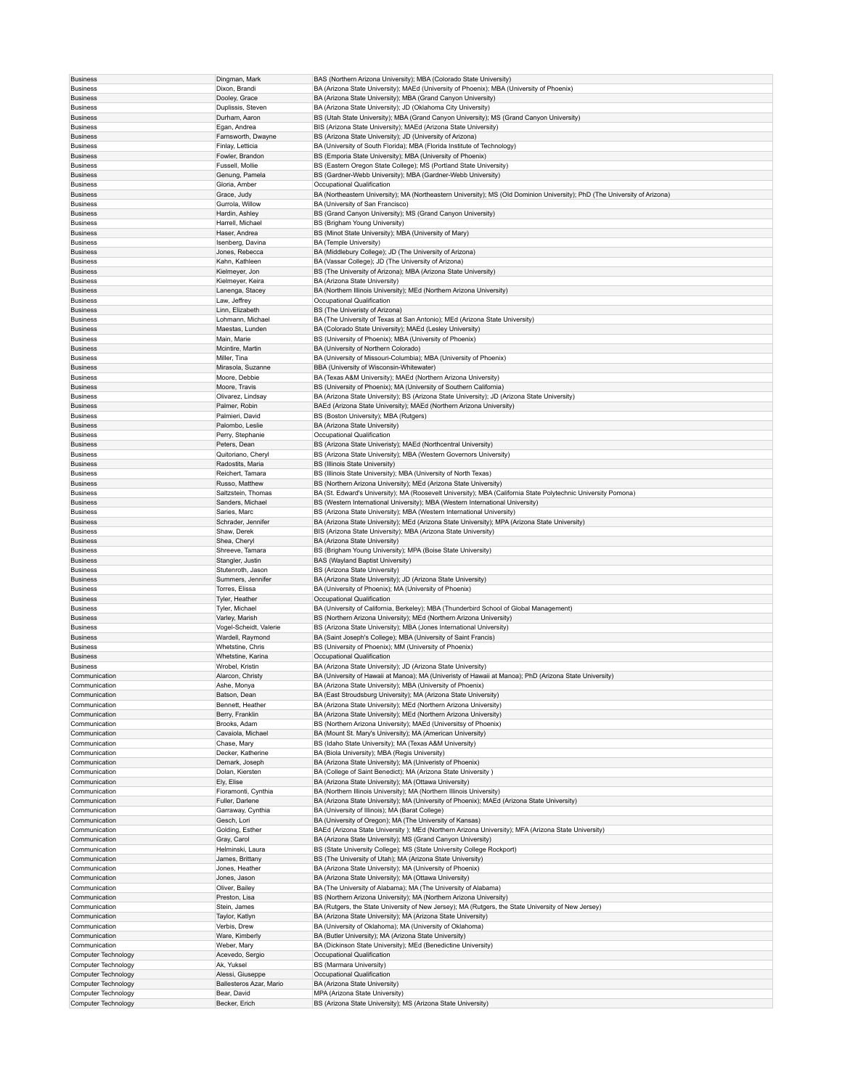| <b>Business</b>                            | Dingman, Mark                | BAS (Northern Arizona University); MBA (Colorado State University)                                                        |
|--------------------------------------------|------------------------------|---------------------------------------------------------------------------------------------------------------------------|
|                                            | Dixon, Brandi                | BA (Arizona State University); MAEd (University of Phoenix); MBA (University of Phoenix)                                  |
| <b>Business</b>                            |                              |                                                                                                                           |
| <b>Business</b>                            | Dooley, Grace                | BA (Arizona State University); MBA (Grand Canyon University)                                                              |
| <b>Business</b>                            | Duplissis, Steven            | BA (Arizona State University); JD (Oklahoma City University)                                                              |
| <b>Business</b>                            | Durham, Aaron                | BS (Utah State University); MBA (Grand Canyon University); MS (Grand Canyon University)                                   |
| <b>Business</b>                            | Egan, Andrea                 | BIS (Arizona State University); MAEd (Arizona State University)                                                           |
| <b>Business</b>                            | Farnsworth, Dwayne           | BS (Arizona State University); JD (University of Arizona)                                                                 |
|                                            |                              |                                                                                                                           |
| <b>Business</b>                            | Finlay, Letticia             | BA (University of South Florida); MBA (Florida Institute of Technology)                                                   |
| <b>Business</b>                            | Fowler, Brandon              | BS (Emporia State University); MBA (University of Phoenix)                                                                |
| <b>Business</b>                            | Fussell, Mollie              | BS (Eastern Oregon State College); MS (Portland State University)                                                         |
| <b>Business</b>                            | Genung, Pamela               | BS (Gardner-Webb University); MBA (Gardner-Webb University)                                                               |
| <b>Business</b>                            | Gloria, Amber                | Occupational Qualification                                                                                                |
| <b>Business</b>                            | Grace, Judy                  | BA (Northeastern University); MA (Northeastern University); MS (Old Dominion University); PhD (The University of Arizona) |
|                                            |                              |                                                                                                                           |
| <b>Business</b>                            | Gurrola, Willow              | BA (University of San Francisco)                                                                                          |
| <b>Business</b>                            | Hardin, Ashley               | BS (Grand Canyon University); MS (Grand Canyon University)                                                                |
| <b>Business</b>                            | Harrell, Michael             | BS (Brigham Young University)                                                                                             |
| <b>Business</b>                            | Haser, Andrea                | BS (Minot State University); MBA (University of Mary)                                                                     |
| <b>Business</b>                            | Isenberg, Davina             | BA (Temple University)                                                                                                    |
|                                            |                              |                                                                                                                           |
| <b>Business</b>                            | Jones, Rebecca               | BA (Middlebury College); JD (The University of Arizona)                                                                   |
| <b>Business</b>                            | Kahn, Kathleen               | BA (Vassar College); JD (The University of Arizona)                                                                       |
| <b>Business</b>                            | Kielmeyer, Jon               | BS (The University of Arizona); MBA (Arizona State University)                                                            |
| <b>Business</b>                            | Kielmeyer, Keira             | BA (Arizona State University)                                                                                             |
|                                            | Lanenga, Stacey              | BA (Northern Illinois University); MEd (Northern Arizona University)                                                      |
| <b>Business</b>                            |                              |                                                                                                                           |
| <b>Business</b>                            | Law, Jeffrey                 | Occupational Qualification                                                                                                |
| <b>Business</b>                            | Linn, Elizabeth              | BS (The Univeristy of Arizona)                                                                                            |
| <b>Business</b>                            | Lohmann, Michael             | BA (The University of Texas at San Antonio); MEd (Arizona State University)                                               |
| <b>Business</b>                            | Maestas, Lunden              | BA (Colorado State University); MAEd (Lesley University)                                                                  |
| <b>Business</b>                            | Main, Marie                  | BS (University of Phoenix); MBA (University of Phoenix)                                                                   |
|                                            |                              |                                                                                                                           |
| <b>Business</b>                            | Mcintire, Martin             | BA (University of Northern Colorado)                                                                                      |
| <b>Business</b>                            | Miller, Tina                 | BA (University of Missouri-Columbia); MBA (University of Phoenix)                                                         |
| <b>Business</b>                            | Mirasola, Suzanne            | BBA (University of Wisconsin-Whitewater)                                                                                  |
| <b>Business</b>                            | Moore, Debbie                | BA (Texas A&M University); MAEd (Northern Arizona University)                                                             |
|                                            |                              |                                                                                                                           |
| <b>Business</b>                            | Moore, Travis                | BS (University of Phoenix); MA (University of Southern California)                                                        |
| <b>Business</b>                            | Olivarez, Lindsay            | BA (Arizona State University); BS (Arizona State University); JD (Arizona State University)                               |
| <b>Business</b>                            | Palmer, Robin                | BAEd (Arizona State University); MAEd (Northern Arizona University)                                                       |
| <b>Business</b>                            | Palmieri, David              | BS (Boston University); MBA (Rutgers)                                                                                     |
| <b>Business</b>                            |                              | BA (Arizona State University)                                                                                             |
|                                            | Palombo, Leslie              |                                                                                                                           |
| <b>Business</b>                            | Perry, Stephanie             | Occupational Qualification                                                                                                |
| <b>Business</b>                            | Peters, Dean                 | BS (Arizona State Univeristy); MAEd (Northcentral University)                                                             |
| <b>Business</b>                            | Quitoriano, Cheryl           | BS (Arizona State University); MBA (Western Governors University)                                                         |
|                                            |                              |                                                                                                                           |
| <b>Business</b>                            | Radostits, Maria             | <b>BS (Illinois State University)</b>                                                                                     |
| <b>Business</b>                            | Reichert, Tamara             | BS (Illinois State University); MBA (University of North Texas)                                                           |
| <b>Business</b>                            | Russo, Matthew               | BS (Northern Arizona University); MEd (Arizona State University)                                                          |
| <b>Business</b>                            | Saltzstein, Thomas           | BA (St. Edward's University); MA (Roosevelt University); MBA (California State Polytechnic University Pomona)             |
| <b>Business</b>                            | Sanders, Michael             | BS (Western International University); MBA (Western International University)                                             |
|                                            |                              |                                                                                                                           |
| <b>Business</b>                            | Saries, Marc                 | BS (Arizona State University); MBA (Western International University)                                                     |
| <b>Business</b>                            | Schrader, Jennifer           | BA (Arizona State University); MEd (Arizona State University); MPA (Arizona State University)                             |
| <b>Business</b>                            | Shaw, Derek                  | BIS (Arizona State University); MBA (Arizona State University)                                                            |
| <b>Business</b>                            | Shea, Cheryl                 | BA (Arizona State University)                                                                                             |
|                                            |                              |                                                                                                                           |
|                                            |                              |                                                                                                                           |
| <b>Business</b>                            | Shreeve, Tamara              | BS (Brigham Young University); MPA (Boise State University)                                                               |
| <b>Business</b>                            | Stangler, Justin             | BAS (Wayland Baptist University)                                                                                          |
| <b>Business</b>                            | Stutenroth, Jason            | BS (Arizona State University)                                                                                             |
|                                            |                              |                                                                                                                           |
| <b>Business</b>                            | Summers, Jennifer            | BA (Arizona State University); JD (Arizona State University)                                                              |
| <b>Business</b>                            | Torres, Elissa               | BA (University of Phoenix); MA (University of Phoenix)                                                                    |
| <b>Business</b>                            | Tyler, Heather               | Occupational Qualification                                                                                                |
| <b>Business</b>                            | Tyler, Michael               | BA (University of California, Berkeley); MBA (Thunderbird School of Global Management)                                    |
|                                            |                              |                                                                                                                           |
| <b>Business</b>                            | Varley, Marish               | BS (Northern Arizona University); MEd (Northern Arizona University)                                                       |
| <b>Business</b>                            | Vogel-Scheidt, Valerie       | BS (Arizona State University); MBA (Jones International University)                                                       |
| <b>Business</b>                            | Wardell, Raymond             | BA (Saint Joseph's College); MBA (University of Saint Francis)                                                            |
| <b>Business</b>                            | Whetstine, Chris             | BS (University of Phoenix); MM (University of Phoenix)                                                                    |
| <b>Business</b>                            | Whetstine, Karina            | Occupational Qualification                                                                                                |
|                                            |                              |                                                                                                                           |
| <b>Business</b>                            | Wrobel, Kristin              | BA (Arizona State University); JD (Arizona State University)                                                              |
| Communication                              | Alarcon, Christy             | BA (University of Hawaii at Manoa); MA (Univeristy of Hawaii at Manoa); PhD (Arizona State University)                    |
| Communication                              | Ashe, Monya                  | BA (Arizona State University); MBA (University of Phoenix)                                                                |
| Communication                              | Batson, Dean                 | BA (East Stroudsburg University); MA (Arizona State University)                                                           |
| Communication                              | Bennett, Heather             | BA (Arizona State University); MEd (Northern Arizona University)                                                          |
|                                            |                              |                                                                                                                           |
| Communication                              | Berry, Franklin              | BA (Arizona State University); MEd (Northern Arizona University)                                                          |
| Communication                              | Brooks, Adam                 | BS (Northern Arizona University); MAEd (Universitsy of Phoenix)                                                           |
| Communication                              | Cavaiola, Michael            | BA (Mount St. Mary's University); MA (American University)                                                                |
| Communication                              | Chase, Mary                  | BS (Idaho State University); MA (Texas A&M University)                                                                    |
| Communication                              | Decker, Katherine            | BA (Biola University); MBA (Regis University)                                                                             |
|                                            |                              |                                                                                                                           |
| Communication                              | Demark, Joseph               | BA (Arizona State University); MA (Univeristy of Phoenix)                                                                 |
| Communication                              | Dolan, Kiersten              | BA (College of Saint Benedict); MA (Arizona State University)                                                             |
| Communication                              | Ely, Elise                   | BA (Arizona State University); MA (Ottawa University)                                                                     |
| Communication                              | Fioramonti, Cynthia          | BA (Northern Illinois University); MA (Northern Illinois University)                                                      |
| Communication                              | Fuller, Darlene              |                                                                                                                           |
|                                            |                              | BA (Arizona State University); MA (University of Phoenix); MAEd (Arizona State University)                                |
| Communication                              | Garraway, Cynthia            | BA (University of Illinois); MA (Barat College)                                                                           |
| Communication                              | Gesch, Lori                  | BA (University of Oregon); MA (The University of Kansas)                                                                  |
| Communication                              | Golding, Esther              | BAEd (Arizona State University); MEd (Northern Arizona University); MFA (Arizona State University)                        |
| Communication                              | Gray, Carol                  | BA (Arizona State University); MS (Grand Canyon University)                                                               |
|                                            |                              |                                                                                                                           |
| Communication                              | Helminski, Laura             | BS (State University College); MS (State University College Rockport)                                                     |
| Communication                              | James, Brittany              | BS (The University of Utah); MA (Arizona State University)                                                                |
| Communication                              | Jones, Heather               | BA (Arizona State University); MA (University of Phoenix)                                                                 |
| Communication                              | Jones, Jason                 | BA (Arizona State University); MA (Ottawa University)                                                                     |
|                                            |                              |                                                                                                                           |
| Communication                              | Oliver, Bailey               | BA (The University of Alabama); MA (The University of Alabama)                                                            |
| Communication                              | Preston, Lisa                | BS (Northern Arizona University); MA (Northern Arizona University)                                                        |
| Communication                              | Stein, James                 | BA (Rutgers, the State University of New Jersey); MA (Rutgers, the State University of New Jersey)                        |
| Communication                              | Taylor, Katlyn               | BA (Arizona State University); MA (Arizona State University)                                                              |
| Communication                              | Verbis, Drew                 | BA (University of Oklahoma); MA (University of Oklahoma)                                                                  |
|                                            |                              |                                                                                                                           |
| Communication                              | Ware, Kimberly               | BA (Butler University); MA (Arizona State University)                                                                     |
| Communication                              | Weber, Mary                  | BA (Dickinson State University); MEd (Benedictine University)                                                             |
| Computer Technology                        | Acevedo, Sergio              | Occupational Qualification                                                                                                |
| Computer Technology                        | Ak, Yuksel                   | BS (Marmara University)                                                                                                   |
|                                            |                              |                                                                                                                           |
| Computer Technology                        | Alessi, Giuseppe             | Occupational Qualification                                                                                                |
| Computer Technology                        | Ballesteros Azar, Mario      | BA (Arizona State University)                                                                                             |
| Computer Technology<br>Computer Technology | Bear, David<br>Becker, Erich | MPA (Arizona State University)<br>BS (Arizona State University); MS (Arizona State University)                            |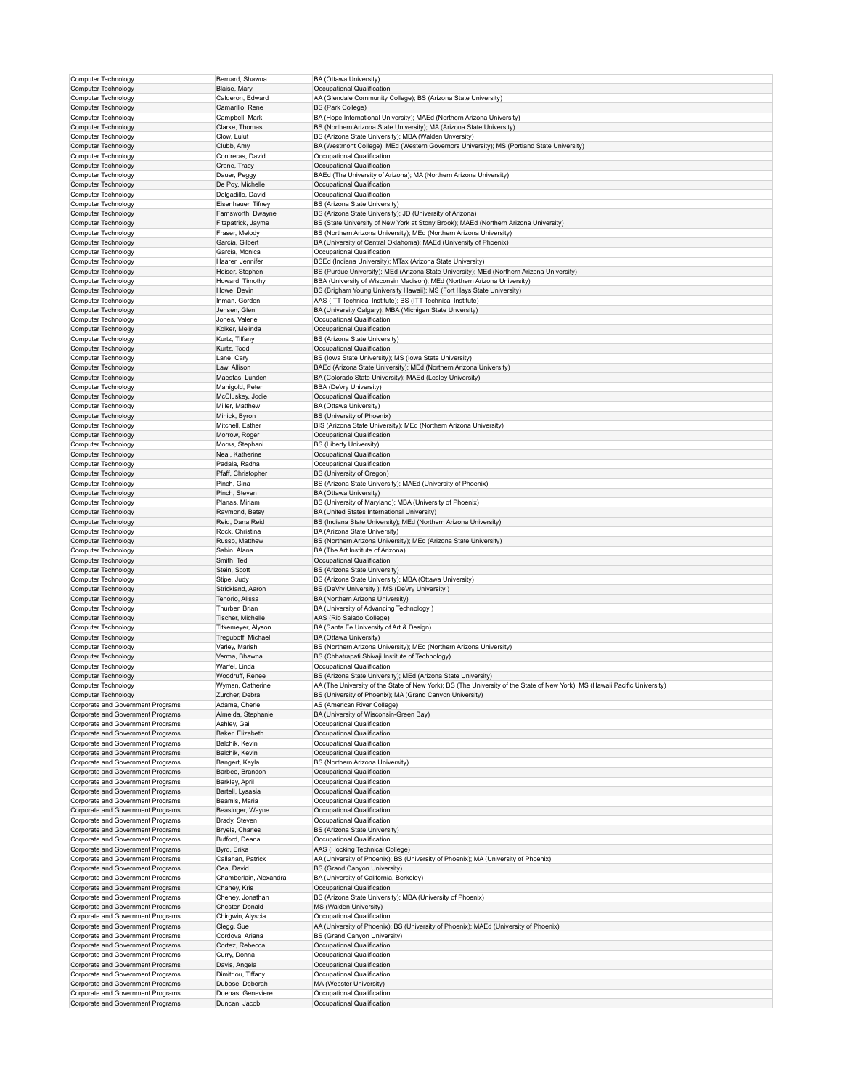| Computer Technology                                                    | Bernard, Shawna                     | BA (Ottawa University)                                                                                                     |
|------------------------------------------------------------------------|-------------------------------------|----------------------------------------------------------------------------------------------------------------------------|
| Computer Technology                                                    | Blaise, Mary                        | Occupational Qualification                                                                                                 |
| Computer Technology                                                    | Calderon, Edward                    | AA (Glendale Community College); BS (Arizona State University)                                                             |
| Computer Technology                                                    | Camarillo, Rene                     | <b>BS (Park College)</b>                                                                                                   |
| Computer Technology                                                    | Campbell, Mark                      | BA (Hope International University); MAEd (Northern Arizona University)                                                     |
| Computer Technology                                                    | Clarke, Thomas                      | BS (Northern Arizona State University); MA (Arizona State University)                                                      |
| Computer Technology                                                    | Clow, Lulut                         | BS (Arizona State University); MBA (Walden Unversity)                                                                      |
| Computer Technology                                                    | Clubb, Amy                          | BA (Westmont College); MEd (Western Governors University); MS (Portland State University)                                  |
| Computer Technology                                                    | Contreras, David                    | Occupational Qualification                                                                                                 |
| Computer Technology                                                    | Crane, Tracy                        | Occupational Qualification                                                                                                 |
| Computer Technology                                                    | Dauer, Peggy                        | BAEd (The University of Arizona); MA (Northern Arizona University)                                                         |
| Computer Technology                                                    | De Poy, Michelle                    | Occupational Qualification                                                                                                 |
| Computer Technology                                                    | Delgadillo, David                   | Occupational Qualification                                                                                                 |
| Computer Technology                                                    | Eisenhauer, Tifney                  | BS (Arizona State University)                                                                                              |
| Computer Technology                                                    | Farnsworth, Dwayne                  | BS (Arizona State University); JD (University of Arizona)                                                                  |
| Computer Technology                                                    | Fitzpatrick, Jayme                  | BS (State University of New York at Stony Brook); MAEd (Northern Arizona University)                                       |
| Computer Technology                                                    | Fraser, Melody                      | BS (Northern Arizona University); MEd (Northern Arizona University)                                                        |
| Computer Technology                                                    | Garcia, Gilbert                     | BA (University of Central Oklahoma); MAEd (University of Phoenix)                                                          |
| Computer Technology                                                    | Garcia, Monica                      | Occupational Qualification                                                                                                 |
| Computer Technology                                                    | Haarer, Jennifer                    | BSEd (Indiana University); MTax (Arizona State University)                                                                 |
| Computer Technology                                                    | Heiser, Stephen                     | BS (Purdue University); MEd (Arizona State University); MEd (Northern Arizona University)                                  |
| Computer Technology                                                    | Howard, Timothy                     | BBA (University of Wisconsin Madison); MEd (Northern Arizona University)                                                   |
| Computer Technology                                                    | Howe, Devin                         | BS (Brigham Young University Hawaii); MS (Fort Hays State University)                                                      |
| Computer Technology                                                    | Inman, Gordon                       | AAS (ITT Technical Institute); BS (ITT Technical Institute)                                                                |
| Computer Technology                                                    | Jensen, Glen                        | BA (University Calgary); MBA (Michigan State Unversity)                                                                    |
| Computer Technology                                                    | Jones, Valerie                      | Occupational Qualification                                                                                                 |
| Computer Technology                                                    | Kolker, Melinda                     | Occupational Qualification                                                                                                 |
| Computer Technology                                                    | Kurtz, Tiffany                      | BS (Arizona State University)                                                                                              |
| Computer Technology                                                    | Kurtz, Todd                         | Occupational Qualification                                                                                                 |
| Computer Technology                                                    | Lane, Cary                          | BS (lowa State University); MS (lowa State University)                                                                     |
| Computer Technology                                                    | Law, Allison                        | BAEd (Arizona State University); MEd (Northern Arizona University)                                                         |
| Computer Technology                                                    | Maestas, Lunden                     | BA (Colorado State University); MAEd (Lesley University)                                                                   |
| Computer Technology                                                    | Manigold, Peter                     | BBA (DeVry University)                                                                                                     |
| Computer Technology                                                    | McCluskey, Jodie                    | Occupational Qualification                                                                                                 |
| Computer Technology                                                    | Miller, Matthew                     | BA (Ottawa University)                                                                                                     |
| Computer Technology                                                    | Minick, Byron                       | BS (University of Phoenix)                                                                                                 |
| Computer Technology                                                    | Mitchell, Esther                    | BIS (Arizona State University); MEd (Northern Arizona University)                                                          |
| Computer Technology                                                    | Morrow, Roger                       | Occupational Qualification                                                                                                 |
| Computer Technology                                                    | Morss, Stephani                     | <b>BS (Liberty University)</b>                                                                                             |
| Computer Technology                                                    | Neal, Katherine                     | Occupational Qualification                                                                                                 |
| Computer Technology                                                    | Padala, Radha                       | Occupational Qualification                                                                                                 |
| Computer Technology                                                    | Pfaff, Christopher                  | BS (University of Oregon)                                                                                                  |
| Computer Technology                                                    | Pinch, Gina                         | BS (Arizona State University); MAEd (University of Phoenix)                                                                |
| Computer Technology                                                    | Pinch, Steven                       | BA (Ottawa University)                                                                                                     |
| Computer Technology                                                    | Planas, Miriam                      | BS (University of Maryland); MBA (University of Phoenix)                                                                   |
| Computer Technology                                                    | Raymond, Betsy                      | BA (United States International University)                                                                                |
| Computer Technology                                                    | Reid, Dana Reid                     | BS (Indiana State University); MEd (Northern Arizona University)                                                           |
| Computer Technology                                                    | Rock, Christina                     | BA (Arizona State University)                                                                                              |
| Computer Technology                                                    | Russo, Matthew                      | BS (Northern Arizona University); MEd (Arizona State University)                                                           |
| Computer Technology                                                    | Sabin, Alana                        | BA (The Art Institute of Arizona)                                                                                          |
| Computer Technology                                                    | Smith, Ted                          | Occupational Qualification                                                                                                 |
| Computer Technology                                                    | Stein, Scott                        | BS (Arizona State University)                                                                                              |
| Computer Technology                                                    | Stipe, Judy                         | BS (Arizona State University); MBA (Ottawa University)                                                                     |
| Computer Technology                                                    | Strickland, Aaron                   | BS (DeVry University ); MS (DeVry University )                                                                             |
| Computer Technology                                                    | Tenorio, Alissa                     | BA (Northern Arizona University)                                                                                           |
| Computer Technology                                                    | Thurber, Brian                      | BA (University of Advancing Technology)                                                                                    |
| Computer Technology                                                    | Tischer, Michelle                   | AAS (Rio Salado College)                                                                                                   |
| Computer Technology                                                    | Titkemeyer, Alyson                  | BA (Santa Fe University of Art & Design)                                                                                   |
| Computer Technology                                                    | Treguboff, Michael                  | BA (Ottawa University)                                                                                                     |
| Computer Technology                                                    | Varley, Marish                      | BS (Northern Arizona University); MEd (Northern Arizona University)                                                        |
| Computer Technology                                                    | Verma, Bhawna                       | BS (Chhatrapati Shivaji Institute of Technology)                                                                           |
| Computer Technology                                                    | Warfel, Linda<br>Woodruff, Renee    | Occupational Qualification<br>BS (Arizona State University); MEd (Arizona State University)                                |
| Computer Technology<br>Computer Technology                             | Wyman, Catherine                    | AA (The University of the State of New York); BS (The University of the State of New York); MS (Hawaii Pacific University) |
|                                                                        |                                     |                                                                                                                            |
| Computer Technology<br>Corporate and Government Programs               | Zurcher, Debra                      | BS (University of Phoenix); MA (Grand Canyon University)                                                                   |
| Corporate and Government Programs                                      | Adame, Cherie<br>Almeida, Stephanie | AS (American River College)<br>BA (University of Wisconsin-Green Bay)                                                      |
| Corporate and Government Programs                                      | Ashley, Gail                        | Occupational Qualification                                                                                                 |
| Corporate and Government Programs                                      | Baker, Elizabeth                    | Occupational Qualification                                                                                                 |
| Corporate and Government Programs                                      | Balchik, Kevin                      | Occupational Qualification                                                                                                 |
| Corporate and Government Programs                                      | Balchik, Kevin                      | Occupational Qualification                                                                                                 |
| Corporate and Government Programs                                      | Bangert, Kayla                      | BS (Northern Arizona University)                                                                                           |
| Corporate and Government Programs                                      | Barbee, Brandon                     | Occupational Qualification                                                                                                 |
| Corporate and Government Programs                                      | Barkley, April                      | Occupational Qualification                                                                                                 |
| Corporate and Government Programs                                      | Bartell, Lysasia                    | Occupational Qualification                                                                                                 |
| Corporate and Government Programs                                      | Beamis, Maria                       | Occupational Qualification                                                                                                 |
| Corporate and Government Programs                                      | Beasinger, Wayne                    | Occupational Qualification                                                                                                 |
| Corporate and Government Programs                                      | Brady, Steven                       | Occupational Qualification                                                                                                 |
| Corporate and Government Programs                                      | Bryels, Charles                     | BS (Arizona State University)                                                                                              |
| Corporate and Government Programs                                      | Bufford, Deana                      | Occupational Qualification                                                                                                 |
| Corporate and Government Programs                                      | Byrd, Erika                         | AAS (Hocking Technical College)                                                                                            |
| Corporate and Government Programs                                      | Callahan, Patrick                   | AA (University of Phoenix); BS (University of Phoenix); MA (University of Phoenix)                                         |
| Corporate and Government Programs                                      | Cea, David                          | BS (Grand Canyon University)                                                                                               |
| Corporate and Government Programs                                      | Chamberlain, Alexandra              | BA (University of California, Berkeley)                                                                                    |
| Corporate and Government Programs                                      | Chaney, Kris                        | Occupational Qualification                                                                                                 |
| Corporate and Government Programs                                      | Cheney, Jonathan                    | BS (Arizona State University); MBA (University of Phoenix)                                                                 |
| Corporate and Government Programs                                      | Chester, Donald                     | MS (Walden University)                                                                                                     |
| Corporate and Government Programs                                      | Chirgwin, Alyscia                   | Occupational Qualification                                                                                                 |
| Corporate and Government Programs                                      | Clegg, Sue                          | AA (University of Phoenix); BS (University of Phoenix); MAEd (University of Phoenix)                                       |
| Corporate and Government Programs                                      | Cordova, Ariana                     | BS (Grand Canyon University)                                                                                               |
| Corporate and Government Programs                                      | Cortez, Rebecca                     | Occupational Qualification                                                                                                 |
| Corporate and Government Programs                                      |                                     |                                                                                                                            |
| Corporate and Government Programs                                      | Curry, Donna                        | Occupational Qualification                                                                                                 |
|                                                                        | Davis, Angela                       | Occupational Qualification                                                                                                 |
| Corporate and Government Programs                                      | Dimitriou, Tiffany                  | Occupational Qualification                                                                                                 |
| Corporate and Government Programs                                      | Dubose, Deborah                     | MA (Webster University)                                                                                                    |
| Corporate and Government Programs<br>Corporate and Government Programs | Duenas, Geneviere<br>Duncan, Jacob  | Occupational Qualification<br>Occupational Qualification                                                                   |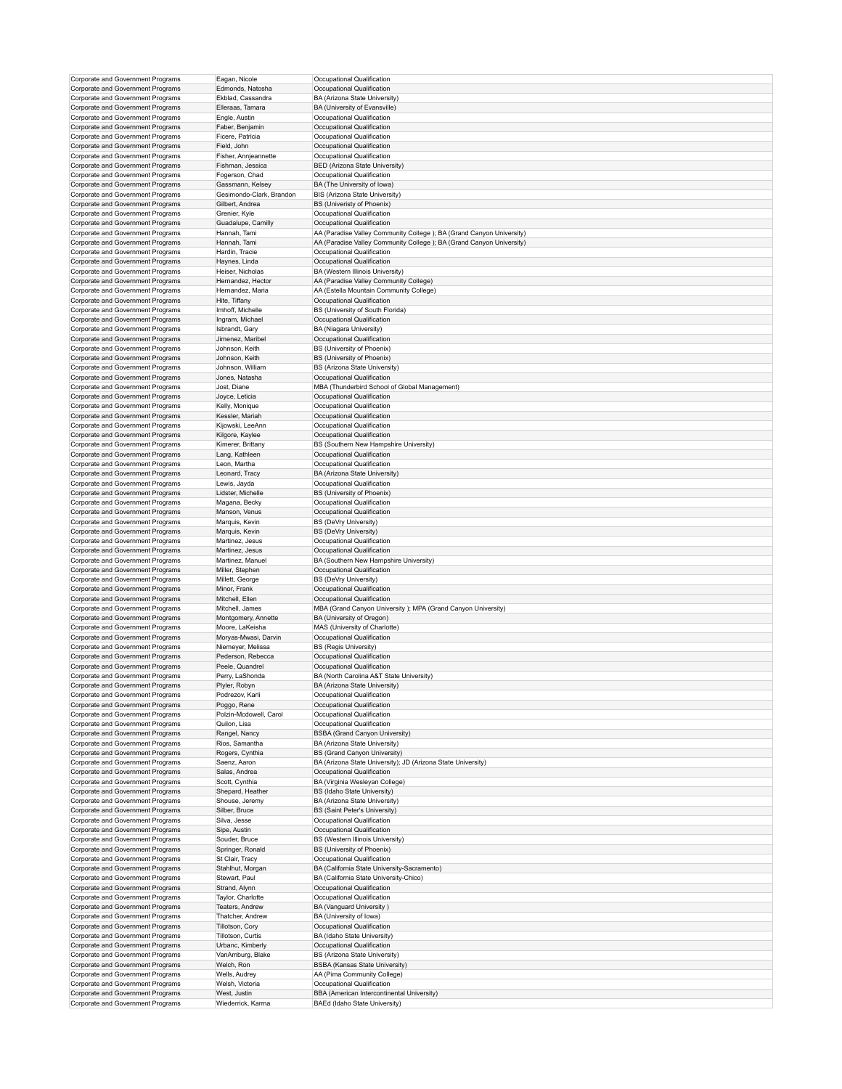| Corporate and Government Programs<br>Corporate and Government Programs | Eagan, Nicole                     | Occupational Qualification                                                  |
|------------------------------------------------------------------------|-----------------------------------|-----------------------------------------------------------------------------|
|                                                                        | Edmonds, Natosha                  | Occupational Qualification                                                  |
| Corporate and Government Programs                                      | Ekblad, Cassandra                 | BA (Arizona State University)                                               |
|                                                                        |                                   |                                                                             |
| Corporate and Government Programs                                      | Elleraas, Tamara                  | BA (University of Evansville)                                               |
| Corporate and Government Programs                                      | Engle, Austin                     | Occupational Qualification                                                  |
| Corporate and Government Programs                                      | Faber, Benjamin                   | Occupational Qualification                                                  |
| Corporate and Government Programs                                      | Ficere, Patricia                  | Occupational Qualification                                                  |
| Corporate and Government Programs                                      | Field, John                       | Occupational Qualification                                                  |
|                                                                        | Fisher, Annjeannette              |                                                                             |
| Corporate and Government Programs                                      |                                   | Occupational Qualification                                                  |
| Corporate and Government Programs                                      | Fishman, Jessica                  | BED (Arizona State University)                                              |
| Corporate and Government Programs                                      | Fogerson, Chad                    | Occupational Qualification                                                  |
| Corporate and Government Programs                                      | Gassmann, Kelsey                  | BA (The University of Iowa)                                                 |
| Corporate and Government Programs                                      | Gesimondo-Clark, Brandon          | BIS (Arizona State University)                                              |
| Corporate and Government Programs                                      | Gilbert, Andrea                   | BS (Univeristy of Phoenix)                                                  |
| Corporate and Government Programs                                      |                                   |                                                                             |
|                                                                        | Grenier, Kyle                     | Occupational Qualification                                                  |
| Corporate and Government Programs                                      | Guadalupe, Camilly                | Occupational Qualification                                                  |
| Corporate and Government Programs                                      | Hannah, Tami                      | AA (Paradise Valley Community College); BA (Grand Canyon University)        |
| Corporate and Government Programs                                      | Hannah, Tami                      | AA (Paradise Valley Community College); BA (Grand Canyon University)        |
| Corporate and Government Programs                                      | Hardin, Tracie                    | Occupational Qualification                                                  |
| Corporate and Government Programs                                      | Haynes, Linda                     | Occupational Qualification                                                  |
| Corporate and Government Programs                                      |                                   |                                                                             |
|                                                                        | Heiser, Nicholas                  | BA (Western Illinois University)                                            |
| Corporate and Government Programs                                      | Hernandez, Hector                 | AA (Paradise Valley Community College)                                      |
| Corporate and Government Programs                                      | Hernandez, Maria                  | AA (Estella Mountain Community College)                                     |
| Corporate and Government Programs                                      | Hite, Tiffany                     | Occupational Qualification                                                  |
| Corporate and Government Programs                                      | Imhoff, Michelle                  | BS (University of South Florida)                                            |
|                                                                        |                                   |                                                                             |
| Corporate and Government Programs                                      | Ingram, Michael                   | Occupational Qualification                                                  |
| Corporate and Government Programs                                      | Isbrandt, Gary                    | BA (Niagara University)                                                     |
| Corporate and Government Programs                                      | Jimenez, Maribel                  | Occupational Qualification                                                  |
| Corporate and Government Programs                                      | Johnson, Keith                    | <b>BS (University of Phoenix)</b>                                           |
| Corporate and Government Programs                                      | Johnson, Keith                    | BS (University of Phoenix)                                                  |
|                                                                        |                                   |                                                                             |
| Corporate and Government Programs                                      | Johnson, William                  | BS (Arizona State University)                                               |
| Corporate and Government Programs                                      | Jones, Natasha                    | Occupational Qualification                                                  |
| Corporate and Government Programs                                      | Jost, Diane                       | MBA (Thunderbird School of Global Management)                               |
| Corporate and Government Programs                                      | Joyce, Leticia                    | Occupational Qualification                                                  |
|                                                                        |                                   |                                                                             |
| Corporate and Government Programs                                      | Kelly, Monique                    | Occupational Qualification                                                  |
| Corporate and Government Programs                                      | Kessler, Mariah                   | Occupational Qualification                                                  |
| Corporate and Government Programs                                      | Kijowski, LeeAnn                  | Occupational Qualification                                                  |
| Corporate and Government Programs                                      | Kilgore, Kaylee                   | Occupational Qualification                                                  |
|                                                                        |                                   |                                                                             |
| Corporate and Government Programs                                      | Kimerer, Brittany                 | BS (Southern New Hampshire University)                                      |
| Corporate and Government Programs                                      | Lang, Kathleen                    | Occupational Qualification                                                  |
| Corporate and Government Programs                                      | Leon, Martha                      | Occupational Qualification                                                  |
| Corporate and Government Programs                                      | Leonard, Tracy                    | BA (Arizona State University)                                               |
| Corporate and Government Programs                                      | Lewis, Jayda                      | Occupational Qualification                                                  |
|                                                                        |                                   |                                                                             |
| Corporate and Government Programs                                      | Lidster, Michelle                 | BS (University of Phoenix)                                                  |
| Corporate and Government Programs                                      | Magana, Becky                     | Occupational Qualification                                                  |
| Corporate and Government Programs                                      | Manson, Venus                     | Occupational Qualification                                                  |
| Corporate and Government Programs                                      | Marquis, Kevin                    | <b>BS (DeVry University)</b>                                                |
| Corporate and Government Programs                                      | Marquis, Kevin                    | BS (DeVry University)                                                       |
|                                                                        |                                   |                                                                             |
| Corporate and Government Programs                                      | Martinez, Jesus                   | Occupational Qualification                                                  |
| Corporate and Government Programs                                      | Martinez, Jesus                   | Occupational Qualification                                                  |
| Corporate and Government Programs                                      | Martinez, Manuel                  | BA (Southern New Hampshire University)                                      |
| Corporate and Government Programs                                      | Miller, Stephen                   | Occupational Qualification                                                  |
|                                                                        |                                   |                                                                             |
| Corporate and Government Programs                                      | Millett, George                   | <b>BS (DeVry University)</b>                                                |
| Corporate and Government Programs                                      | Minor, Frank                      | Occupational Qualification                                                  |
| Corporate and Government Programs                                      | Mitchell, Ellen                   | Occupational Qualification                                                  |
| Corporate and Government Programs                                      | Mitchell, James                   | MBA (Grand Canyon University ); MPA (Grand Canyon University)               |
| Corporate and Government Programs                                      | Montgomery, Annette               | BA (University of Oregon)                                                   |
|                                                                        |                                   |                                                                             |
|                                                                        |                                   |                                                                             |
| Corporate and Government Programs                                      | Moore, LaKeisha                   | MAS (University of Charlotte)                                               |
| Corporate and Government Programs                                      | Moryas-Mwasi, Darvin              | Occupational Qualification                                                  |
|                                                                        | Niemeyer, Melissa                 |                                                                             |
| Corporate and Government Programs<br>Corporate and Government Programs | Pederson, Rebecca                 | <b>BS (Regis University)</b>                                                |
|                                                                        |                                   | Occupational Qualification                                                  |
| Corporate and Government Programs                                      | Peele, Quandrel                   | Occupational Qualification                                                  |
| Corporate and Government Programs                                      | Perry, LaShonda                   | BA (North Carolina A&T State University)                                    |
| Corporate and Government Programs                                      | Plyler, Robyn                     | BA (Arizona State University)                                               |
|                                                                        | Podrezov, Karli                   | Occupational Qualification                                                  |
| Corporate and Government Programs                                      |                                   |                                                                             |
| Corporate and Government Programs                                      | Poggo, Rene                       | Occupational Qualification                                                  |
| Corporate and Government Programs                                      | Polzin-Mcdowell, Carol            | Occupational Qualification                                                  |
| Corporate and Government Programs                                      | Quilon, Lisa                      | Occupational Qualification                                                  |
| Corporate and Government Programs                                      | Rangel, Nancy                     | <b>BSBA</b> (Grand Canyon University)                                       |
| Corporate and Government Programs                                      | Rios, Samantha                    | BA (Arizona State University)                                               |
| Corporate and Government Programs                                      |                                   | BS (Grand Canyon University)                                                |
|                                                                        | Rogers, Cynthia                   |                                                                             |
| Corporate and Government Programs                                      | Saenz, Aaron                      | BA (Arizona State University); JD (Arizona State University)                |
| Corporate and Government Programs                                      | Salas, Andrea                     | Occupational Qualification                                                  |
| Corporate and Government Programs                                      | Scott, Cynthia                    | BA (Virginia Wesleyan College)                                              |
| Corporate and Government Programs                                      | Shepard, Heather                  | BS (Idaho State University)                                                 |
| Corporate and Government Programs                                      |                                   |                                                                             |
|                                                                        | Shouse, Jeremy                    | BA (Arizona State University)                                               |
| Corporate and Government Programs                                      | Silber, Bruce                     | BS (Saint Peter's University)                                               |
| Corporate and Government Programs                                      | Silva, Jesse                      | Occupational Qualification                                                  |
| Corporate and Government Programs                                      | Sipe, Austin                      | Occupational Qualification                                                  |
| Corporate and Government Programs                                      | Souder, Bruce                     | BS (Western Illinois University)                                            |
|                                                                        |                                   |                                                                             |
| Corporate and Government Programs                                      | Springer, Ronald                  | BS (University of Phoenix)                                                  |
| Corporate and Government Programs                                      | St Clair, Tracy                   | Occupational Qualification                                                  |
| Corporate and Government Programs                                      | Stahlhut, Morgan                  | BA (California State University-Sacramento)                                 |
| Corporate and Government Programs                                      | Stewart, Paul                     | BA (California State University-Chico)                                      |
|                                                                        |                                   |                                                                             |
| Corporate and Government Programs                                      | Strand, Alynn                     | Occupational Qualification                                                  |
| Corporate and Government Programs                                      | Taylor, Charlotte                 | Occupational Qualification                                                  |
| Corporate and Government Programs                                      | Teaters, Andrew                   | BA (Vanguard University)                                                    |
| Corporate and Government Programs                                      | Thatcher, Andrew                  | BA (University of Iowa)                                                     |
|                                                                        | Tillotson, Cory                   | Occupational Qualification                                                  |
| Corporate and Government Programs                                      |                                   |                                                                             |
| Corporate and Government Programs                                      | Tillotson, Curtis                 | BA (Idaho State University)                                                 |
| Corporate and Government Programs                                      | Urbanc, Kimberly                  | Occupational Qualification                                                  |
| Corporate and Government Programs                                      | VanAmburg, Blake                  | BS (Arizona State University)                                               |
| Corporate and Government Programs                                      | Welch, Ron                        | <b>BSBA</b> (Kansas State University)                                       |
|                                                                        |                                   |                                                                             |
| Corporate and Government Programs                                      | Wells, Audrey                     | AA (Pima Community College)                                                 |
| Corporate and Government Programs                                      | Welsh, Victoria                   | Occupational Qualification                                                  |
| Corporate and Government Programs<br>Corporate and Government Programs | West, Justin<br>Wiederrick, Karma | BBA (American Intercontinental University)<br>BAEd (Idaho State University) |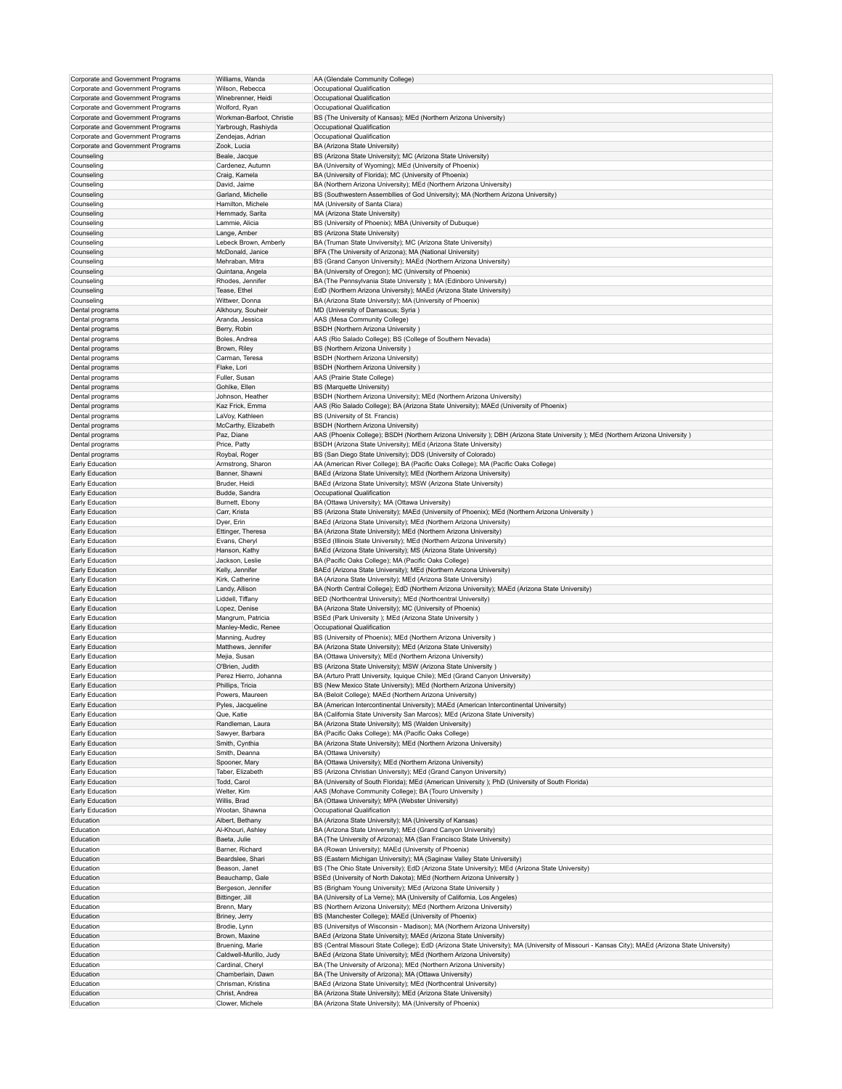| Corporate and Government Programs | Williams, Wanda           | AA (Glendale Community College)                                                                                                                 |
|-----------------------------------|---------------------------|-------------------------------------------------------------------------------------------------------------------------------------------------|
| Corporate and Government Programs | Wilson, Rebecca           | Occupational Qualification                                                                                                                      |
| Corporate and Government Programs | Winebrenner, Heidi        | Occupational Qualification                                                                                                                      |
| Corporate and Government Programs | Wolford, Ryan             | Occupational Qualification                                                                                                                      |
| Corporate and Government Programs | Workman-Barfoot, Christie | BS (The University of Kansas); MEd (Northern Arizona University)                                                                                |
| Corporate and Government Programs | Yarbrough, Rashiyda       | Occupational Qualification                                                                                                                      |
| Corporate and Government Programs | Zendejas, Adrian          | Occupational Qualification                                                                                                                      |
| Corporate and Government Programs | Zook, Lucia               | BA (Arizona State University)                                                                                                                   |
| Counseling                        | Beale, Jacque             | BS (Arizona State University); MC (Arizona State University)                                                                                    |
| Counseling                        | Cardenez, Autumn          | BA (University of Wyoming); MEd (University of Phoenix)                                                                                         |
| Counseling                        | Craig, Kamela             | BA (University of Florida); MC (University of Phoenix)                                                                                          |
| Counseling                        | David, Jaime              | BA (Northern Arizona University); MEd (Northern Arizona University)                                                                             |
| Counseling                        | Garland, Michelle         | BS (Southwestern Assembllies of God University); MA (Northern Arizona University)                                                               |
| Counseling                        | Hamilton, Michele         | MA (University of Santa Clara)                                                                                                                  |
| Counseling                        | Hemmady, Sarita           | MA (Arizona State University)                                                                                                                   |
| Counseling                        | Lammie, Alicia            | BS (University of Phoenix); MBA (University of Dubuque)                                                                                         |
| Counseling                        | Lange, Amber              | BS (Arizona State University)                                                                                                                   |
| Counseling                        | Lebeck Brown, Amberly     | BA (Truman State Unviversity); MC (Arizona State University)                                                                                    |
|                                   |                           |                                                                                                                                                 |
| Counseling                        | McDonald, Janice          | BFA (The University of Arizona); MA (National University)                                                                                       |
| Counseling                        | Mehraban, Mitra           | BS (Grand Canyon University); MAEd (Northern Arizona University)                                                                                |
| Counseling                        | Quintana, Angela          | BA (University of Oregon); MC (University of Phoenix)                                                                                           |
| Counseling                        | Rhodes, Jennifer          | BA (The Pennsylvania State University ); MA (Edinboro University)                                                                               |
| Counseling                        | Tease, Ethel              | EdD (Northern Arizona University); MAEd (Arizona State University)                                                                              |
| Counseling                        | Wittwer, Donna            | BA (Arizona State University); MA (University of Phoenix)                                                                                       |
| Dental programs                   | Alkhoury, Souheir         | MD (University of Damascus; Syria)                                                                                                              |
| Dental programs                   | Aranda, Jessica           | AAS (Mesa Community College)                                                                                                                    |
| Dental programs                   | Berry, Robin              | <b>BSDH</b> (Northern Arizona University)                                                                                                       |
| Dental programs                   | Boles, Andrea             | AAS (Rio Salado College); BS (College of Southern Nevada)                                                                                       |
| Dental programs                   | Brown, Riley              | BS (Northern Arizona University)                                                                                                                |
| Dental programs                   | Carman, Teresa            | BSDH (Northern Arizona University)                                                                                                              |
| Dental programs                   | Flake, Lori               | <b>BSDH</b> (Northern Arizona University)                                                                                                       |
| Dental programs                   | Fuller, Susan             | AAS (Prairie State College)                                                                                                                     |
| Dental programs                   | Gohlke, Ellen             | BS (Marquette University)                                                                                                                       |
| Dental programs                   | Johnson, Heather          | BSDH (Northern Arizona University); MEd (Northern Arizona University)                                                                           |
| Dental programs                   | Kaz Frick, Emma           | AAS (Rio Salado College); BA (Arizona State University); MAEd (University of Phoenix)                                                           |
| Dental programs                   | LaVoy, Kathleen           | BS (University of St. Francis)                                                                                                                  |
| Dental programs                   | McCarthy, Elizabeth       | BSDH (Northern Arizona University)                                                                                                              |
| Dental programs                   | Paz, Diane                | AAS (Phoenix College); BSDH (Northern Arizona University); DBH (Arizona State University); MEd (Northern Arizona University)                    |
| Dental programs                   | Price, Patty              | BSDH (Arizona State University); MEd (Arizona State University)                                                                                 |
|                                   |                           |                                                                                                                                                 |
| Dental programs                   | Roybal, Roger             | BS (San Diego State University); DDS (University of Colorado)                                                                                   |
| Early Education                   | Armstrong, Sharon         | AA (American River College); BA (Pacific Oaks College); MA (Pacific Oaks College)                                                               |
| Early Education                   | Banner, Shawni            | BAEd (Arizona State University); MEd (Northern Arizona University)                                                                              |
| Early Education                   | Bruder, Heidi             | BAEd (Arizona State University); MSW (Arizona State University)                                                                                 |
| Early Education                   | Budde, Sandra             | Occupational Qualification                                                                                                                      |
| Early Education                   | Burnett, Ebony            | BA (Ottawa University); MA (Ottawa University)                                                                                                  |
| Early Education                   | Carr, Krista              | BS (Arizona State University); MAEd (University of Phoenix); MEd (Northern Arizona University)                                                  |
| Early Education                   | Dyer, Erin                | BAEd (Arizona State University); MEd (Northern Arizona University)                                                                              |
| Early Education                   | Ettinger, Theresa         | BA (Arizona State University); MEd (Northern Arizona University)                                                                                |
| Early Education                   | Evans, Cheryl             | BSEd (Illinois State University); MEd (Northern Arizona University)                                                                             |
| Early Education                   | Hanson, Kathy             | BAEd (Arizona State University); MS (Arizona State University)                                                                                  |
| Early Education                   | Jackson, Leslie           | BA (Pacific Oaks College); MA (Pacific Oaks College)                                                                                            |
| Early Education                   | Kelly, Jennifer           | BAEd (Arizona State University); MEd (Northern Arizona University)                                                                              |
| Early Education                   | Kirk, Catherine           | BA (Arizona State University); MEd (Arizona State University)                                                                                   |
| Early Education                   | Landy, Allison            | BA (North Central College); EdD (Northern Arizona University); MAEd (Arizona State University)                                                  |
| Early Education                   | Liddell, Tiffany          | BED (Northcentral University); MEd (Northcentral University)                                                                                    |
| Early Education                   | Lopez, Denise             | BA (Arizona State University); MC (University of Phoenix)                                                                                       |
| Early Education                   | Mangrum, Patricia         | BSEd (Park University ); MEd (Arizona State University )                                                                                        |
|                                   | Manley-Medic, Renee       | Occupational Qualification                                                                                                                      |
| Early Education                   |                           |                                                                                                                                                 |
| Early Education                   | Manning, Audrey           | BS (University of Phoenix); MEd (Northern Arizona University)                                                                                   |
| Early Education                   | Matthews, Jennifer        | BA (Arizona State University); MEd (Arizona State University)                                                                                   |
| Early Education                   | Mejia, Susan              | BA (Ottawa University); MEd (Northern Arizona University)                                                                                       |
| Early Education                   | O'Brien, Judith           | BS (Arizona State University); MSW (Arizona State University)                                                                                   |
| Early Education                   | Perez Hierro, Johanna     | BA (Arturo Pratt University, Iquique Chile); MEd (Grand Canyon University)                                                                      |
| Early Education                   | Phillips, Tricia          | BS (New Mexico State University); MEd (Northern Arizona University)                                                                             |
| Early Education                   | Powers, Maureen           | BA (Beloit College); MAEd (Northern Arizona University)                                                                                         |
| Early Education                   | Pyles, Jacqueline         | BA (American Intercontinental University); MAEd (American Intercontinental University)                                                          |
| Early Education                   | Que, Katie                | BA (California State University San Marcos); MEd (Arizona State University)                                                                     |
| Early Education                   | Randleman, Laura          | BA (Arizona State University); MS (Walden University)                                                                                           |
| Early Education                   | Sawyer, Barbara           | BA (Pacific Oaks College); MA (Pacific Oaks College)                                                                                            |
| Early Education                   | Smith, Cynthia            | BA (Arizona State University); MEd (Northern Arizona University)                                                                                |
| Early Education                   | Smith, Deanna             | BA (Ottawa University)                                                                                                                          |
| Early Education                   | Spooner, Mary             | BA (Ottawa University); MEd (Northern Arizona University)                                                                                       |
| Early Education                   | Taber, Elizabeth          | BS (Arizona Christian University); MEd (Grand Canyon University)                                                                                |
| Early Education                   | Todd, Carol               | BA (University of South Florida); MEd (American University); PhD (University of South Florida)                                                  |
| Early Education                   | Welter, Kim               | AAS (Mohave Community College); BA (Touro University)                                                                                           |
| Early Education                   | Willis, Brad              | BA (Ottawa University); MPA (Webster University)                                                                                                |
| Early Education                   | Wootan, Shawna            | Occupational Qualification                                                                                                                      |
| Education                         | Albert, Bethany           | BA (Arizona State University); MA (University of Kansas)                                                                                        |
| Education                         | Al-Khouri, Ashley         | BA (Arizona State University); MEd (Grand Canyon University)                                                                                    |
| Education                         | Baeta, Julie              | BA (The University of Arizona); MA (San Francisco State University)                                                                             |
| Education                         | Barner, Richard           | BA (Rowan University); MAEd (University of Phoenix)                                                                                             |
| Education                         |                           |                                                                                                                                                 |
|                                   | Beardslee, Shari          | BS (Eastern Michigan University); MA (Saginaw Valley State University)                                                                          |
| Education                         | Beason, Janet             | BS (The Ohio State University); EdD (Arizona State University); MEd (Arizona State University)                                                  |
| Education                         | Beauchamp, Gale           | BSEd (University of North Dakota); MEd (Northern Arizona University)                                                                            |
| Education                         | Bergeson, Jennifer        | BS (Brigham Young University); MEd (Arizona State University)                                                                                   |
| Education                         | Bittinger, Jill           | BA (University of La Verne); MA (University of California, Los Angeles)                                                                         |
| Education                         | Brenn, Mary               | BS (Northern Arizona University); MEd (Northern Arizona University)                                                                             |
| Education                         | Briney, Jerry             | BS (Manchester College); MAEd (University of Phoenix)                                                                                           |
| Education                         | Brodie, Lynn              | BS (Universitys of Wisconsin - Madison); MA (Northern Arizona University)                                                                       |
| Education                         | Brown, Maxine             | BAEd (Arizona State University); MAEd (Arizona State University)                                                                                |
| Education                         | Bruening, Marie           | BS (Central Missouri State College); EdD (Arizona State University); MA (University of Missouri - Kansas City); MAEd (Arizona State University) |
| Education                         | Caldwell-Murillo, Judy    | BAEd (Arizona State University); MEd (Northern Arizona University)                                                                              |
| Education                         | Cardinal, Cheryl          | BA (The University of Arizona); MEd (Northern Arizona University)                                                                               |
| Education                         | Chamberlain, Dawn         | BA (The University of Arizona); MA (Ottawa University)                                                                                          |
| Education                         | Chrisman, Kristina        | BAEd (Arizona State University); MEd (Northcentral University)                                                                                  |
| Education                         | Christ, Andrea            | BA (Arizona State University); MEd (Arizona State University)                                                                                   |
| Education                         | Clower, Michele           | BA (Arizona State University); MA (University of Phoenix)                                                                                       |
|                                   |                           |                                                                                                                                                 |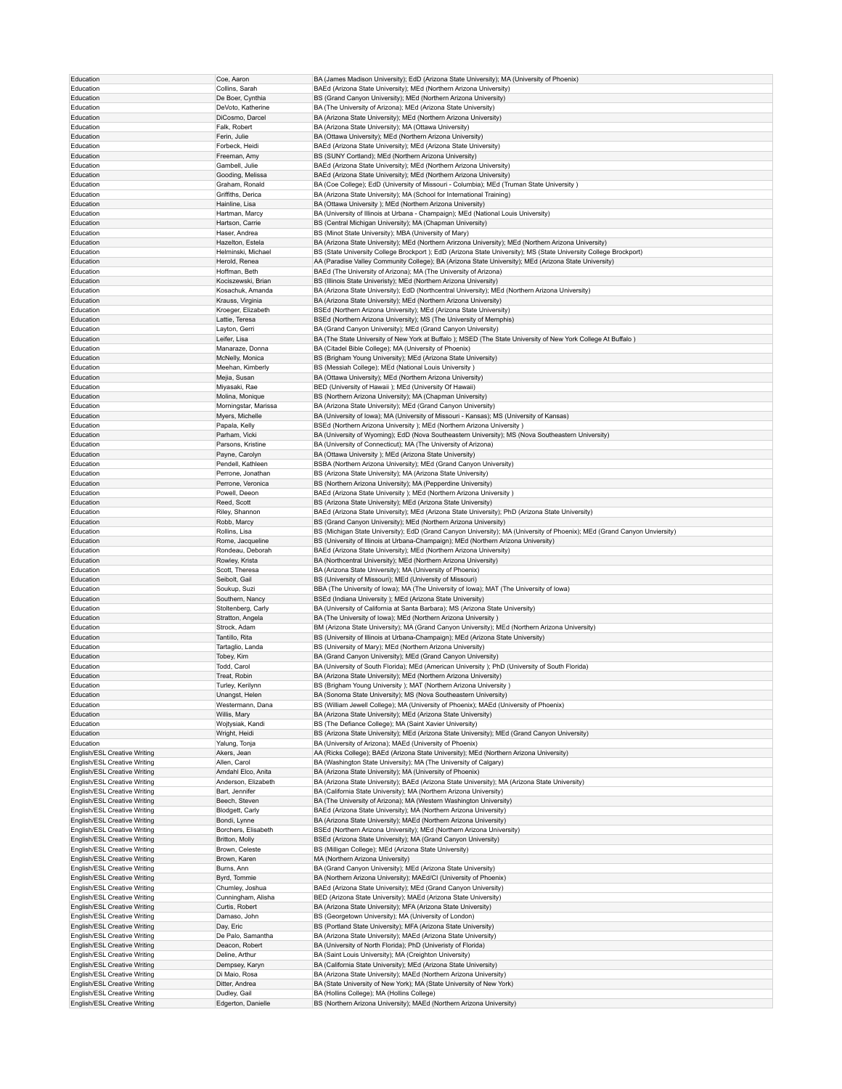| Education                    | Coe, Aaron           | BA (James Madison University); EdD (Arizona State University); MA (University of Phoenix)                                |
|------------------------------|----------------------|--------------------------------------------------------------------------------------------------------------------------|
| Education                    | Collins, Sarah       | BAEd (Arizona State University); MEd (Northern Arizona University)                                                       |
|                              |                      |                                                                                                                          |
| Education                    | De Boer, Cynthia     | BS (Grand Canyon University); MEd (Northern Arizona University)                                                          |
| Education                    | DeVoto, Katherine    | BA (The University of Arizona); MEd (Arizona State University)                                                           |
| Education                    | DiCosmo, Darcel      | BA (Arizona State University); MEd (Northern Arizona University)                                                         |
| Education                    | Falk, Robert         | BA (Arizona State University); MA (Ottawa University)                                                                    |
| Education                    | Ferin, Julie         | BA (Ottawa University); MEd (Northern Arizona University)                                                                |
| Education                    | Forbeck, Heidi       | BAEd (Arizona State University); MEd (Arizona State University)                                                          |
| Education                    | Freeman, Amy         | BS (SUNY Cortland); MEd (Northern Arizona University)                                                                    |
| Education                    | Gambell, Julie       | BAEd (Arizona State University); MEd (Northern Arizona University)                                                       |
|                              |                      |                                                                                                                          |
| Education                    | Gooding, Melissa     | BAEd (Arizona State University); MEd (Northern Arizona University)                                                       |
| Education                    | Graham, Ronald       | BA (Coe College); EdD (University of Missouri - Columbia); MEd (Truman State University)                                 |
| Education                    | Griffiths, Derica    | BA (Arizona State University); MA (School for International Training)                                                    |
| Education                    | Hainline, Lisa       | BA (Ottawa University); MEd (Northern Arizona University)                                                                |
| Education                    | Hartman, Marcy       | BA (University of Illinois at Urbana - Champaign); MEd (National Louis University)                                       |
| Education                    | Hartson, Carrie      | BS (Central Michigan University); MA (Chapman University)                                                                |
| Education                    | Haser, Andrea        | BS (Minot State University); MBA (University of Mary)                                                                    |
|                              | Hazelton, Estela     | BA (Arizona State University); MEd (Northern Arirzona University); MEd (Northern Arizona University)                     |
| Education                    |                      |                                                                                                                          |
| Education                    | Helminski, Michael   | BS (State University College Brockport); EdD (Arizona State University); MS (State University College Brockport)         |
| Education                    | Herold, Renea        | AA (Paradise Valley Community College); BA (Arizona State University); MEd (Arizona State University)                    |
| Education                    | Hoffman, Beth        | BAEd (The University of Arizona); MA (The University of Arizona)                                                         |
| Education                    | Kociszewski, Brian   | BS (Illinois State Univeristy); MEd (Northern Arizona University)                                                        |
| Education                    | Kosachuk, Amanda     | BA (Arizona State University); EdD (Northcentral University); MEd (Northern Arizona University)                          |
| Education                    | Krauss, Virginia     | BA (Arizona State University); MEd (Northern Arizona University)                                                         |
| Education                    | Kroeger, Elizabeth   | BSEd (Northern Arizona University); MEd (Arizona State University)                                                       |
|                              |                      |                                                                                                                          |
| Education                    | Lattie, Teresa       | BSEd (Northern Arizona University); MS (The University of Memphis)                                                       |
| Education                    | Layton, Gerri        | BA (Grand Canyon University); MEd (Grand Canyon University)                                                              |
| Education                    | Leifer, Lisa         | BA (The State University of New York at Buffalo); MSED (The State University of New York College At Buffalo)             |
| Education                    | Manaraze, Donna      | BA (Citadel Bible College); MA (University of Phoenix)                                                                   |
| Education                    | McNelly, Monica      | BS (Brigham Young University); MEd (Arizona State University)                                                            |
| Education                    | Meehan, Kimberly     | BS (Messiah College); MEd (National Louis University)                                                                    |
| Education                    | Mejia, Susan         | BA (Ottawa University); MEd (Northern Arizona University)                                                                |
|                              | Miyasaki, Rae        | BED (University of Hawaii); MEd (University Of Hawaii)                                                                   |
| Education                    |                      |                                                                                                                          |
| Education                    | Molina, Monique      | BS (Northern Arizona University); MA (Chapman University)                                                                |
| Education                    | Morningstar, Marissa | BA (Arizona State University); MEd (Grand Canyon University)                                                             |
| Education                    | Myers, Michelle      | BA (University of Iowa); MA (University of Missouri - Kansas); MS (University of Kansas)                                 |
| Education                    | Papala, Kelly        | BSEd (Northern Arizona University ); MEd (Northern Arizona University )                                                  |
| Education                    | Parham, Vicki        | BA (University of Wyoming); EdD (Nova Southeastern University); MS (Nova Southeastern University)                        |
| Education                    | Parsons, Kristine    | BA (University of Connecticut); MA (The University of Arizona)                                                           |
| Education                    |                      |                                                                                                                          |
|                              | Payne, Carolyn       | BA (Ottawa University ); MEd (Arizona State University)                                                                  |
| Education                    | Pendell, Kathleen    | BSBA (Northern Arizona University); MEd (Grand Canyon University)                                                        |
| Education                    | Perrone, Jonathan    | BS (Arizona State University); MA (Arizona State University)                                                             |
| Education                    | Perrone, Veronica    | BS (Northern Arizona University); MA (Pepperdine University)                                                             |
| Education                    | Powell, Deeon        | BAEd (Arizona State University); MEd (Northern Arizona University)                                                       |
| Education                    | Reed, Scott          | BS (Arizona State University); MEd (Arizona State University)                                                            |
| Education                    | Riley, Shannon       | BAEd (Arizona State University); MEd (Arizona State University); PhD (Arizona State University)                          |
|                              |                      |                                                                                                                          |
| Education                    | Robb, Marcy          | BS (Grand Canyon University); MEd (Northern Arizona University)                                                          |
| Education                    | Rollins, Lisa        | BS (Michigan State University); EdD (Grand Canyon University); MA (University of Phoenix); MEd (Grand Canyon Unviersity) |
| Education                    | Rome, Jacqueline     | BS (University of Illinois at Urbana-Champaign); MEd (Northern Arizona University)                                       |
| Education                    | Rondeau, Deborah     | BAEd (Arizona State University); MEd (Northern Arizona University)                                                       |
| Education                    | Rowley, Krista       | BA (Northcentral University); MEd (Northern Arizona University)                                                          |
| Education                    | Scott, Theresa       | BA (Arizona State University); MA (University of Phoenix)                                                                |
| Education                    | Seibolt, Gail        | BS (University of Missouri); MEd (University of Missouri)                                                                |
|                              |                      |                                                                                                                          |
| Education                    | Soukup, Suzi         | BBA (The University of Iowa); MA (The University of Iowa); MAT (The University of Iowa)                                  |
| Education                    | Southern, Nancy      | BSEd (Indiana University ); MEd (Arizona State University)                                                               |
| Education                    | Stoltenberg, Carly   | BA (University of California at Santa Barbara); MS (Arizona State University)                                            |
| Education                    | Stratton, Angela     | BA (The University of Iowa); MEd (Northern Arizona University)                                                           |
| Education                    | Strock, Adam         | BM (Arizona State University); MA (Grand Canyon University); MEd (Northern Arizona University)                           |
| Education                    | Tantillo, Rita       | BS (University of Illinois at Urbana-Champaign); MEd (Arizona State University)                                          |
|                              |                      | BS (University of Mary); MEd (Northern Arizona University)                                                               |
| Education                    | Tartaglio, Landa     |                                                                                                                          |
| Education                    | Tobey, Kim           | BA (Grand Canyon University); MEd (Grand Canyon University)                                                              |
| Education                    | Todd, Carol          | BA (University of South Florida); MEd (American University); PhD (University of South Florida)                           |
| Education                    | Treat, Robin         | BA (Arizona State University); MEd (Northern Arizona University)                                                         |
| Education                    | Turley, Kerilynn     | BS (Brigham Young University ); MAT (Northern Arizona University )                                                       |
| Education                    | Unangst, Helen       | BA (Sonoma State University); MS (Nova Southeastern University)                                                          |
| Education                    | Westermann, Dana     | BS (William Jewell College); MA (University of Phoenix); MAEd (University of Phoenix)                                    |
| Education                    | Willis, Mary         | BA (Arizona State University); MEd (Arizona State University)                                                            |
|                              |                      |                                                                                                                          |
| Education                    | Wojtysiak, Kandi     | BS (The Defiance College); MA (Saint Xavier University)                                                                  |
| Education                    | Wright, Heidi        | BS (Arizona State University); MEd (Arizona State University); MEd (Grand Canyon University)                             |
| Education                    | Yalung, Tonja        | BA (University of Arizona); MAEd (University of Phoenix)                                                                 |
| English/ESL Creative Writing | Akers, Jean          | AA (Ricks College); BAEd (Arizona State University); MEd (Northern Arizona University)                                   |
| English/ESL Creative Writing | Allen, Carol         | BA (Washington State University); MA (The University of Calgary)                                                         |
| English/ESL Creative Writing | Amdahl Elco, Anita   | BA (Arizona State University); MA (University of Phoenix)                                                                |
| English/ESL Creative Writing | Anderson, Elizabeth  | BA (Arizona State University); BAEd (Arizona State University); MA (Arizona State University)                            |
| English/ESL Creative Writing |                      |                                                                                                                          |
|                              | Bart, Jennifer       | BA (California State University); MA (Northern Arizona University)                                                       |
| English/ESL Creative Writing | Beech, Steven        | BA (The University of Arizona); MA (Western Washington University)                                                       |
| English/ESL Creative Writing | Blodgett, Carly      | BAEd (Arizona State University); MA (Northern Arizona University)                                                        |
| English/ESL Creative Writing | Bondi, Lynne         | BA (Arizona State University); MAEd (Northern Arizona University)                                                        |
| English/ESL Creative Writing | Borchers, Elisabeth  | BSEd (Northern Arizona University); MEd (Northern Arizona University)                                                    |
| English/ESL Creative Writing | Britton, Molly       | BSEd (Arizona State University); MA (Grand Canyon University)                                                            |
| English/ESL Creative Writing | Brown, Celeste       | BS (Milligan College); MEd (Arizona State University)                                                                    |
| English/ESL Creative Writing | Brown, Karen         | MA (Northern Arizona University)                                                                                         |
|                              |                      |                                                                                                                          |
| English/ESL Creative Writing | Burns, Ann           | BA (Grand Canyon University); MEd (Arizona State University)                                                             |
| English/ESL Creative Writing | Byrd, Tommie         | BA (Northern Arizona University); MAEd/CI (University of Phoenix)                                                        |
| English/ESL Creative Writing | Chumley, Joshua      | BAEd (Arizona State University); MEd (Grand Canyon University)                                                           |
| English/ESL Creative Writing | Cunningham, Alisha   | BED (Arizona State University); MAEd (Arizona State University)                                                          |
| English/ESL Creative Writing | Curtis, Robert       | BA (Arizona State University); MFA (Arizona State University)                                                            |
| English/ESL Creative Writing | Damaso, John         | BS (Georgetown University); MA (University of London)                                                                    |
| English/ESL Creative Writing | Day, Eric            | BS (Portland State University); MFA (Arizona State University)                                                           |
|                              |                      |                                                                                                                          |
| English/ESL Creative Writing | De Palo, Samantha    | BA (Arizona State University); MAEd (Arizona State University)                                                           |
| English/ESL Creative Writing | Deacon, Robert       | BA (University of North Florida); PhD (Univeristy of Florida)                                                            |
| English/ESL Creative Writing | Deline, Arthur       | BA (Saint Louis University); MA (Creighton University)                                                                   |
| English/ESL Creative Writing | Dempsey, Karyn       | BA (California State University); MEd (Arizona State University)                                                         |
| English/ESL Creative Writing | Di Maio, Rosa        | BA (Arizona State University); MAEd (Northern Arizona University)                                                        |
| English/ESL Creative Writing | Ditter, Andrea       | BA (State University of New York); MA (State University of New York)                                                     |
| English/ESL Creative Writing | Dudley, Gail         | BA (Hollins College); MA (Hollins College)                                                                               |
|                              |                      |                                                                                                                          |
| English/ESL Creative Writing | Edgerton, Danielle   | BS (Northern Arizona University); MAEd (Northern Arizona University)                                                     |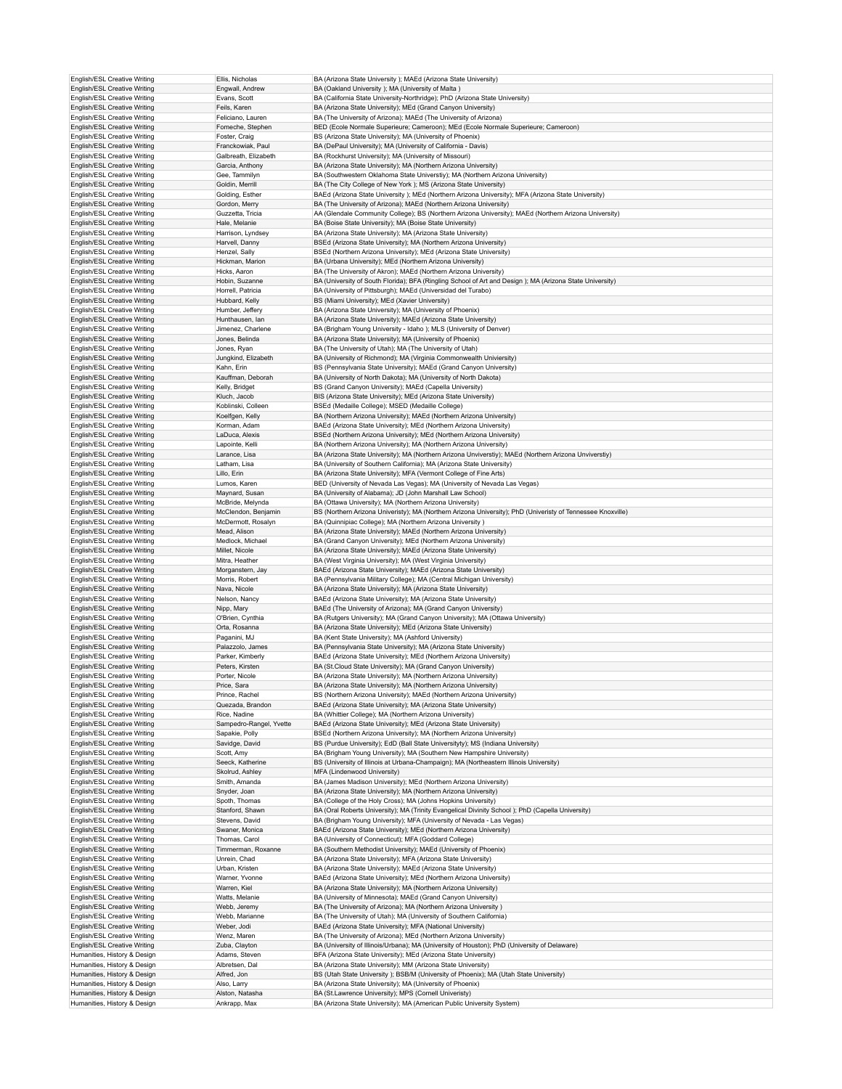| English/ESL Creative Writing | Ellis, Nicholas         | BA (Arizona State University ); MAEd (Arizona State University)                                             |
|------------------------------|-------------------------|-------------------------------------------------------------------------------------------------------------|
| English/ESL Creative Writing | Engwall, Andrew         | BA (Oakland University ); MA (University of Malta)                                                          |
| English/ESL Creative Writing | Evans, Scott            | BA (California State University-Northridge); PhD (Arizona State University)                                 |
|                              |                         |                                                                                                             |
| English/ESL Creative Writing | Feils, Karen            | BA (Arizona State University); MEd (Grand Canyon University)                                                |
| English/ESL Creative Writing | Feliciano, Lauren       | BA (The University of Arizona); MAEd (The University of Arizona)                                            |
| English/ESL Creative Writing | Fomeche, Stephen        | BED (Ecole Normale Superieure; Cameroon); MEd (Ecole Normale Superieure; Cameroon)                          |
| English/ESL Creative Writing | Foster, Craig           | BS (Arizona State University); MA (University of Phoenix)                                                   |
| English/ESL Creative Writing | Franckowiak, Paul       | BA (DePaul University); MA (University of California - Davis)                                               |
| English/ESL Creative Writing | Galbreath, Elizabeth    | BA (Rockhurst University); MA (University of Missouri)                                                      |
| English/ESL Creative Writing | Garcia, Anthony         | BA (Arizona State University); MA (Northern Arizona University)                                             |
| English/ESL Creative Writing | Gee, Tammilyn           | BA (Southwestern Oklahoma State Universtiy); MA (Northern Arizona University)                               |
| English/ESL Creative Writing | Goldin, Merrill         | BA (The City College of New York); MS (Arizona State University)                                            |
|                              |                         |                                                                                                             |
| English/ESL Creative Writing | Golding, Esther         | BAEd (Arizona State University); MEd (Northern Arizona University); MFA (Arizona State University)          |
| English/ESL Creative Writing | Gordon, Merry           | BA (The University of Arizona); MAEd (Northern Arizona University)                                          |
| English/ESL Creative Writing | Guzzetta, Tricia        | AA (Glendale Community College); BS (Northern Arizona University); MAEd (Northern Arizona University)       |
| English/ESL Creative Writing | Hale, Melanie           | BA (Boise State University); MA (Boise State University)                                                    |
| English/ESL Creative Writing | Harrison, Lyndsey       | BA (Arizona State University); MA (Arizona State University)                                                |
| English/ESL Creative Writing | Harvell, Danny          | BSEd (Arizona State University); MA (Northern Arizona University)                                           |
| English/ESL Creative Writing | Henzel, Sally           | BSEd (Northern Arizona University); MEd (Arizona State University)                                          |
| English/ESL Creative Writing | Hickman, Marion         | BA (Urbana University); MEd (Northern Arizona University)                                                   |
|                              |                         |                                                                                                             |
| English/ESL Creative Writing | Hicks, Aaron            | BA (The University of Akron); MAEd (Northern Arizona University)                                            |
| English/ESL Creative Writing | Hobin, Suzanne          | BA (University of South Florida); BFA (Ringling School of Art and Design); MA (Arizona State University)    |
| English/ESL Creative Writing | Horrell, Patricia       | BA (University of Pittsburgh); MAEd (Universidad del Turabo)                                                |
| English/ESL Creative Writing | Hubbard, Kelly          | BS (Miami University); MEd (Xavier University)                                                              |
| English/ESL Creative Writing | Humber, Jeffery         | BA (Arizona State University); MA (University of Phoenix)                                                   |
| English/ESL Creative Writing | Hunthausen, lan         | BA (Arizona State University); MAEd (Arizona State University)                                              |
| English/ESL Creative Writing | Jimenez, Charlene       | BA (Brigham Young University - Idaho ); MLS (University of Denver)                                          |
| English/ESL Creative Writing | Jones, Belinda          | BA (Arizona State University); MA (University of Phoenix)                                                   |
| English/ESL Creative Writing | Jones, Ryan             | BA (The University of Utah); MA (The University of Utah)                                                    |
|                              |                         |                                                                                                             |
| English/ESL Creative Writing | Jungkind, Elizabeth     | BA (University of Richmond); MA (Virginia Commonwealth Univiersity)                                         |
| English/ESL Creative Writing | Kahn, Erin              | BS (Pennsylvania State University); MAEd (Grand Canyon University)                                          |
| English/ESL Creative Writing | Kauffman, Deborah       | BA (University of North Dakota); MA (University of North Dakota)                                            |
| English/ESL Creative Writing | Kelly, Bridget          | BS (Grand Canyon University); MAEd (Capella University)                                                     |
| English/ESL Creative Writing | Kluch, Jacob            | BIS (Arizona State University); MEd (Arizona State University)                                              |
| English/ESL Creative Writing | Koblinski, Colleen      | BSEd (Medaille College); MSED (Medaille College)                                                            |
| English/ESL Creative Writing | Koelfgen, Kelly         | BA (Northern Arizona University); MAEd (Northern Arizona University)                                        |
| English/ESL Creative Writing | Korman, Adam            | BAEd (Arizona State University); MEd (Northern Arizona University)                                          |
|                              |                         |                                                                                                             |
| English/ESL Creative Writing | LaDuca, Alexis          | BSEd (Northern Arizona University); MEd (Northern Arizona University)                                       |
| English/ESL Creative Writing | Lapointe, Kelli         | BA (Northern Arizona University); MA (Northern Arizona University)                                          |
| English/ESL Creative Writing | Larance, Lisa           | BA (Arizona State University); MA (Northern Arizona Unviverstiy); MAEd (Northern Arizona Unviverstiy)       |
| English/ESL Creative Writing | Latham, Lisa            | BA (University of Southern California); MA (Arizona State University)                                       |
| English/ESL Creative Writing | Lillo, Erin             | BA (Arizona State University); MFA (Vermont College of Fine Arts)                                           |
| English/ESL Creative Writing | Lumos, Karen            | BED (University of Nevada Las Vegas); MA (University of Nevada Las Vegas)                                   |
| English/ESL Creative Writing | Maynard, Susan          | BA (University of Alabama); JD (John Marshall Law School)                                                   |
| English/ESL Creative Writing | McBride, Melynda        | BA (Ottawa University); MA (Northern Arizona University)                                                    |
|                              |                         |                                                                                                             |
| English/ESL Creative Writing | McClendon, Benjamin     | BS (Northern Arizona Univeristy); MA (Northern Arizona University); PhD (Univeristy of Tennessee Knoxville) |
| English/ESL Creative Writing | McDermott, Rosalyn      | BA (Quinnipiac College); MA (Northern Arizona University)                                                   |
| English/ESL Creative Writing | Mead, Alison            | BA (Arizona State University); MAEd (Northern Arizona University)                                           |
| English/ESL Creative Writing | Medlock, Michael        | BA (Grand Canyon University); MEd (Northern Arizona University)                                             |
| English/ESL Creative Writing | Millet, Nicole          | BA (Arizona State University); MAEd (Arizona State University)                                              |
| English/ESL Creative Writing | Mitra, Heather          | BA (West Virginia University); MA (West Virginia University)                                                |
| English/ESL Creative Writing | Morganstern, Jay        | BAEd (Arizona State University); MAEd (Arizona State University)                                            |
| English/ESL Creative Writing | Morris, Robert          | BA (Pennsylvania Military College); MA (Central Michigan University)                                        |
|                              | Nava, Nicole            | BA (Arizona State University); MA (Arizona State University)                                                |
| English/ESL Creative Writing |                         |                                                                                                             |
| English/ESL Creative Writing | Nelson, Nancy           | BAEd (Arizona State University); MA (Arizona State University)                                              |
| English/ESL Creative Writing | Nipp, Mary              | BAEd (The University of Arizona); MA (Grand Canyon University)                                              |
| English/ESL Creative Writing | O'Brien, Cynthia        | BA (Rutgers University); MA (Grand Canyon University); MA (Ottawa University)                               |
| English/ESL Creative Writing | Orta, Rosanna           | BA (Arizona State University); MEd (Arizona State University)                                               |
| English/ESL Creative Writing | Paganini, MJ            | BA (Kent State University); MA (Ashford University)                                                         |
| English/ESL Creative Writing | Palazzolo, James        | BA (Pennsylvania State University); MA (Arizona State University)                                           |
| English/ESL Creative Writing | Parker, Kimberly        | BAEd (Arizona State University); MEd (Northern Arizona University)                                          |
| English/ESL Creative Writing | Peters, Kirsten         | BA (St.Cloud State University); MA (Grand Canyon University)                                                |
|                              |                         |                                                                                                             |
| English/ESL Creative Writing | Porter, Nicole          | BA (Arizona State University); MA (Northern Arizona University)                                             |
| English/ESL Creative Writing | Price, Sara             | BA (Arizona State University); MA (Northern Arizona University)                                             |
| English/ESL Creative Writing | Prince, Rachel          | BS (Northern Arizona University); MAEd (Northern Arizona University)                                        |
| English/ESL Creative Writing | Quezada, Brandon        | BAEd (Arizona State University); MA (Arizona State University)                                              |
| English/ESL Creative Writing | Rice, Nadine            | BA (Whittier College); MA (Northern Arizona University)                                                     |
| English/ESL Creative Writing | Sampedro-Rangel, Yvette | BAEd (Arizona State University); MEd (Arizona State University)                                             |
| English/ESL Creative Writing | Sapakie, Polly          | BSEd (Northern Arizona University); MA (Northern Arizona University)                                        |
| English/ESL Creative Writing | Savidge, David          | BS (Purdue University); EdD (Ball State Universityty); MS (Indiana University)                              |
| English/ESL Creative Writing | Scott, Amy              | BA (Brigham Young University); MA (Southern New Hampshire University)                                       |
| English/ESL Creative Writing |                         | BS (University of Illinois at Urbana-Champaign); MA (Northeastern Illinois University)                      |
|                              | Seeck, Katherine        |                                                                                                             |
| English/ESL Creative Writing | Skolrud, Ashley         | MFA (Lindenwood University)                                                                                 |
| English/ESL Creative Writing | Smith, Amanda           | BA (James Madison University); MEd (Northern Arizona University)                                            |
| English/ESL Creative Writing | Snyder, Joan            | BA (Arizona State University); MA (Northern Arizona University)                                             |
| English/ESL Creative Writing | Spoth, Thomas           | BA (College of the Holy Cross); MA (Johns Hopkins University)                                               |
| English/ESL Creative Writing | Stanford, Shawn         | BA (Oral Roberts University); MA (Trinity Evangelical Divinity School); PhD (Capella University)            |
| English/ESL Creative Writing | Stevens, David          | BA (Brigham Young University); MFA (University of Nevada - Las Vegas)                                       |
| English/ESL Creative Writing | Swaner, Monica          | BAEd (Arizona State University); MEd (Northern Arizona University)                                          |
| English/ESL Creative Writing | Thomas, Carol           | BA (University of Connecticut); MFA (Goddard College)                                                       |
| English/ESL Creative Writing | Timmerman, Roxanne      | BA (Southern Methodist University); MAEd (University of Phoenix)                                            |
|                              | Unrein, Chad            |                                                                                                             |
| English/ESL Creative Writing |                         | BA (Arizona State University); MFA (Arizona State University)                                               |
| English/ESL Creative Writing | Urban, Kristen          | BA (Arizona State University); MAEd (Arizona State University)                                              |
| English/ESL Creative Writing | Warner, Yvonne          | BAEd (Arizona State University); MEd (Northern Arizona University)                                          |
| English/ESL Creative Writing | Warren, Kiel            | BA (Arizona State University); MA (Northern Arizona University)                                             |
| English/ESL Creative Writing | Watts, Melanie          | BA (University of Minnesota); MAEd (Grand Canyon University)                                                |
| English/ESL Creative Writing | Webb, Jeremy            | BA (The University of Arizona); MA (Northern Arizona University)                                            |
| English/ESL Creative Writing | Webb, Marianne          | BA (The University of Utah); MA (University of Southern California)                                         |
| English/ESL Creative Writing | Weber, Jodi             | BAEd (Arizona State University); MFA (National University)                                                  |
|                              |                         |                                                                                                             |
| English/ESL Creative Writing | Wenz, Maren             | BA (The University of Arizona); MEd (Northern Arizona University)                                           |
| English/ESL Creative Writing | Zuba, Clayton           | BA (University of Illinois/Urbana); MA (University of Houston); PhD (University of Delaware)                |
| Humanities, History & Design | Adams, Steven           | BFA (Arizona State University); MEd (Arizona State University)                                              |
| Humanities, History & Design | Albretsen, Dal          | BA (Arizona State University); MM (Arizona State University)                                                |
| Humanities, History & Design | Alfred, Jon             | BS (Utah State University); BSB/M (University of Phoenix); MA (Utah State University)                       |
| Humanities, History & Design | Also, Larry             | BA (Arizona State University); MA (University of Phoenix)                                                   |
| Humanities, History & Design | Alston, Natasha         | BA (St.Lawrence University); MPS (Cornell Univeristy)                                                       |
| Humanities, History & Design | Ankrapp, Max            | BA (Arizona State University); MA (American Public University System)                                       |
|                              |                         |                                                                                                             |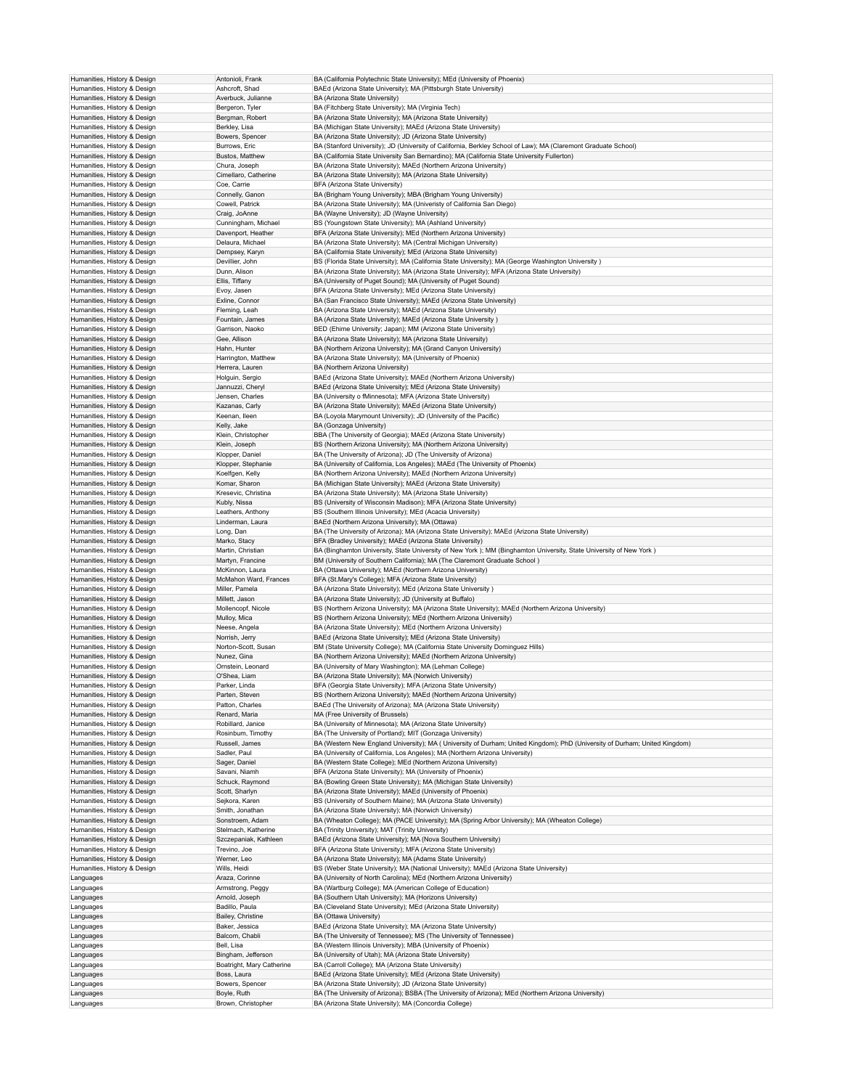|                                                              | Antonioli, Frank                  | BA (California Polytechnic State University); MEd (University of Phoenix)                                                                                    |
|--------------------------------------------------------------|-----------------------------------|--------------------------------------------------------------------------------------------------------------------------------------------------------------|
| Humanities, History & Design<br>Humanities, History & Design | Ashcroft, Shad                    | BAEd (Arizona State University); MA (Pittsburgh State University)                                                                                            |
| Humanities, History & Design                                 | Averbuck, Julianne                | BA (Arizona State University)                                                                                                                                |
|                                                              |                                   |                                                                                                                                                              |
| Humanities, History & Design                                 | Bergeron, Tyler                   | BA (Fitchberg State University); MA (Virginia Tech)                                                                                                          |
| Humanities, History & Design                                 | Bergman, Robert                   | BA (Arizona State University); MA (Arizona State University)                                                                                                 |
| Humanities, History & Design                                 | Berkley, Lisa                     | BA (Michigan State University); MAEd (Arizona State University)                                                                                              |
| Humanities, History & Design                                 | Bowers, Spencer                   | BA (Arizona State University); JD (Arizona State University)                                                                                                 |
| Humanities, History & Design                                 | Burrows, Eric                     | BA (Stanford University); JD (University of California, Berkley School of Law); MA (Claremont Graduate School)                                               |
| Humanities, History & Design                                 | Bustos, Matthew                   | BA (California State University San Bernardino); MA (California State University Fullerton)                                                                  |
|                                                              |                                   |                                                                                                                                                              |
| Humanities, History & Design                                 | Chura, Joseph                     | BA (Arizona State University); MAEd (Northern Arizona University)                                                                                            |
| Humanities, History & Design                                 | Cimellaro, Catherine              | BA (Arizona State University); MA (Arizona State University)                                                                                                 |
| Humanities, History & Design                                 | Coe, Carrie                       | BFA (Arizona State University)                                                                                                                               |
| Humanities, History & Design                                 | Connelly, Ganon                   | BA (Brigham Young University); MBA (Brigham Young University)                                                                                                |
| Humanities, History & Design                                 | Cowell, Patrick                   | BA (Arizona State University); MA (Univeristy of California San Diego)                                                                                       |
| Humanities, History & Design                                 | Craig, JoAnne                     | BA (Wayne University); JD (Wayne University)                                                                                                                 |
|                                                              |                                   | BS (Youngstown State University); MA (Ashland University)                                                                                                    |
| Humanities, History & Design                                 | Cunningham, Michael               |                                                                                                                                                              |
| Humanities, History & Design                                 | Davenport, Heather                | BFA (Arizona State University); MEd (Northern Arizona University)                                                                                            |
| Humanities, History & Design                                 | Delaura, Michael                  | BA (Arizona State University); MA (Central Michigan University)                                                                                              |
| Humanities, History & Design                                 | Dempsey, Karyn                    | BA (California State University); MEd (Arizona State University)                                                                                             |
| Humanities, History & Design                                 | Devillier, John                   | BS (Florida State University); MA (California State University); MA (George Washington University)                                                           |
| Humanities, History & Design                                 | Dunn, Alison                      | BA (Arizona State University); MA (Arizona State University); MFA (Arizona State University)                                                                 |
|                                                              |                                   |                                                                                                                                                              |
| Humanities, History & Design                                 | Ellis, Tiffany                    | BA (University of Puget Sound); MA (University of Puget Sound)                                                                                               |
| Humanities, History & Design                                 | Evoy, Jasen                       | BFA (Arizona State University); MEd (Arizona State University)                                                                                               |
| Humanities, History & Design                                 | Exline, Connor                    | BA (San Francisco State University); MAEd (Arizona State University)                                                                                         |
| Humanities, History & Design                                 | Fleming, Leah                     | BA (Arizona State University); MAEd (Arizona State University)                                                                                               |
| Humanities, History & Design                                 | Fountain, James                   | BA (Arizona State University); MAEd (Arizona State University)                                                                                               |
| Humanities, History & Design                                 | Garrison, Naoko                   | BED (Ehime University; Japan); MM (Arizona State University)                                                                                                 |
|                                                              |                                   |                                                                                                                                                              |
| Humanities, History & Design                                 | Gee, Allison                      | BA (Arizona State University); MA (Arizona State University)                                                                                                 |
| Humanities, History & Design                                 | Hahn, Hunter                      | BA (Northern Arizona University); MA (Grand Canyon University)                                                                                               |
| Humanities, History & Design                                 | Harrington, Matthew               | BA (Arizona State University); MA (University of Phoenix)                                                                                                    |
| Humanities, History & Design                                 | Herrera, Lauren                   | BA (Northern Arizona University)                                                                                                                             |
| Humanities, History & Design                                 | Holguin, Sergio                   | BAEd (Arizona State University); MAEd (Northern Arizona University)                                                                                          |
| Humanities, History & Design                                 | Jannuzzi, Cheryl                  | BAEd (Arizona State University); MEd (Arizona State University)                                                                                              |
|                                                              |                                   |                                                                                                                                                              |
| Humanities, History & Design                                 | Jensen, Charles                   | BA (University o fMinnesota); MFA (Arizona State University)                                                                                                 |
| Humanities, History & Design                                 | Kazanas, Carly                    | BA (Arizona State University); MAEd (Arizona State University)                                                                                               |
| Humanities, History & Design                                 | Keenan, Ileen                     | BA (Loyola Marymount University); JD (University of the Pacific)                                                                                             |
| Humanities, History & Design                                 | Kelly, Jake                       | BA (Gonzaga University)                                                                                                                                      |
| Humanities, History & Design                                 | Klein, Christopher                | BBA (The University of Georgia); MAEd (Arizona State University)                                                                                             |
| Humanities, History & Design                                 | Klein, Joseph                     | BS (Northern Arizona University); MA (Northern Arizona University)                                                                                           |
|                                                              |                                   |                                                                                                                                                              |
| Humanities, History & Design                                 | Klopper, Daniel                   | BA (The University of Arizona); JD (The University of Arizona)                                                                                               |
| Humanities, History & Design                                 | Klopper, Stephanie                | BA (University of California, Los Angeles); MAEd (The University of Phoenix)                                                                                 |
| Humanities, History & Design                                 | Koelfgen, Kelly                   | BA (Northern Arizona University); MAEd (Northern Arizona University)                                                                                         |
| Humanities, History & Design                                 | Komar, Sharon                     | BA (Michigan State University); MAEd (Arizona State University)                                                                                              |
| Humanities, History & Design                                 | Kresevic, Christina               | BA (Arizona State University); MA (Arizona State University)                                                                                                 |
| Humanities, History & Design                                 | Kubly, Nissa                      | BS (University of Wisconsin Madison); MFA (Arizona State University)                                                                                         |
|                                                              |                                   |                                                                                                                                                              |
| Humanities, History & Design                                 | Leathers, Anthony                 | BS (Southern Illinois University); MEd (Acacia University)                                                                                                   |
| Humanities, History & Design                                 | Linderman, Laura                  | BAEd (Northern Arizona University); MA (Ottawa)                                                                                                              |
| Humanities, History & Design                                 | Long, Dan                         | BA (The University of Arizona); MA (Arizona State University); MAEd (Arizona State University)                                                               |
| Humanities, History & Design                                 | Marko, Stacy                      | BFA (Bradley University); MAEd (Arizona State University)                                                                                                    |
| Humanities, History & Design                                 | Martin, Christian                 | BA (Binghamton University, State University of New York); MM (Binghamton University, State University of New York)                                           |
| Humanities, History & Design                                 | Martyn, Francine                  | BM (University of Southern California); MA (The Claremont Graduate School)                                                                                   |
|                                                              |                                   |                                                                                                                                                              |
| Humanities, History & Design                                 | McKinnon, Laura                   | BA (Ottawa University); MAEd (Northern Arizona University)                                                                                                   |
| Humanities, History & Design                                 | McMahon Ward, Frances             | BFA (St.Mary's College); MFA (Arizona State University)                                                                                                      |
| Humanities, History & Design                                 | Miller, Pamela                    | BA (Arizona State University); MEd (Arizona State University)                                                                                                |
| Humanities, History & Design                                 | Millett, Jason                    | BA (Arizona State University); JD (University at Buffalo)                                                                                                    |
| Humanities, History & Design                                 | Mollencopf, Nicole                | BS (Northern Arizona University); MA (Arizona State University); MAEd (Northern Arizona University)                                                          |
| Humanities, History & Design                                 | Mulloy, Mica                      | BS (Northern Arizona University); MEd (Northern Arizona University)                                                                                          |
|                                                              |                                   |                                                                                                                                                              |
| Humanities, History & Design                                 | Neese, Angela                     | BA (Arizona State University); MEd (Northern Arizona University)                                                                                             |
| Humanities, History & Design                                 | Norrish, Jerry                    | BAEd (Arizona State University); MEd (Arizona State University)                                                                                              |
| Humanities, History & Design                                 |                                   | BM (State University College); MA (California State University Dominguez Hills)                                                                              |
| Humanities, History & Design                                 | Norton-Scott, Susan               |                                                                                                                                                              |
|                                                              | Nunez, Gina                       | BA (Northern Arizona University); MAEd (Northern Arizona University)                                                                                         |
|                                                              |                                   |                                                                                                                                                              |
| Humanities, History & Design                                 | Ornstein, Leonard                 | BA (University of Mary Washington); MA (Lehman College)                                                                                                      |
| Humanities, History & Design                                 | O'Shea, Liam                      | BA (Arizona State University); MA (Norwich University)                                                                                                       |
| Humanities, History & Design                                 | Parker, Linda                     | BFA (Georgia State University); MFA (Arizona State University)                                                                                               |
| Humanities, History & Design                                 | Parten, Steven                    | BS (Northern Arizona University); MAEd (Northern Arizona University)                                                                                         |
| Humanities, History & Design                                 | Patton, Charles                   | BAEd (The University of Arizona); MA (Arizona State University)                                                                                              |
| Humanities, History & Design                                 | Renard, Maria                     | MA (Free University of Brussels)                                                                                                                             |
| Humanities, History & Design                                 | Robillard, Janice                 | BA (University of Minnesota); MA (Arizona State University)                                                                                                  |
|                                                              |                                   |                                                                                                                                                              |
| Humanities, History & Design                                 | Rosinbum, Timothy                 | BA (The University of Portland); MIT (Gonzaga University)                                                                                                    |
| Humanities, History & Design                                 | Russell, James                    | BA (Western New England University); MA ( University of Durham; United Kingdom); PhD (University of Durham; United Kingdom)                                  |
| Humanities, History & Design                                 | Sadler, Paul                      | BA (University of California, Los Angeles); MA (Northern Arizona University)                                                                                 |
| Humanities, History & Design                                 | Sager, Daniel                     | BA (Western State College): MEd (Northern Arizona University)                                                                                                |
| Humanities, History & Design                                 | Savani, Niamh                     | BFA (Arizona State University); MA (University of Phoenix)                                                                                                   |
| Humanities, History & Design                                 | Schuck, Raymond                   | BA (Bowling Green State University); MA (Michigan State University)                                                                                          |
|                                                              |                                   |                                                                                                                                                              |
| Humanities, History & Design                                 | Scott, Sharlyn                    | BA (Arizona State University); MAEd (University of Phoenix)                                                                                                  |
| Humanities, History & Design                                 | Sejkora, Karen                    | BS (University of Southern Maine); MA (Arizona State University)                                                                                             |
| Humanities, History & Design                                 | Smith, Jonathan                   | BA (Arizona State University); MA (Norwich University)                                                                                                       |
| Humanities, History & Design                                 | Sonstroem, Adam                   | BA (Wheaton College); MA (PACE University); MA (Spring Arbor University); MA (Wheaton College)                                                               |
| Humanities, History & Design                                 | Stelmach, Katherine               | BA (Trinity University); MAT (Trinity University)                                                                                                            |
| Humanities, History & Design                                 | Szczepaniak, Kathleen             | BAEd (Arizona State University); MA (Nova Southern University)                                                                                               |
| Humanities, History & Design                                 |                                   | BFA (Arizona State University); MFA (Arizona State University)                                                                                               |
|                                                              | Trevino, Joe                      |                                                                                                                                                              |
| Humanities, History & Design                                 | Werner, Leo                       | BA (Arizona State University); MA (Adams State University)                                                                                                   |
| Humanities, History & Design                                 | Wills, Heidi                      | BS (Weber State University); MA (National University); MAEd (Arizona State University)                                                                       |
| Languages                                                    | Araza, Corinne                    | BA (University of North Carolina); MEd (Northern Arizona University)                                                                                         |
| Languages                                                    | Armstrong, Peggy                  | BA (Wartburg College); MA (American College of Education)                                                                                                    |
| Languages                                                    | Arnold, Joseph                    | BA (Southern Utah University); MA (Horizons University)                                                                                                      |
|                                                              | Badillo, Paula                    |                                                                                                                                                              |
| Languages                                                    |                                   | BA (Cleveland State University); MEd (Arizona State University)                                                                                              |
| Languages                                                    | Bailey, Christine                 | BA (Ottawa University)                                                                                                                                       |
| Languages                                                    | Baker, Jessica                    | BAEd (Arizona State University); MA (Arizona State University)                                                                                               |
| Languages                                                    | Balcom, Chabli                    | BA (The University of Tennessee); MS (The University of Tennessee)                                                                                           |
| Languages                                                    | Bell, Lisa                        | BA (Western Illinois University); MBA (University of Phoenix)                                                                                                |
| Languages                                                    | Bingham, Jefferson                | BA (University of Utah); MA (Arizona State University)                                                                                                       |
|                                                              |                                   |                                                                                                                                                              |
| Languages                                                    | Boatright, Mary Catherine         | BA (Carroll College); MA (Arizona State University)                                                                                                          |
| Languages                                                    | Boss, Laura                       | BAEd (Arizona State University); MEd (Arizona State University)                                                                                              |
| Languages                                                    | Bowers, Spencer                   | BA (Arizona State University); JD (Arizona State University)                                                                                                 |
| Languages<br>Languages                                       | Boyle, Ruth<br>Brown, Christopher | BA (The University of Arizona); BSBA (The University of Arizona); MEd (Northern Arizona University)<br>BA (Arizona State University); MA (Concordia College) |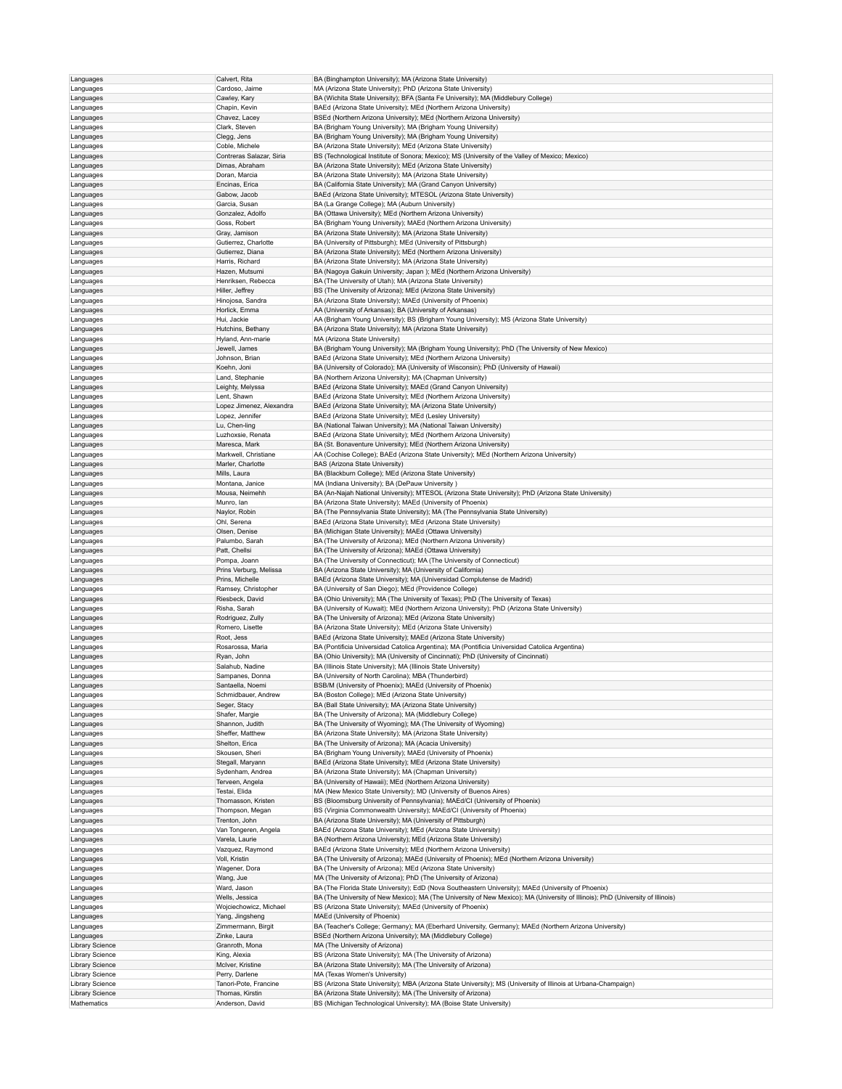| Languages                      | Calvert, Rita                      | BA (Binghampton University); MA (Arizona State University)                                                                           |
|--------------------------------|------------------------------------|--------------------------------------------------------------------------------------------------------------------------------------|
|                                | Cardoso, Jaime                     | MA (Arizona State University); PhD (Arizona State University)                                                                        |
| Languages                      |                                    |                                                                                                                                      |
| Languages                      | Cawley, Kary                       | BA (Wichita State University); BFA (Santa Fe University); MA (Middlebury College)                                                    |
| Languages                      | Chapin, Kevin                      | BAEd (Arizona State University); MEd (Northern Arizona University)                                                                   |
| Languages                      | Chavez, Lacey                      | BSEd (Northern Arizona University); MEd (Northern Arizona University)                                                                |
| Languages                      | Clark, Steven                      | BA (Brigham Young University); MA (Brigham Young University)                                                                         |
| Languages                      | Clegg, Jens                        | BA (Brigham Young University); MA (Brigham Young University)                                                                         |
| Languages                      | Coble, Michele                     | BA (Arizona State University); MEd (Arizona State University)                                                                        |
| Languages                      | Contreras Salazar, Siria           | BS (Technological Institute of Sonora; Mexico); MS (University of the Valley of Mexico; Mexico)                                      |
|                                | Dimas, Abraham                     |                                                                                                                                      |
| Languages                      |                                    | BA (Arizona State University); MEd (Arizona State University)                                                                        |
| Languages                      | Doran, Marcia                      | BA (Arizona State University); MA (Arizona State University)                                                                         |
| Languages                      | Encinas, Erica                     | BA (California State University); MA (Grand Canyon University)                                                                       |
| Languages                      | Gabow, Jacob                       | BAEd (Arizona State University); MTESOL (Arizona State University)                                                                   |
| Languages                      | Garcia, Susan                      | BA (La Grange College); MA (Auburn University)                                                                                       |
| Languages                      | Gonzalez, Adolfo                   | BA (Ottawa University); MEd (Northern Arizona University)                                                                            |
| Languages                      | Goss, Robert                       | BA (Brigham Young University); MAEd (Northern Arizona University)                                                                    |
| Languages                      | Gray, Jamison                      | BA (Arizona State University); MA (Arizona State University)                                                                         |
| Languages                      | Gutierrez, Charlotte               | BA (University of Pittsburgh); MEd (University of Pittsburgh)                                                                        |
|                                | Gutierrez, Diana                   |                                                                                                                                      |
| Languages                      |                                    | BA (Arizona State University); MEd (Northern Arizona University)                                                                     |
| Languages                      | Harris, Richard                    | BA (Arizona State University); MA (Arizona State University)                                                                         |
| Languages                      | Hazen, Mutsumi                     | BA (Nagoya Gakuin University; Japan ); MEd (Northern Arizona University)                                                             |
| Languages                      | Henriksen, Rebecca                 | BA (The University of Utah); MA (Arizona State University)                                                                           |
| Languages                      | Hiller, Jeffrey                    | BS (The University of Arizona); MEd (Arizona State University)                                                                       |
| Languages                      | Hinojosa, Sandra                   | BA (Arizona State University); MAEd (University of Phoenix)                                                                          |
| Languages                      | Horlick, Emma                      | AA (University of Arkansas); BA (University of Arkansas)                                                                             |
| Languages                      | Hui, Jackie                        | AA (Brigham Young University); BS (Brigham Young University); MS (Arizona State University)                                          |
| Languages                      | Hutchins, Bethany                  | BA (Arizona State University); MA (Arizona State University)                                                                         |
|                                |                                    |                                                                                                                                      |
| Languages                      | Hyland, Ann-marie                  | MA (Arizona State University)                                                                                                        |
| Languages                      | Jewell, James                      | BA (Brigham Young University); MA (Brigham Young University); PhD (The University of New Mexico)                                     |
| Languages                      | Johnson, Brian                     | BAEd (Arizona State University); MEd (Northern Arizona University)                                                                   |
| Languages                      | Koehn, Joni                        | BA (University of Colorado); MA (University of Wisconsin); PhD (University of Hawaii)                                                |
| Languages                      | Land, Stephanie                    | BA (Northern Arizona University); MA (Chapman University)                                                                            |
| Languages                      | Leighty, Melyssa                   | BAEd (Arizona State University); MAEd (Grand Canyon University)                                                                      |
| Languages                      | Lent, Shawn                        | BAEd (Arizona State University); MEd (Northern Arizona University)                                                                   |
|                                |                                    |                                                                                                                                      |
| Languages                      | Lopez Jimenez, Alexandra           | BAEd (Arizona State University); MA (Arizona State University)                                                                       |
| Languages                      | Lopez, Jennifer                    | BAEd (Arizona State University); MEd (Lesley University)                                                                             |
| Languages                      | Lu, Chen-ling                      | BA (National Taiwan University); MA (National Taiwan University)                                                                     |
| Languages                      | Luzhoxsie, Renata                  | BAEd (Arizona State University); MEd (Northern Arizona University)                                                                   |
| Languages                      | Maresca, Mark                      | BA (St. Bonaventure University); MEd (Northern Arizona University)                                                                   |
| Languages                      | Markwell, Christiane               | AA (Cochise College); BAEd (Arizona State University); MEd (Northern Arizona University)                                             |
| Languages                      | Marler, Charlotte                  | BAS (Arizona State University)                                                                                                       |
|                                | Mills, Laura                       |                                                                                                                                      |
| Languages                      |                                    | BA (Blackburn College); MEd (Arizona State University)                                                                               |
| Languages                      | Montana, Janice                    | MA (Indiana University); BA (DePauw University)                                                                                      |
| Languages                      | Mousa, Neimehh                     | BA (An-Najah National University); MTESOL (Arizona State University); PhD (Arizona State University)                                 |
| Languages                      | Munro, Ian                         | BA (Arizona State University); MAEd (University of Phoenix)                                                                          |
| Languages                      | Naylor, Robin                      | BA (The Pennsylvania State University); MA (The Pennsylvania State University)                                                       |
| Languages                      | Ohl, Serena                        | BAEd (Arizona State University); MEd (Arizona State University)                                                                      |
| Languages                      | Olsen, Denise                      | BA (Michigan State University); MAEd (Ottawa University)                                                                             |
| Languages                      | Palumbo, Sarah                     | BA (The University of Arizona); MEd (Northern Arizona University)                                                                    |
|                                |                                    |                                                                                                                                      |
| Languages                      | Patt, Chellsi                      | BA (The University of Arizona); MAEd (Ottawa University)                                                                             |
| Languages                      | Pompa, Joann                       | BA (The University of Connecticut); MA (The University of Connecticut)                                                               |
| Languages                      | Prins Verburg, Melissa             | BA (Arizona State University); MA (University of California)                                                                         |
| Languages                      | Prins, Michelle                    | BAEd (Arizona State University); MA (Universidad Complutense de Madrid)                                                              |
| Languages                      | Ramsey, Christopher                | BA (University of San Diego); MEd (Providence College)                                                                               |
| Languages                      | Riesbeck, David                    | BA (Ohio University); MA (The University of Texas); PhD (The University of Texas)                                                    |
| Languages                      | Risha, Sarah                       | BA (University of Kuwait); MEd (Northern Arizona University); PhD (Arizona State University)                                         |
|                                |                                    |                                                                                                                                      |
| Languages                      | Rodriguez, Zully                   | BA (The University of Arizona); MEd (Arizona State University)                                                                       |
| Languages                      | Romero, Lisette                    | BA (Arizona State University); MEd (Arizona State University)                                                                        |
| Languages                      | Root, Jess                         | BAEd (Arizona State University); MAEd (Arizona State University)                                                                     |
| Languages                      | Rosarossa, Maria                   | BA (Pontificia Universidad Catolica Argentina); MA (Pontificia Universidad Catolica Argentina)                                       |
| Languages                      | Ryan, John                         | BA (Ohio University); MA (University of Cincinnati); PhD (University of Cincinnati)                                                  |
| Languages                      | Salahub, Nadine                    | BA (Illinois State University); MA (Illinois State University)                                                                       |
| Languages                      | Sampanes, Donna                    | BA (University of North Carolina); MBA (Thunderbird)                                                                                 |
|                                | Santaella, Noemi                   | BSB/M (University of Phoenix); MAEd (University of Phoenix)                                                                          |
| Languages                      |                                    |                                                                                                                                      |
| Languages                      | Schmidbauer, Andrew                | BA (Boston College); MEd (Arizona State University)                                                                                  |
| Languages                      | Seger, Stacy                       | BA (Ball State University); MA (Arizona State University)                                                                            |
| Languages                      | Shafer, Margie                     | BA (The University of Arizona); MA (Middlebury College)                                                                              |
| Languages                      | Shannon, Judith                    | BA (The University of Wyoming); MA (The University of Wyoming)                                                                       |
| Languages                      | Sheffer, Matthew                   | BA (Arizona State University); MA (Arizona State University)                                                                         |
| Languages                      | Shelton, Erica                     | BA (The University of Arizona); MA (Acacia University)                                                                               |
| Languages                      | Skousen, Sheri                     | BA (Brigham Young University); MAEd (University of Phoenix)                                                                          |
| Languages                      | Stegall, Maryann                   | BAEd (Arizona State University); MEd (Arizona State University)                                                                      |
|                                |                                    |                                                                                                                                      |
| Languages                      | Sydenham, Andrea                   | BA (Arizona State University); MA (Chapman University)                                                                               |
| Languages                      | Terveen, Angela                    | BA (University of Hawaii); MEd (Northern Arizona University)                                                                         |
| Languages                      | Testai, Elida                      | MA (New Mexico State University); MD (University of Buenos Aires)                                                                    |
| Languages                      | Thomasson, Kristen                 | BS (Bloomsburg University of Pennsylvania); MAEd/CI (University of Phoenix)                                                          |
| Languages                      | Thompson, Megan                    | BS (Virginia Commonwealth University); MAEd/CI (University of Phoenix)                                                               |
| Languages                      | Trenton, John                      | BA (Arizona State University); MA (University of Pittsburgh)                                                                         |
| Languages                      | Van Tongeren, Angela               | BAEd (Arizona State University); MEd (Arizona State University)                                                                      |
| Languages                      | Varela, Laurie                     | BA (Northern Arizona University); MEd (Arizona State University)                                                                     |
|                                | Vazquez, Raymond                   | BAEd (Arizona State University); MEd (Northern Arizona University)                                                                   |
| Languages                      |                                    |                                                                                                                                      |
| Languages                      | Voll, Kristin                      | BA (The University of Arizona); MAEd (University of Phoenix); MEd (Northern Arizona University)                                      |
| Languages                      | Wagener, Dora                      | BA (The University of Arizona); MEd (Arizona State University)                                                                       |
| Languages                      | Wang, Jue                          | MA (The University of Arizona); PhD (The University of Arizona)                                                                      |
| Languages                      | Ward, Jason                        | BA (The Florida State University); EdD (Nova Southeastern University); MAEd (University of Phoenix)                                  |
|                                |                                    |                                                                                                                                      |
|                                | Wells, Jessica                     | BA (The University of New Mexico); MA (The University of New Mexico); MA (University of Illinois); PhD (University of Illinois)      |
| Languages                      |                                    |                                                                                                                                      |
| Languages                      | Wojciechowicz, Michael             | BS (Arizona State University); MAEd (University of Phoenix)                                                                          |
| Languages                      | Yang, Jingsheng                    | MAEd (University of Phoenix)                                                                                                         |
| Languages                      | Zimmermann, Birgit                 | BA (Teacher's College; Germany); MA (Eberhard University, Germany); MAEd (Northern Arizona University)                               |
| Languages                      | Zinke, Laura                       | BSEd (Northern Arizona University); MA (Middlebury College)                                                                          |
| <b>Library Science</b>         | Granroth, Mona                     | MA (The University of Arizona)                                                                                                       |
| Library Science                | King, Alexia                       | BS (Arizona State University); MA (The University of Arizona)                                                                        |
| Library Science                | McIver, Kristine                   | BA (Arizona State University); MA (The University of Arizona)                                                                        |
|                                |                                    |                                                                                                                                      |
| Library Science                | Perry, Darlene                     | MA (Texas Women's University)                                                                                                        |
| Library Science                | Tanori-Pote, Francine              | BS (Arizona State University); MBA (Arizona State University); MS (University of Illinois at Urbana-Champaign)                       |
| Library Science<br>Mathematics | Thomas, Kirstin<br>Anderson, David | BA (Arizona State University); MA (The University of Arizona)<br>BS (Michigan Technological University); MA (Boise State University) |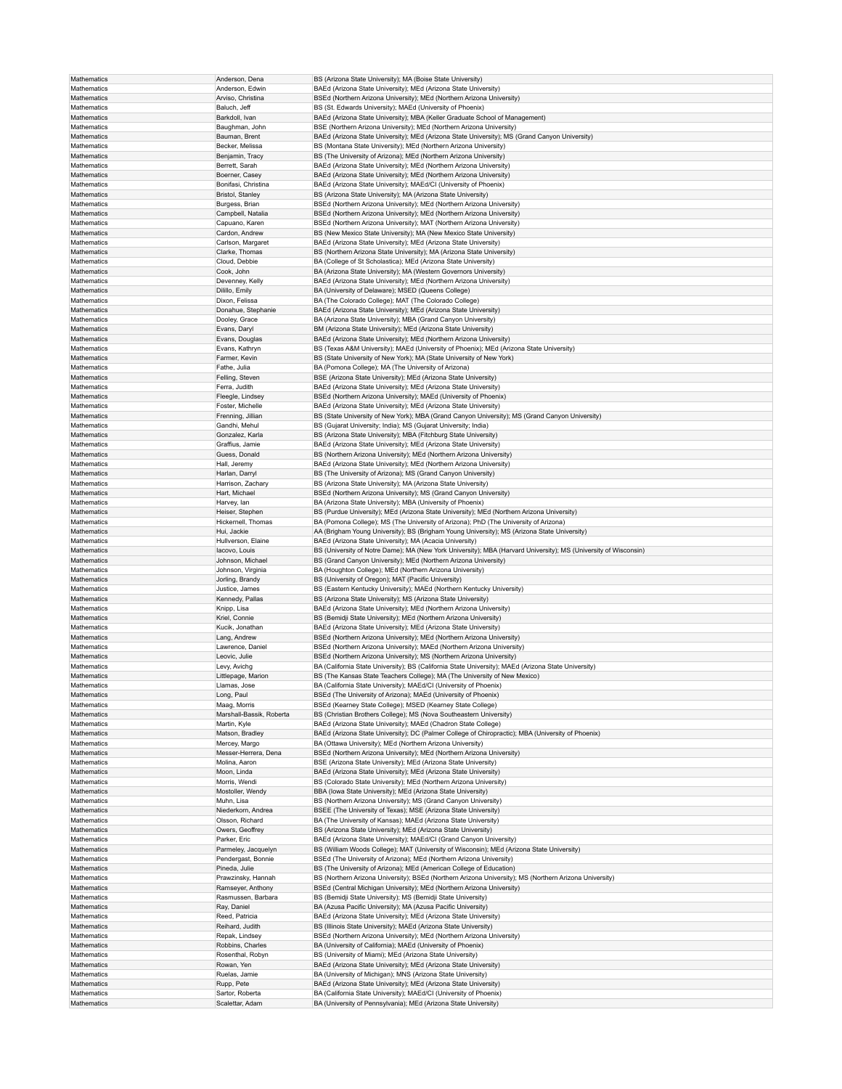| Mathematics | Anderson, Dena           | BS (Arizona State University); MA (Boise State University)                                                      |
|-------------|--------------------------|-----------------------------------------------------------------------------------------------------------------|
| Mathematics | Anderson, Edwin          |                                                                                                                 |
|             |                          | BAEd (Arizona State University); MEd (Arizona State University)                                                 |
| Mathematics | Arviso, Christina        | BSEd (Northern Arizona University); MEd (Northern Arizona University)                                           |
| Mathematics | Baluch, Jeff             | BS (St. Edwards University); MAEd (University of Phoenix)                                                       |
| Mathematics | Barkdoll, Ivan           | BAEd (Arizona State University); MBA (Keller Graduate School of Management)                                     |
|             |                          |                                                                                                                 |
| Mathematics | Baughman, John           | BSE (Northern Arizona University); MEd (Northern Arizona University)                                            |
| Mathematics | Bauman, Brent            | BAEd (Arizona State University); MEd (Arizona State University); MS (Grand Canyon University)                   |
| Mathematics | Becker, Melissa          | BS (Montana State University); MEd (Northern Arizona University)                                                |
| Mathematics | Benjamin, Tracy          | BS (The University of Arizona); MEd (Northern Arizona University)                                               |
|             |                          |                                                                                                                 |
| Mathematics | Berrett, Sarah           | BAEd (Arizona State University); MEd (Northern Arizona University)                                              |
| Mathematics | Boerner, Casey           | BAEd (Arizona State University); MEd (Northern Arizona University)                                              |
| Mathematics | Bonifasi, Christina      | BAEd (Arizona State University); MAEd/CI (University of Phoenix)                                                |
| Mathematics | Bristol, Stanley         | BS (Arizona State University); MA (Arizona State University)                                                    |
|             |                          |                                                                                                                 |
| Mathematics | Burgess, Brian           | BSEd (Northern Arizona University); MEd (Northern Arizona University)                                           |
| Mathematics | Campbell, Natalia        | BSEd (Northern Arizona University); MEd (Northern Arizona University)                                           |
| Mathematics | Capuano, Karen           | BSEd (Northern Arizona University); MAT (Northern Arizona University)                                           |
| Mathematics | Cardon, Andrew           | BS (New Mexico State University); MA (New Mexico State University)                                              |
|             |                          |                                                                                                                 |
| Mathematics | Carlson, Margaret        | BAEd (Arizona State University); MEd (Arizona State University)                                                 |
| Mathematics | Clarke, Thomas           | BS (Northern Arizona State University); MA (Arizona State University)                                           |
| Mathematics | Cloud, Debbie            | BA (College of St Scholastica); MEd (Arizona State University)                                                  |
| Mathematics | Cook, John               | BA (Arizona State University); MA (Western Governors University)                                                |
|             |                          |                                                                                                                 |
| Mathematics | Devenney, Kelly          | BAEd (Arizona State University); MEd (Northern Arizona University)                                              |
| Mathematics | Dilillo, Emily           | BA (University of Delaware); MSED (Queens College)                                                              |
| Mathematics | Dixon, Felissa           | BA (The Colorado College); MAT (The Colorado College)                                                           |
| Mathematics | Donahue, Stephanie       | BAEd (Arizona State University); MEd (Arizona State University)                                                 |
|             |                          |                                                                                                                 |
| Mathematics | Dooley, Grace            | BA (Arizona State University); MBA (Grand Canyon University)                                                    |
| Mathematics | Evans, Daryl             | BM (Arizona State University); MEd (Arizona State University)                                                   |
| Mathematics | Evans, Douglas           | BAEd (Arizona State University); MEd (Northern Arizona University)                                              |
| Mathematics | Evans, Kathryn           | BS (Texas A&M University); MAEd (University of Phoenix); MEd (Arizona State University)                         |
|             |                          |                                                                                                                 |
| Mathematics | Farmer, Kevin            | BS (State University of New York); MA (State University of New York)                                            |
| Mathematics | Fathe, Julia             | BA (Pomona College); MA (The University of Arizona)                                                             |
| Mathematics | Felling, Steven          | BSE (Arizona State University); MEd (Arizona State University)                                                  |
| Mathematics | Ferra, Judith            | BAEd (Arizona State University); MEd (Arizona State University)                                                 |
|             |                          |                                                                                                                 |
| Mathematics | Fleegle, Lindsey         | BSEd (Northern Arizona University); MAEd (University of Phoenix)                                                |
| Mathematics | Foster, Michelle         | BAEd (Arizona State University); MEd (Arizona State University)                                                 |
| Mathematics | Frenning, Jillian        | BS (State University of New York); MBA (Grand Canyon University); MS (Grand Canyon University)                  |
|             |                          |                                                                                                                 |
| Mathematics | Gandhi, Mehul            | BS (Gujarat University; India); MS (Gujarat University; India)                                                  |
| Mathematics | Gonzalez, Karla          | BS (Arizona State University); MBA (Fitchburg State University)                                                 |
| Mathematics | Graffius, Jamie          | BAEd (Arizona State University); MEd (Arizona State University)                                                 |
| Mathematics | Guess, Donald            | BS (Northern Arizona University); MEd (Northern Arizona University)                                             |
|             |                          |                                                                                                                 |
| Mathematics | Hall, Jeremy             | BAEd (Arizona State University); MEd (Northern Arizona University)                                              |
| Mathematics | Harlan, Darryl           | BS (The University of Arizona); MS (Grand Canyon University)                                                    |
| Mathematics | Harrison, Zachary        | BS (Arizona State University); MA (Arizona State University)                                                    |
|             |                          |                                                                                                                 |
| Mathematics | Hart, Michael            | BSEd (Northern Arizona University); MS (Grand Canyon University)                                                |
| Mathematics | Harvey, lan              | BA (Arizona State University); MBA (University of Phoenix)                                                      |
| Mathematics | Heiser, Stephen          | BS (Purdue University); MEd (Arizona State University); MEd (Northern Arizona University)                       |
| Mathematics | Hickernell, Thomas       | BA (Pomona College); MS (The University of Arizona); PhD (The University of Arizona)                            |
|             |                          |                                                                                                                 |
| Mathematics | Hui, Jackie              | AA (Brigham Young University); BS (Brigham Young University); MS (Arizona State University)                     |
| Mathematics | Hullverson, Elaine       | BAEd (Arizona State University); MA (Acacia University)                                                         |
|             |                          |                                                                                                                 |
|             |                          |                                                                                                                 |
| Mathematics | lacovo, Louis            | BS (University of Notre Dame); MA (New York University); MBA (Harvard University); MS (University of Wisconsin) |
| Mathematics | Johnson, Michael         | BS (Grand Canyon University); MEd (Northern Arizona University)                                                 |
| Mathematics | Johnson, Virginia        | BA (Houghton College); MEd (Northern Arizona University)                                                        |
| Mathematics | Jorling, Brandy          | BS (University of Oregon); MAT (Pacific University)                                                             |
|             |                          |                                                                                                                 |
| Mathematics | Justice, James           | BS (Eastern Kentucky University); MAEd (Northern Kentucky University)                                           |
| Mathematics | Kennedy, Pallas          | BS (Arizona State University); MS (Arizona State University)                                                    |
| Mathematics | Knipp, Lisa              | BAEd (Arizona State University); MEd (Northern Arizona University)                                              |
| Mathematics | Kriel, Connie            | BS (Bemidji State University); MEd (Northern Arizona University)                                                |
|             |                          |                                                                                                                 |
| Mathematics | Kucik, Jonathan          | BAEd (Arizona State University); MEd (Arizona State University)                                                 |
| Mathematics | Lang, Andrew             | BSEd (Northern Arizona University); MEd (Northern Arizona University)                                           |
| Mathematics | Lawrence, Daniel         | BSEd (Northern Arizona University); MAEd (Northern Arizona University)                                          |
| Mathematics | Leovic, Julie            | BSEd (Northern Arizona University); MS (Northern Arizona University)                                            |
| Mathematics |                          |                                                                                                                 |
|             | Levy, Avichg             | BA (California State University); BS (California State University); MAEd (Arizona State University)             |
| Mathematics | Littlepage, Marion       | BS (The Kansas State Teachers College); MA (The University of New Mexico)                                       |
| Mathematics | Llamas, Jose             | BA (California State University); MAEd/CI (University of Phoenix)                                               |
| Mathematics | Long, Paul               | BSEd (The University of Arizona); MAEd (University of Phoenix)                                                  |
| Mathematics | Maag, Morris             | BSEd (Kearney State College); MSED (Kearney State College)                                                      |
|             |                          |                                                                                                                 |
| Mathematics | Marshall-Bassik, Roberta | BS (Christian Brothers College); MS (Nova Southeastern University)                                              |
| Mathematics | Martin, Kyle             | BAEd (Arizona State University); MAEd (Chadron State College)                                                   |
| Mathematics | Matson, Bradley          | BAEd (Arizona State University); DC (Palmer College of Chiropractic); MBA (University of Phoenix)               |
| Mathematics | Mercey, Margo            | BA (Ottawa University); MEd (Northern Arizona University)                                                       |
|             | Messer-Herrera, Dena     |                                                                                                                 |
| Mathematics |                          | BSEd (Northern Arizona University); MEd (Northern Arizona University)                                           |
| Mathematics | Molina, Aaron            | BSE (Arizona State University); MEd (Arizona State University)                                                  |
| Mathematics | Moon, Linda              | BAEd (Arizona State University); MEd (Arizona State University)                                                 |
| Mathematics | Morris, Wendi            | BS (Colorado State University); MEd (Northern Arizona University)                                               |
|             |                          |                                                                                                                 |
| Mathematics | Mostoller, Wendy         | BBA (lowa State University); MEd (Arizona State University)                                                     |
| Mathematics | Muhn, Lisa               | BS (Northern Arizona University); MS (Grand Canyon University)                                                  |
| Mathematics | Niederkorn, Andrea       | BSEE (The University of Texas); MSE (Arizona State University)                                                  |
| Mathematics | Olsson, Richard          | BA (The University of Kansas); MAEd (Arizona State University)                                                  |
|             |                          |                                                                                                                 |
| Mathematics | Owers, Geoffrey          | BS (Arizona State University); MEd (Arizona State University)                                                   |
| Mathematics | Parker, Eric             | BAEd (Arizona State University); MAEd/CI (Grand Canyon University)                                              |
| Mathematics | Parmeley, Jacquelyn      | BS (William Woods College); MAT (University of Wisconsin); MEd (Arizona State University)                       |
| Mathematics | Pendergast, Bonnie       | BSEd (The University of Arizona); MEd (Northern Arizona University)                                             |
|             |                          |                                                                                                                 |
| Mathematics | Pineda, Julie            | BS (The University of Arizona); MEd (American College of Education)                                             |
| Mathematics | Prawzinsky, Hannah       | BS (Northern Arizona University); BSEd (Northern Arizona University); MS (Northern Arizona University)          |
| Mathematics | Ramseyer, Anthony        | BSEd (Central Michigan University); MEd (Northern Arizona University)                                           |
| Mathematics | Rasmussen, Barbara       | BS (Bemidji State University); MS (Bemidji State University)                                                    |
|             |                          |                                                                                                                 |
| Mathematics | Ray, Daniel              | BA (Azusa Pacific University); MA (Azusa Pacific University)                                                    |
| Mathematics | Reed, Patricia           | BAEd (Arizona State University); MEd (Arizona State University)                                                 |
| Mathematics | Reihard, Judith          | BS (Illinois State University); MAEd (Arizona State University)                                                 |
|             |                          |                                                                                                                 |
| Mathematics | Repak, Lindsey           | BSEd (Northern Arizona University); MEd (Northern Arizona University)                                           |
| Mathematics | Robbins, Charles         | BA (University of California); MAEd (University of Phoenix)                                                     |
| Mathematics | Rosenthal, Robyn         | BS (University of Miami); MEd (Arizona State University)                                                        |
| Mathematics | Rowan, Yen               | BAEd (Arizona State University); MEd (Arizona State University)                                                 |
| Mathematics | Ruelas, Jamie            |                                                                                                                 |
|             |                          | BA (University of Michigan); MNS (Arizona State University)                                                     |
| Mathematics | Rupp, Pete               | BAEd (Arizona State University); MEd (Arizona State University)                                                 |
| Mathematics | Sartor, Roberta          | BA (California State University); MAEd/CI (University of Phoenix)                                               |
| Mathematics | Scalettar, Adam          | BA (University of Pennsylvania); MEd (Arizona State University)                                                 |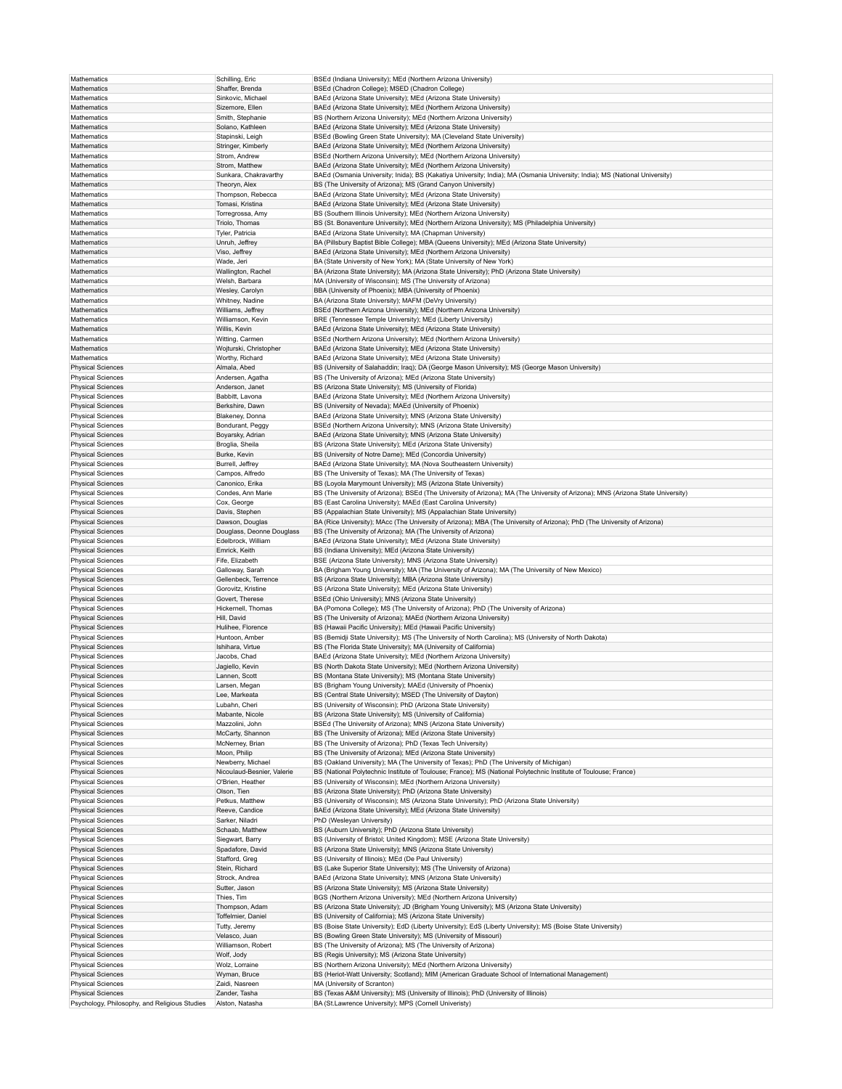| Mathematics                                   | Schilling, Eric            | BSEd (Indiana University); MEd (Northern Arizona University)                                                                     |
|-----------------------------------------------|----------------------------|----------------------------------------------------------------------------------------------------------------------------------|
| Mathematics                                   | Shaffer, Brenda            | BSEd (Chadron College); MSED (Chadron College)                                                                                   |
| Mathematics                                   | Sinkovic, Michael          | BAEd (Arizona State University); MEd (Arizona State University)                                                                  |
|                                               | Sizemore, Ellen            |                                                                                                                                  |
| Mathematics                                   |                            | BAEd (Arizona State University); MEd (Northern Arizona University)                                                               |
| Mathematics                                   | Smith, Stephanie           | BS (Northern Arizona University); MEd (Northern Arizona University)                                                              |
| Mathematics                                   | Solano, Kathleen           | BAEd (Arizona State University); MEd (Arizona State University)                                                                  |
| Mathematics                                   | Stapinski, Leigh           | BSEd (Bowling Green State University); MA (Cleveland State University)                                                           |
| Mathematics                                   | Stringer, Kimberly         | BAEd (Arizona State University); MEd (Northern Arizona University)                                                               |
| Mathematics                                   | Strom, Andrew              | BSEd (Northern Arizona University); MEd (Northern Arizona University)                                                            |
| Mathematics                                   | Strom, Matthew             | BAEd (Arizona State University); MEd (Northern Arizona University)                                                               |
| Mathematics                                   |                            |                                                                                                                                  |
|                                               | Sunkara, Chakravarthy      | BAEd (Osmania University; Inida); BS (Kakatiya University; India); MA (Osmania University; India); MS (National University)      |
| Mathematics                                   | Theoryn, Alex              | BS (The University of Arizona); MS (Grand Canyon University)                                                                     |
| Mathematics                                   | Thompson, Rebecca          | BAEd (Arizona State University); MEd (Arizona State University)                                                                  |
| Mathematics                                   | Tomasi, Kristina           | BAEd (Arizona State University); MEd (Arizona State University)                                                                  |
| Mathematics                                   | Torregrossa, Amy           | BS (Southern Illinois University); MEd (Northern Arizona University)                                                             |
| Mathematics                                   | Triolo, Thomas             | BS (St. Bonaventure University); MEd (Northern Arizona University); MS (Philadelphia University)                                 |
| Mathematics                                   | Tyler, Patricia            | BAEd (Arizona State University); MA (Chapman University)                                                                         |
| Mathematics                                   | Unruh, Jeffrey             | BA (Pillsbury Baptist Bible College); MBA (Queens University); MEd (Arizona State University)                                    |
|                                               |                            |                                                                                                                                  |
| Mathematics                                   | Viso, Jeffrey              | BAEd (Arizona State University); MEd (Northern Arizona University)                                                               |
| Mathematics                                   | Wade, Jeri                 | BA (State University of New York); MA (State University of New York)                                                             |
| Mathematics                                   | Wallington, Rachel         | BA (Arizona State University); MA (Arizona State University); PhD (Arizona State University)                                     |
| Mathematics                                   | Welsh, Barbara             | MA (University of Wisconsin); MS (The University of Arizona)                                                                     |
| Mathematics                                   | Wesley, Carolyn            | BBA (University of Phoenix); MBA (University of Phoenix)                                                                         |
| Mathematics                                   | Whitney, Nadine            | BA (Arizona State University); MAFM (DeVry University)                                                                           |
|                                               |                            |                                                                                                                                  |
| Mathematics                                   | Williams, Jeffrey          | BSEd (Northern Arizona University); MEd (Northern Arizona University)                                                            |
| Mathematics                                   | Williamson, Kevin          | BRE (Tennessee Temple University); MEd (Liberty University)                                                                      |
| Mathematics                                   | Willis, Kevin              | BAEd (Arizona State University); MEd (Arizona State University)                                                                  |
| Mathematics                                   | Witting, Carmen            | BSEd (Northern Arizona University); MEd (Northern Arizona University)                                                            |
| Mathematics                                   | Wojturski, Christopher     | BAEd (Arizona State University); MEd (Arizona State University)                                                                  |
| Mathematics                                   | Worthy, Richard            | BAEd (Arizona State University); MEd (Arizona State University)                                                                  |
|                                               |                            |                                                                                                                                  |
| <b>Physical Sciences</b>                      | Almala, Abed               | BS (University of Salahaddin; Iraq); DA (George Mason University); MS (George Mason University)                                  |
| <b>Physical Sciences</b>                      | Andersen, Agatha           | BS (The University of Arizona); MEd (Arizona State University)                                                                   |
| <b>Physical Sciences</b>                      | Anderson, Janet            | BS (Arizona State University); MS (University of Florida)                                                                        |
| <b>Physical Sciences</b>                      | Babbitt, Lavona            | BAEd (Arizona State University); MEd (Northern Arizona University)                                                               |
| <b>Physical Sciences</b>                      | Berkshire, Dawn            | BS (University of Nevada); MAEd (University of Phoenix)                                                                          |
|                                               |                            |                                                                                                                                  |
| <b>Physical Sciences</b>                      | Blakeney, Donna            | BAEd (Arizona State University); MNS (Arizona State University)                                                                  |
| <b>Physical Sciences</b>                      | Bondurant, Peggy           | BSEd (Northern Arizona University); MNS (Arizona State University)                                                               |
| <b>Physical Sciences</b>                      | Boyarsky, Adrian           | BAEd (Arizona State University); MNS (Arizona State University)                                                                  |
| <b>Physical Sciences</b>                      | Broglia, Sheila            | BS (Arizona State University); MEd (Arizona State University)                                                                    |
| <b>Physical Sciences</b>                      | Burke, Kevin               | BS (University of Notre Dame); MEd (Concordia University)                                                                        |
| <b>Physical Sciences</b>                      | Burrell, Jeffrey           | BAEd (Arizona State University); MA (Nova Southeastern University)                                                               |
| <b>Physical Sciences</b>                      | Campos, Alfredo            | BS (The University of Texas); MA (The University of Texas)                                                                       |
|                                               |                            |                                                                                                                                  |
| <b>Physical Sciences</b>                      | Canonico, Erika            | BS (Loyola Marymount University); MS (Arizona State University)                                                                  |
| <b>Physical Sciences</b>                      | Condes, Ann Marie          | BS (The University of Arizona); BSEd (The University of Arizona); MA (The University of Arizona); MNS (Arizona State University) |
| <b>Physical Sciences</b>                      | Cox, George                | BS (East Carolina University); MAEd (East Carolina University)                                                                   |
| <b>Physical Sciences</b>                      | Davis, Stephen             | BS (Appalachian State University); MS (Appalachian State University)                                                             |
| <b>Physical Sciences</b>                      | Dawson, Douglas            | BA (Rice University); MAcc (The University of Arizona); MBA (The University of Arizona); PhD (The University of Arizona)         |
| <b>Physical Sciences</b>                      | Douglass, Deonne Douglass  | BS (The University of Arizona); MA (The University of Arizona)                                                                   |
|                                               |                            |                                                                                                                                  |
| <b>Physical Sciences</b>                      | Edelbrock, William         | BAEd (Arizona State University); MEd (Arizona State University)                                                                  |
| <b>Physical Sciences</b>                      | Emrick, Keith              | BS (Indiana University); MEd (Arizona State University)                                                                          |
| <b>Physical Sciences</b>                      | Fife, Elizabeth            | BSE (Arizona State University); MNS (Arizona State University)                                                                   |
| <b>Physical Sciences</b>                      | Galloway, Sarah            | BA (Brigham Young University); MA (The University of Arizona); MA (The University of New Mexico)                                 |
| <b>Physical Sciences</b>                      | Gellenbeck, Terrence       | BS (Arizona State University); MBA (Arizona State University)                                                                    |
| <b>Physical Sciences</b>                      | Gorovitz, Kristine         | BS (Arizona State University); MEd (Arizona State University)                                                                    |
| <b>Physical Sciences</b>                      | Govert, Therese            | BSEd (Ohio University); MNS (Arizona State University)                                                                           |
|                                               |                            |                                                                                                                                  |
| <b>Physical Sciences</b>                      | Hickernell, Thomas         | BA (Pomona College); MS (The University of Arizona); PhD (The University of Arizona)                                             |
| <b>Physical Sciences</b>                      | Hill, David                | BS (The University of Arizona); MAEd (Northern Arizona University)                                                               |
| <b>Physical Sciences</b>                      | Hulihee, Florence          | BS (Hawaii Pacific University); MEd (Hawaii Pacific University)                                                                  |
| <b>Physical Sciences</b>                      | Huntoon, Amber             | BS (Bemidji State University); MS (The University of North Carolina); MS (University of North Dakota)                            |
| <b>Physical Sciences</b>                      | Ishihara, Virtue           | BS (The Florida State University); MA (University of California)                                                                 |
|                                               | Jacobs, Chad               |                                                                                                                                  |
| <b>Physical Sciences</b>                      |                            | BAEd (Arizona State University); MEd (Northern Arizona University)                                                               |
| <b>Physical Sciences</b>                      | Jagiello, Kevin            | BS (North Dakota State University); MEd (Northern Arizona University)                                                            |
| <b>Physical Sciences</b>                      | Lannen, Scott              | BS (Montana State University); MS (Montana State University)                                                                     |
| <b>Physical Sciences</b>                      | Larsen, Megan              | BS (Brigham Young University); MAEd (University of Phoenix)                                                                      |
| <b>Physical Sciences</b>                      | Lee, Markeata              | BS (Central State University); MSED (The University of Dayton)                                                                   |
| <b>Physical Sciences</b>                      | Lubahn, Cheri              | BS (University of Wisconsin); PhD (Arizona State University)                                                                     |
| <b>Physical Sciences</b>                      | Mabante, Nicole            | BS (Arizona State University); MS (University of California)                                                                     |
|                                               |                            |                                                                                                                                  |
| <b>Physical Sciences</b>                      | Mazzolini, John            | BSEd (The University of Arizona); MNS (Arizona State University)                                                                 |
| <b>Physical Sciences</b>                      | McCarty, Shannon           | BS (The University of Arizona); MEd (Arizona State University)                                                                   |
| <b>Physical Sciences</b>                      | McNerney, Brian            | BS (The University of Arizona); PhD (Texas Tech University)                                                                      |
| <b>Physical Sciences</b>                      | Moon, Philip               | BS (The University of Arizona); MEd (Arizona State University)                                                                   |
| <b>Physical Sciences</b>                      | Newberry, Michael          | BS (Oakland University); MA (The University of Texas); PhD (The University of Michigan)                                          |
| <b>Physical Sciences</b>                      | Nicoulaud-Besnier, Valerie | BS (National Polytechnic Institute of Toulouse; France); MS (National Polytechnic Institute of Toulouse; France)                 |
| <b>Physical Sciences</b>                      | O'Brien, Heather           | BS (University of Wisconsin); MEd (Northern Arizona University)                                                                  |
|                                               |                            |                                                                                                                                  |
| <b>Physical Sciences</b>                      | Olson, Tien                | BS (Arizona State University); PhD (Arizona State University)                                                                    |
| <b>Physical Sciences</b>                      | Petkus, Matthew            | BS (University of Wisconsin); MS (Arizona State University); PhD (Arizona State University)                                      |
| <b>Physical Sciences</b>                      | Reeve, Candice             | BAEd (Arizona State University); MEd (Arizona State University)                                                                  |
| <b>Physical Sciences</b>                      | Sarker, Niladri            | PhD (Wesleyan University)                                                                                                        |
| <b>Physical Sciences</b>                      | Schaab, Matthew            | BS (Auburn University); PhD (Arizona State University)                                                                           |
| <b>Physical Sciences</b>                      | Siegwart, Barry            | BS (University of Bristol; United Kingdom); MSE (Arizona State University)                                                       |
|                                               |                            | BS (Arizona State University); MNS (Arizona State University)                                                                    |
| <b>Physical Sciences</b>                      | Spadafore, David           |                                                                                                                                  |
| <b>Physical Sciences</b>                      | Stafford, Greg             | BS (University of Illinois); MEd (De Paul University)                                                                            |
| <b>Physical Sciences</b>                      | Stein, Richard             | BS (Lake Superior State University); MS (The University of Arizona)                                                              |
| <b>Physical Sciences</b>                      | Strock, Andrea             | BAEd (Arizona State University); MNS (Arizona State University)                                                                  |
| <b>Physical Sciences</b>                      | Sutter, Jason              | BS (Arizona State University); MS (Arizona State University)                                                                     |
| <b>Physical Sciences</b>                      | Thies, Tim                 | BGS (Northern Arizona University); MEd (Northern Arizona University)                                                             |
|                                               |                            |                                                                                                                                  |
| <b>Physical Sciences</b>                      | Thompson, Adam             | BS (Arizona State University); JD (Brigham Young University); MS (Arizona State University)                                      |
| <b>Physical Sciences</b>                      | Toffelmier, Daniel         | BS (University of California); MS (Arizona State University)                                                                     |
| <b>Physical Sciences</b>                      | Tutty, Jeremy              | BS (Boise State University); EdD (Liberty University); EdS (Liberty University); MS (Boise State University)                     |
| <b>Physical Sciences</b>                      | Velasco, Juan              | BS (Bowling Green State University); MS (University of Missouri)                                                                 |
| <b>Physical Sciences</b>                      | Williamson, Robert         | BS (The University of Arizona); MS (The University of Arizona)                                                                   |
| <b>Physical Sciences</b>                      | Wolf, Jody                 | BS (Regis University); MS (Arizona State University)                                                                             |
|                                               |                            | BS (Northern Arizona University); MEd (Northern Arizona University)                                                              |
| <b>Physical Sciences</b>                      | Wolz, Lorraine             |                                                                                                                                  |
| <b>Physical Sciences</b>                      | Wyman, Bruce               | BS (Heriot-Watt University; Scotland); MIM (American Graduate School of International Management)                                |
| <b>Physical Sciences</b>                      | Zaidi, Nasreen             | MA (University of Scranton)                                                                                                      |
| <b>Physical Sciences</b>                      | Zander, Tasha              | BS (Texas A&M University); MS (University of Illinois); PhD (University of Illinois)                                             |
| Psychology, Philosophy, and Religious Studies | Alston, Natasha            | BA (St.Lawrence University); MPS (Cornell Univeristy)                                                                            |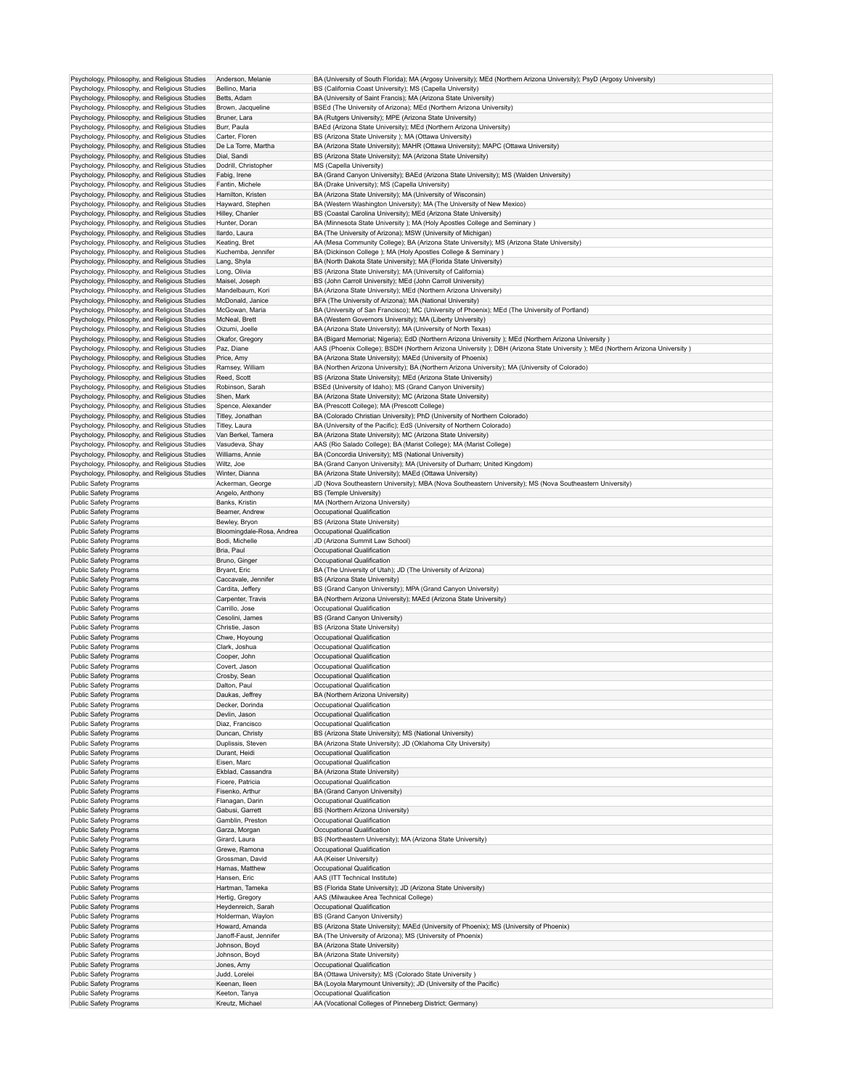| Psychology, Philosophy, and Religious Studies<br>Psychology, Philosophy, and Religious Studies | Anderson, Melanie                |                                                                                                                                                                                    |
|------------------------------------------------------------------------------------------------|----------------------------------|------------------------------------------------------------------------------------------------------------------------------------------------------------------------------------|
|                                                                                                | Bellino, Maria                   | BA (University of South Florida); MA (Argosy University); MEd (Northern Arizona University); PsyD (Argosy University)<br>BS (California Coast University); MS (Capella University) |
|                                                                                                |                                  |                                                                                                                                                                                    |
| Psychology, Philosophy, and Religious Studies                                                  | Betts, Adam                      | BA (University of Saint Francis); MA (Arizona State University)                                                                                                                    |
| Psychology, Philosophy, and Religious Studies                                                  | Brown, Jacqueline                | BSEd (The University of Arizona); MEd (Northern Arizona University)                                                                                                                |
| Psychology, Philosophy, and Religious Studies                                                  | Bruner, Lara                     | BA (Rutgers University); MPE (Arizona State University)                                                                                                                            |
| Psychology, Philosophy, and Religious Studies                                                  | Burr, Paula                      | BAEd (Arizona State University); MEd (Northern Arizona University)                                                                                                                 |
| Psychology, Philosophy, and Religious Studies                                                  | Carter, Floren                   | BS (Arizona State University ); MA (Ottawa University)                                                                                                                             |
| Psychology, Philosophy, and Religious Studies                                                  | De La Torre, Martha              | BA (Arizona State University); MAHR (Ottawa University); MAPC (Ottawa University)                                                                                                  |
| Psychology, Philosophy, and Religious Studies                                                  | Dial, Sandi                      | BS (Arizona State University); MA (Arizona State University)                                                                                                                       |
| Psychology, Philosophy, and Religious Studies                                                  | Dodrill, Christopher             | MS (Capella University)                                                                                                                                                            |
| Psychology, Philosophy, and Religious Studies                                                  | Fabig, Irene                     | BA (Grand Canyon University); BAEd (Arizona State University); MS (Walden University)                                                                                              |
| Psychology, Philosophy, and Religious Studies                                                  | Fantin, Michele                  |                                                                                                                                                                                    |
|                                                                                                |                                  | BA (Drake University); MS (Capella University)                                                                                                                                     |
| Psychology, Philosophy, and Religious Studies                                                  | Hamilton, Kristen                | BA (Arizona State University); MA (University of Wisconsin)                                                                                                                        |
| Psychology, Philosophy, and Religious Studies                                                  | Hayward, Stephen                 | BA (Western Washington University); MA (The University of New Mexico)                                                                                                              |
| Psychology, Philosophy, and Religious Studies                                                  | Hilley, Chanler                  | BS (Coastal Carolina University); MEd (Arizona State University)                                                                                                                   |
| Psychology, Philosophy, and Religious Studies                                                  | Hunter, Doran                    | BA (Minnesota State University ); MA (Holy Apostles College and Seminary )                                                                                                         |
| Psychology, Philosophy, and Religious Studies                                                  | Ilardo, Laura                    | BA (The University of Arizona); MSW (University of Michigan)                                                                                                                       |
| Psychology, Philosophy, and Religious Studies                                                  | Keating, Bret                    | AA (Mesa Community College); BA (Arizona State University); MS (Arizona State University)                                                                                          |
| Psychology, Philosophy, and Religious Studies                                                  | Kuchemba, Jennifer               | BA (Dickinson College); MA (Holy Apostles College & Seminary)                                                                                                                      |
| Psychology, Philosophy, and Religious Studies                                                  | Lang, Shyla                      | BA (North Dakota State University); MA (Florida State University)                                                                                                                  |
| Psychology, Philosophy, and Religious Studies                                                  | Long, Olivia                     | BS (Arizona State University); MA (University of California)                                                                                                                       |
|                                                                                                | Maisel, Joseph                   |                                                                                                                                                                                    |
| Psychology, Philosophy, and Religious Studies                                                  |                                  | BS (John Carroll University); MEd (John Carroll University)                                                                                                                        |
| Psychology, Philosophy, and Religious Studies                                                  | Mandelbaum, Kori                 | BA (Arizona State University); MEd (Northern Arizona University)                                                                                                                   |
| Psychology, Philosophy, and Religious Studies                                                  | McDonald, Janice                 | BFA (The University of Arizona); MA (National University)                                                                                                                          |
| Psychology, Philosophy, and Religious Studies                                                  | McGowan, Maria                   | BA (University of San Francisco); MC (University of Phoenix); MEd (The University of Portland)                                                                                     |
| Psychology, Philosophy, and Religious Studies                                                  | McNeal, Brett                    | BA (Western Governors University); MA (Liberty University)                                                                                                                         |
| Psychology, Philosophy, and Religious Studies                                                  | Oizumi, Joelle                   | BA (Arizona State University); MA (University of North Texas)                                                                                                                      |
| Psychology, Philosophy, and Religious Studies                                                  | Okafor, Gregory                  | BA (Bigard Memorial; Nigeria); EdD (Northern Arizona University); MEd (Northern Arizona University)                                                                                |
| Psychology, Philosophy, and Religious Studies                                                  | Paz, Diane                       | AAS (Phoenix College); BSDH (Northern Arizona University); DBH (Arizona State University); MEd (Northern Arizona University)                                                       |
| Psychology, Philosophy, and Religious Studies                                                  | Price, Amy                       | BA (Arizona State University); MAEd (University of Phoenix)                                                                                                                        |
| Psychology, Philosophy, and Religious Studies                                                  | Ramsey, William                  | BA (Northen Arizona University); BA (Northern Arizona University); MA (University of Colorado)                                                                                     |
| Psychology, Philosophy, and Religious Studies                                                  | Reed, Scott                      | BS (Arizona State University); MEd (Arizona State University)                                                                                                                      |
|                                                                                                |                                  |                                                                                                                                                                                    |
| Psychology, Philosophy, and Religious Studies                                                  | Robinson, Sarah                  | BSEd (University of Idaho); MS (Grand Canyon University)                                                                                                                           |
| Psychology, Philosophy, and Religious Studies                                                  | Shen, Mark                       | BA (Arizona State University); MC (Arizona State University)                                                                                                                       |
| Psychology, Philosophy, and Religious Studies                                                  | Spence, Alexander                | BA (Prescott College); MA (Prescott College)                                                                                                                                       |
| Psychology, Philosophy, and Religious Studies                                                  | Titley, Jonathan                 | BA (Colorado Christian University); PhD (University of Northern Colorado)                                                                                                          |
| Psychology, Philosophy, and Religious Studies                                                  | Titley, Laura                    | BA (University of the Pacific); EdS (University of Northern Colorado)                                                                                                              |
| Psychology, Philosophy, and Religious Studies                                                  | Van Berkel, Tamera               | BA (Arizona State University); MC (Arizona State University)                                                                                                                       |
| Psychology, Philosophy, and Religious Studies                                                  | Vasudeva, Shay                   | AAS (Rio Salado College); BA (Marist College); MA (Marist College)                                                                                                                 |
|                                                                                                | Williams, Annie                  |                                                                                                                                                                                    |
| Psychology, Philosophy, and Religious Studies                                                  |                                  | BA (Concordia University); MS (National University)                                                                                                                                |
| Psychology, Philosophy, and Religious Studies                                                  | Wiltz, Joe                       | BA (Grand Canyon University); MA (University of Durham; United Kingdom)                                                                                                            |
| Psychology, Philosophy, and Religious Studies                                                  | Winter, Dianna                   | BA (Arizona State University); MAEd (Ottawa University)                                                                                                                            |
| Public Safety Programs                                                                         | Ackerman, George                 | JD (Nova Southeastern University); MBA (Nova Southeastern University); MS (Nova Southeastern University)                                                                           |
| <b>Public Safety Programs</b>                                                                  | Angelo, Anthony                  | <b>BS (Temple University)</b>                                                                                                                                                      |
| Public Safety Programs                                                                         | Banks, Kristin                   | MA (Northern Arizona University)                                                                                                                                                   |
| Public Safety Programs                                                                         | Beamer, Andrew                   | Occupational Qualification                                                                                                                                                         |
| Public Safety Programs                                                                         | Bewley, Bryon                    | BS (Arizona State University)                                                                                                                                                      |
| <b>Public Safety Programs</b>                                                                  | Bloomingdale-Rosa, Andrea        | Occupational Qualification                                                                                                                                                         |
| Public Safety Programs                                                                         | Bodi, Michelle                   | JD (Arizona Summit Law School)                                                                                                                                                     |
|                                                                                                |                                  |                                                                                                                                                                                    |
| <b>Public Safety Programs</b>                                                                  | Bria, Paul                       | Occupational Qualification                                                                                                                                                         |
| Public Safety Programs                                                                         | Bruno, Ginger                    | Occupational Qualification                                                                                                                                                         |
| Public Safety Programs                                                                         | Bryant, Eric                     | BA (The University of Utah); JD (The University of Arizona)                                                                                                                        |
| Public Safety Programs                                                                         | Caccavale, Jennifer              | BS (Arizona State University)                                                                                                                                                      |
| <b>Public Safety Programs</b>                                                                  | Cardita, Jeffery                 | BS (Grand Canyon University); MPA (Grand Canyon University)                                                                                                                        |
|                                                                                                |                                  |                                                                                                                                                                                    |
|                                                                                                |                                  |                                                                                                                                                                                    |
| Public Safety Programs                                                                         | Carpenter, Travis                | BA (Northern Arizona University); MAEd (Arizona State University)                                                                                                                  |
| Public Safety Programs                                                                         | Carrillo, Jose                   | Occupational Qualification                                                                                                                                                         |
| <b>Public Safety Programs</b>                                                                  | Cesolini, James                  | BS (Grand Canyon University)                                                                                                                                                       |
| Public Safety Programs                                                                         | Christie, Jason                  | BS (Arizona State University)                                                                                                                                                      |
| Public Safety Programs                                                                         | Chwe, Hoyoung                    | Occupational Qualification                                                                                                                                                         |
| Public Safety Programs                                                                         | Clark, Joshua                    | Occupational Qualification                                                                                                                                                         |
| Public Safety Programs                                                                         | Cooper, John                     | Occupational Qualification                                                                                                                                                         |
| Public Safety Programs                                                                         | Covert, Jason                    | Occupational Qualification                                                                                                                                                         |
| Public Safety Programs                                                                         | Crosby, Sean                     | Occupational Qualification                                                                                                                                                         |
|                                                                                                |                                  | Occupational Qualification                                                                                                                                                         |
| Public Safety Programs                                                                         | Dalton, Paul                     |                                                                                                                                                                                    |
| Public Safety Programs                                                                         | Daukas, Jeffrey                  | BA (Northern Arizona University)                                                                                                                                                   |
| Public Safety Programs                                                                         | Decker, Dorinda                  | Occupational Qualification                                                                                                                                                         |
| Public Safety Programs                                                                         | Devlin, Jason                    | Occupational Qualification                                                                                                                                                         |
| Public Safety Programs                                                                         | Diaz, Francisco                  | Occupational Qualification                                                                                                                                                         |
| <b>Public Safety Programs</b>                                                                  | Duncan, Christy                  | BS (Arizona State University); MS (National University)                                                                                                                            |
| Public Safety Programs                                                                         | Duplissis, Steven                | BA (Arizona State University); JD (Oklahoma City University)                                                                                                                       |
| Public Safety Programs                                                                         | Durant, Heidi                    | Occupational Qualification                                                                                                                                                         |
| <b>Public Safety Programs</b>                                                                  | Eisen, Marc                      | Occupational Qualification                                                                                                                                                         |
| Public Safety Programs                                                                         | Ekblad, Cassandra                | BA (Arizona State University)                                                                                                                                                      |
| Public Safety Programs                                                                         | Ficere, Patricia                 | Occupational Qualification                                                                                                                                                         |
|                                                                                                |                                  |                                                                                                                                                                                    |
| <b>Public Safety Programs</b>                                                                  | Fisenko, Arthur                  | BA (Grand Canyon University)                                                                                                                                                       |
| Public Safety Programs                                                                         | Flanagan, Darin                  | Occupational Qualification                                                                                                                                                         |
| Public Safety Programs                                                                         | Gabusi, Garrett                  | BS (Northern Arizona University)                                                                                                                                                   |
| <b>Public Safety Programs</b>                                                                  | Gamblin, Preston                 | Occupational Qualification                                                                                                                                                         |
| Public Safety Programs                                                                         | Garza, Morgan                    | Occupational Qualification                                                                                                                                                         |
| Public Safety Programs                                                                         | Girard, Laura                    | BS (Northeastern University); MA (Arizona State University)                                                                                                                        |
| <b>Public Safety Programs</b>                                                                  | Grewe, Ramona                    | Occupational Qualification                                                                                                                                                         |
| Public Safety Programs                                                                         | Grossman, David                  | AA (Keiser University)                                                                                                                                                             |
| Public Safety Programs                                                                         | Hamas, Matthew                   | Occupational Qualification                                                                                                                                                         |
| <b>Public Safety Programs</b>                                                                  | Hansen, Eric                     | AAS (ITT Technical Institute)                                                                                                                                                      |
|                                                                                                |                                  |                                                                                                                                                                                    |
| Public Safety Programs                                                                         | Hartman, Tameka                  | BS (Florida State University); JD (Arizona State University)                                                                                                                       |
| <b>Public Safety Programs</b>                                                                  | Hertig, Gregory                  | AAS (Milwaukee Area Technical College)                                                                                                                                             |
| <b>Public Safety Programs</b>                                                                  | Heydenreich, Sarah               | Occupational Qualification                                                                                                                                                         |
| Public Safety Programs                                                                         | Holderman, Waylon                | BS (Grand Canyon University)                                                                                                                                                       |
| Public Safety Programs                                                                         | Howard, Amanda                   | BS (Arizona State University); MAEd (University of Phoenix); MS (University of Phoenix)                                                                                            |
| <b>Public Safety Programs</b>                                                                  | Janoff-Faust, Jennifer           | BA (The University of Arizona); MS (University of Phoenix)                                                                                                                         |
| Public Safety Programs                                                                         | Johnson, Boyd                    | BA (Arizona State University)                                                                                                                                                      |
| Public Safety Programs                                                                         | Johnson, Boyd                    | BA (Arizona State University)                                                                                                                                                      |
| <b>Public Safety Programs</b>                                                                  | Jones, Amy                       | Occupational Qualification                                                                                                                                                         |
|                                                                                                | Judd, Lorelei                    |                                                                                                                                                                                    |
| Public Safety Programs                                                                         |                                  | BA (Ottawa University); MS (Colorado State University)                                                                                                                             |
| Public Safety Programs                                                                         | Keenan, Ileen                    | BA (Loyola Marymount University); JD (University of the Pacific)                                                                                                                   |
| Public Safety Programs<br>Public Safety Programs                                               | Keeton, Tanya<br>Kreutz, Michael | Occupational Qualification<br>AA (Vocational Colleges of Pinneberg District; Germany)                                                                                              |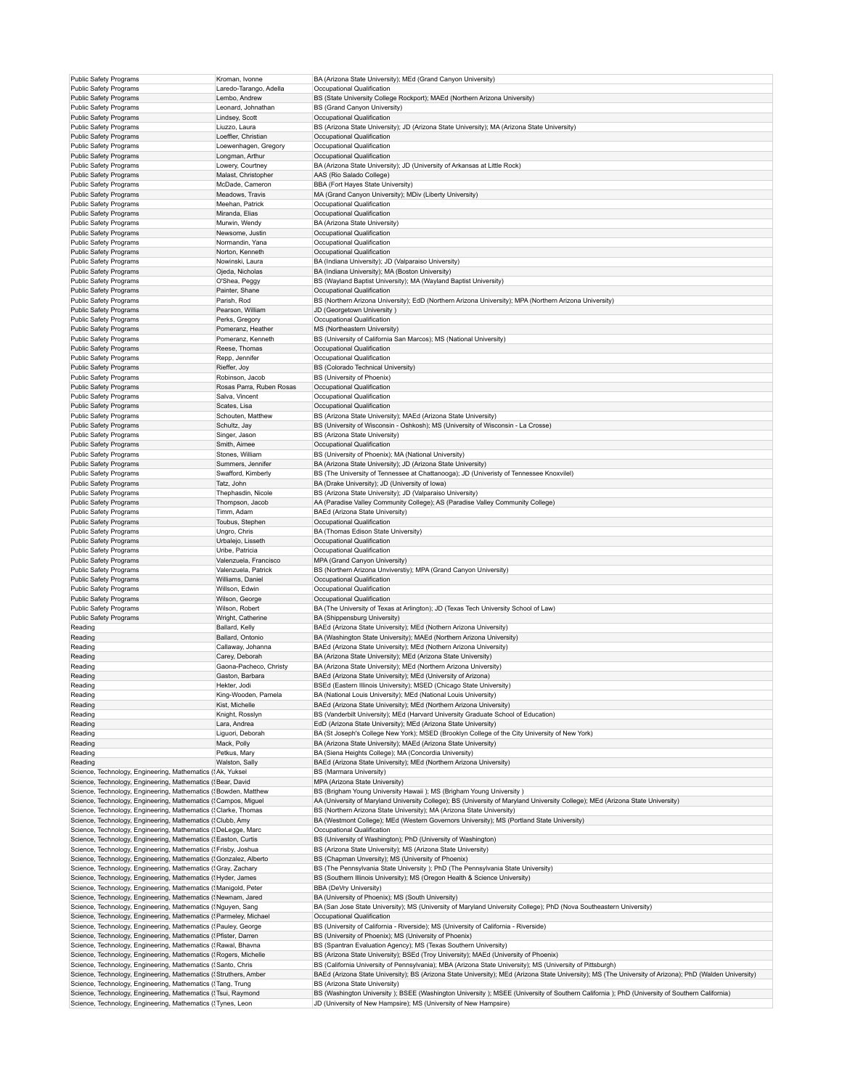| <b>Public Safety Programs</b>                                                                                                | Kroman, Ivonne           | BA (Arizona State University); MEd (Grand Canyon University)                                                                                                                                                       |
|------------------------------------------------------------------------------------------------------------------------------|--------------------------|--------------------------------------------------------------------------------------------------------------------------------------------------------------------------------------------------------------------|
| Public Safety Programs                                                                                                       | Laredo-Tarango, Adella   | Occupational Qualification                                                                                                                                                                                         |
| Public Safety Programs                                                                                                       | Lembo, Andrew            | BS (State University College Rockport); MAEd (Northern Arizona University)                                                                                                                                         |
| <b>Public Safety Programs</b>                                                                                                | Leonard, Johnathan       | BS (Grand Canyon University)                                                                                                                                                                                       |
| Public Safety Programs                                                                                                       | Lindsey, Scott           | Occupational Qualification                                                                                                                                                                                         |
| Public Safety Programs                                                                                                       | Liuzzo, Laura            | BS (Arizona State University); JD (Arizona State University); MA (Arizona State University)                                                                                                                        |
| <b>Public Safety Programs</b>                                                                                                | Loeffler, Christian      | Occupational Qualification                                                                                                                                                                                         |
| Public Safety Programs                                                                                                       | Loewenhagen, Gregory     | Occupational Qualification                                                                                                                                                                                         |
| Public Safety Programs                                                                                                       | Longman, Arthur          | Occupational Qualification                                                                                                                                                                                         |
|                                                                                                                              |                          | BA (Arizona State University); JD (University of Arkansas at Little Rock)                                                                                                                                          |
| Public Safety Programs                                                                                                       | Lowery, Courtney         |                                                                                                                                                                                                                    |
| Public Safety Programs                                                                                                       | Malast, Christopher      | AAS (Rio Salado College)                                                                                                                                                                                           |
| Public Safety Programs                                                                                                       | McDade, Cameron          | BBA (Fort Hayes State University)                                                                                                                                                                                  |
| <b>Public Safety Programs</b>                                                                                                | Meadows, Travis          | MA (Grand Canyon University); MDiv (Liberty University)                                                                                                                                                            |
| Public Safety Programs                                                                                                       | Meehan, Patrick          | Occupational Qualification                                                                                                                                                                                         |
| Public Safety Programs                                                                                                       | Miranda, Elias           | Occupational Qualification                                                                                                                                                                                         |
| <b>Public Safety Programs</b>                                                                                                | Murwin, Wendy            | BA (Arizona State University)                                                                                                                                                                                      |
| Public Safety Programs                                                                                                       | Newsome, Justin          | Occupational Qualification                                                                                                                                                                                         |
| Public Safety Programs                                                                                                       | Normandin, Yana          | Occupational Qualification                                                                                                                                                                                         |
| <b>Public Safety Programs</b>                                                                                                | Norton, Kenneth          | Occupational Qualification                                                                                                                                                                                         |
| Public Safety Programs                                                                                                       | Nowinski, Laura          | BA (Indiana University); JD (Valparaiso University)                                                                                                                                                                |
| Public Safety Programs                                                                                                       | Ojeda, Nicholas          | BA (Indiana University); MA (Boston University)                                                                                                                                                                    |
| Public Safety Programs                                                                                                       | O'Shea, Peggy            | BS (Wayland Baptist University); MA (Wayland Baptist University)                                                                                                                                                   |
| <b>Public Safety Programs</b>                                                                                                | Painter, Shane           | Occupational Qualification                                                                                                                                                                                         |
| Public Safety Programs                                                                                                       | Parish, Rod              | BS (Northern Arizona University); EdD (Northern Arizona University); MPA (Northern Arizona University)                                                                                                             |
| <b>Public Safety Programs</b>                                                                                                | Pearson, William         | JD (Georgetown University)                                                                                                                                                                                         |
| Public Safety Programs                                                                                                       | Perks, Gregory           | Occupational Qualification                                                                                                                                                                                         |
| Public Safety Programs                                                                                                       | Pomeranz, Heather        | MS (Northeastern University)                                                                                                                                                                                       |
| Public Safety Programs                                                                                                       | Pomeranz, Kenneth        | BS (University of California San Marcos); MS (National University)                                                                                                                                                 |
| <b>Public Safety Programs</b>                                                                                                | Reese, Thomas            | Occupational Qualification                                                                                                                                                                                         |
| Public Safety Programs                                                                                                       | Repp, Jennifer           | Occupational Qualification                                                                                                                                                                                         |
| <b>Public Safety Programs</b>                                                                                                | Rieffer, Joy             | BS (Colorado Technical University)                                                                                                                                                                                 |
| Public Safety Programs                                                                                                       | Robinson, Jacob          | BS (University of Phoenix)                                                                                                                                                                                         |
| Public Safety Programs                                                                                                       | Rosas Parra, Ruben Rosas | Occupational Qualification                                                                                                                                                                                         |
| <b>Public Safety Programs</b>                                                                                                | Salva, Vincent           | Occupational Qualification                                                                                                                                                                                         |
| <b>Public Safety Programs</b>                                                                                                | Scates, Lisa             | Occupational Qualification                                                                                                                                                                                         |
| Public Safety Programs                                                                                                       | Schouten, Matthew        | BS (Arizona State University); MAEd (Arizona State University)                                                                                                                                                     |
| <b>Public Safety Programs</b>                                                                                                | Schultz, Jay             | BS (University of Wisconsin - Oshkosh); MS (University of Wisconsin - La Crosse)                                                                                                                                   |
| Public Safety Programs                                                                                                       | Singer, Jason            | BS (Arizona State University)                                                                                                                                                                                      |
| <b>Public Safety Programs</b>                                                                                                | Smith, Aimee             | Occupational Qualification                                                                                                                                                                                         |
|                                                                                                                              | Stones, William          | BS (University of Phoenix); MA (National University)                                                                                                                                                               |
| Public Safety Programs<br><b>Public Safety Programs</b>                                                                      |                          | BA (Arizona State University); JD (Arizona State University)                                                                                                                                                       |
|                                                                                                                              | Summers, Jennifer        |                                                                                                                                                                                                                    |
| Public Safety Programs                                                                                                       | Swafford, Kimberly       | BS (The University of Tennessee at Chattanooga); JD (Univeristy of Tennessee Knoxvilel)                                                                                                                            |
| <b>Public Safety Programs</b>                                                                                                | Tatz, John               | BA (Drake University); JD (University of Iowa)                                                                                                                                                                     |
| Public Safety Programs                                                                                                       | Thephasdin, Nicole       | BS (Arizona State University); JD (Valparaiso University)                                                                                                                                                          |
| Public Safety Programs                                                                                                       | Thompson, Jacob          | AA (Paradise Valley Community College); AS (Paradise Valley Community College)                                                                                                                                     |
| <b>Public Safety Programs</b>                                                                                                | Timm, Adam               | BAEd (Arizona State University)                                                                                                                                                                                    |
| <b>Public Safety Programs</b>                                                                                                | Toubus, Stephen          | Occupational Qualification                                                                                                                                                                                         |
| Public Safety Programs                                                                                                       | Ungro, Chris             | BA (Thomas Edison State University)                                                                                                                                                                                |
|                                                                                                                              |                          |                                                                                                                                                                                                                    |
| <b>Public Safety Programs</b>                                                                                                | Urbalejo, Lisseth        | Occupational Qualification                                                                                                                                                                                         |
| Public Safety Programs                                                                                                       | Uribe, Patricia          | Occupational Qualification                                                                                                                                                                                         |
| Public Safety Programs                                                                                                       | Valenzuela, Francisco    | MPA (Grand Canyon University)                                                                                                                                                                                      |
| <b>Public Safety Programs</b>                                                                                                | Valenzuela, Patrick      | BS (Northern Arizona Unviverstiy); MPA (Grand Canyon University)                                                                                                                                                   |
| <b>Public Safety Programs</b>                                                                                                | Williams, Daniel         | Occupational Qualification                                                                                                                                                                                         |
| Public Safety Programs                                                                                                       | Willson, Edwin           | Occupational Qualification                                                                                                                                                                                         |
| <b>Public Safety Programs</b>                                                                                                | Wilson, George           | Occupational Qualification                                                                                                                                                                                         |
| Public Safety Programs                                                                                                       | Wilson, Robert           | BA (The University of Texas at Arlington); JD (Texas Tech University School of Law)                                                                                                                                |
|                                                                                                                              |                          | BA (Shippensburg University)                                                                                                                                                                                       |
| Public Safety Programs                                                                                                       | Wright, Catherine        |                                                                                                                                                                                                                    |
| Reading                                                                                                                      | Ballard, Kelly           | BAEd (Arizona State University); MEd (Nothern Arizona University)                                                                                                                                                  |
| Reading                                                                                                                      | Ballard, Ontonio         | BA (Washington State University); MAEd (Northern Arizona University)                                                                                                                                               |
| Reading                                                                                                                      | Callaway, Johanna        | BAEd (Arizona State University); MEd (Nothern Arizona University)                                                                                                                                                  |
| Reading                                                                                                                      | Carey, Deborah           | BA (Arizona State University); MEd (Arizona State University)                                                                                                                                                      |
| Reading                                                                                                                      | Gaona-Pacheco, Christy   | BA (Arizona State University); MEd (Northern Arizona University)                                                                                                                                                   |
| Reading                                                                                                                      | Gaston, Barbara          | BAEd (Arizona State University); MEd (University of Arizona)                                                                                                                                                       |
| Reading                                                                                                                      | Hekter, Jodi             | BSEd (Eastern Illinois University); MSED (Chicago State University)                                                                                                                                                |
| Reading                                                                                                                      | King-Wooden, Pamela      | BA (National Louis University); MEd (National Louis University)                                                                                                                                                    |
| Reading                                                                                                                      | Kist, Michelle           | BAEd (Arizona State University); MEd (Northern Arizona University)                                                                                                                                                 |
| Reading                                                                                                                      | Knight, Rosslyn          | BS (Vanderbilt University); MEd (Harvard University Graduate School of Education)                                                                                                                                  |
| Reading                                                                                                                      | Lara, Andrea             | EdD (Arizona State University); MEd (Arizona State University)                                                                                                                                                     |
| Reading                                                                                                                      | Liguori, Deborah         | BA (St Joseph's College New York); MSED (Brooklyn College of the City University of New York)                                                                                                                      |
| Reading                                                                                                                      | Mack, Polly              | BA (Arizona State University); MAEd (Arizona State University)                                                                                                                                                     |
| Reading                                                                                                                      | Petkus, Mary             | BA (Siena Heights College); MA (Concordia University)                                                                                                                                                              |
| Reading                                                                                                                      | Walston, Sally           | BAEd (Arizona State University); MEd (Northern Arizona University)                                                                                                                                                 |
| Science, Technology, Engineering, Mathematics ({Ak, Yuksel                                                                   |                          | BS (Marmara University)                                                                                                                                                                                            |
| Science, Technology, Engineering, Mathematics ('Bear, David                                                                  |                          | MPA (Arizona State University)                                                                                                                                                                                     |
| Science, Technology, Engineering, Mathematics ('Bowden, Matthew                                                              |                          | BS (Brigham Young University Hawaii ); MS (Brigham Young University )                                                                                                                                              |
| Science, Technology, Engineering, Mathematics ('Campos, Miguel                                                               |                          | AA (University of Maryland University College); BS (University of Maryland University College); MEd (Arizona State University)                                                                                     |
| Science, Technology, Engineering, Mathematics (SClarke, Thomas                                                               |                          | BS (Northern Arizona State University); MA (Arizona State University)                                                                                                                                              |
| Science, Technology, Engineering, Mathematics ('Clubb, Amy                                                                   |                          | BA (Westmont College); MEd (Western Governors University); MS (Portland State University)                                                                                                                          |
| Science, Technology, Engineering, Mathematics (!DeLegge, Marc                                                                |                          | Occupational Qualification                                                                                                                                                                                         |
| Science, Technology, Engineering, Mathematics ('Easton, Curtis                                                               |                          | BS (University of Washington); PhD (University of Washington)                                                                                                                                                      |
| Science, Technology, Engineering, Mathematics ('Frisby, Joshua                                                               |                          | BS (Arizona State University); MS (Arizona State University)                                                                                                                                                       |
| Science, Technology, Engineering, Mathematics ('Gonzalez, Alberto                                                            |                          | BS (Chapman Unversity); MS (University of Phoenix)                                                                                                                                                                 |
| Science, Technology, Engineering, Mathematics ('Gray, Zachary                                                                |                          | BS (The Pennsylvania State University ); PhD (The Pennsylvania State University)                                                                                                                                   |
| Science, Technology, Engineering, Mathematics ('Hyder, James                                                                 |                          | BS (Southern Illinois University); MS (Oregon Health & Science University)                                                                                                                                         |
| Science, Technology, Engineering, Mathematics (!Manigold, Peter                                                              |                          | BBA (DeVry University)                                                                                                                                                                                             |
| Science, Technology, Engineering, Mathematics ('Newnam, Jared                                                                |                          | BA (University of Phoenix); MS (South University)                                                                                                                                                                  |
| Science, Technology, Engineering, Mathematics ('Nguyen, Sang                                                                 |                          | BA (San Jose State University); MS (University of Maryland University College); PhD (Nova Southeastern University)                                                                                                 |
| Science, Technology, Engineering, Mathematics (?Parmeley, Michael                                                            |                          | Occupational Qualification                                                                                                                                                                                         |
|                                                                                                                              |                          |                                                                                                                                                                                                                    |
| Science, Technology, Engineering, Mathematics ('Pauley, George                                                               |                          | BS (University of California - Riverside); MS (University of California - Riverside)                                                                                                                               |
| Science, Technology, Engineering, Mathematics (! Pfister, Darren                                                             |                          | BS (University of Phoenix); MS (University of Phoenix)                                                                                                                                                             |
| Science, Technology, Engineering, Mathematics ('Rawal, Bhavna                                                                |                          | BS (Spantran Evaluation Agency); MS (Texas Southern University)                                                                                                                                                    |
| Science, Technology, Engineering, Mathematics ('Rogers, Michelle                                                             |                          | BS (Arizona State University); BSEd (Troy University); MAEd (University of Phoenix)                                                                                                                                |
| Science, Technology, Engineering, Mathematics (Santo, Chris                                                                  |                          | BS (California University of Pennsylvania); MBA (Arizona State University); MS (University of Pittsburgh)                                                                                                          |
| Science, Technology, Engineering, Mathematics ('Struthers, Amber                                                             |                          | BAEd (Arizona State University); BS (Arizona State University); MEd (Arizona State University); MS (The University of Arizona); PhD (Walden University)                                                            |
| Science, Technology, Engineering, Mathematics ('Tang, Trung                                                                  |                          | BS (Arizona State University)                                                                                                                                                                                      |
| Science, Technology, Engineering, Mathematics ('Tsui, Raymond<br>Science, Technology, Engineering, Mathematics ('Tynes, Leon |                          | BS (Washington University ); BSEE (Washington University ); MSEE (University of Southern California ); PhD (University of Southern California)<br>JD (University of New Hampsire); MS (University of New Hampsire) |